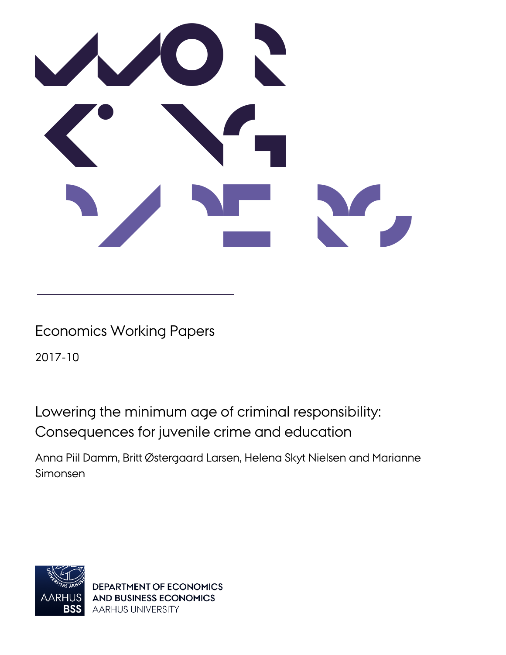

# Economics Working Papers

2017-10

Lowering the minimum age of criminal responsibility: Consequences for juvenile crime and education

Anna Piil Damm, Britt Østergaard Larsen, Helena Skyt Nielsen and Marianne Simonsen



DEPARTMENT OF ECONOMICS **AND BUSINESS ECONOMICS** AARHUS UNIVERSITY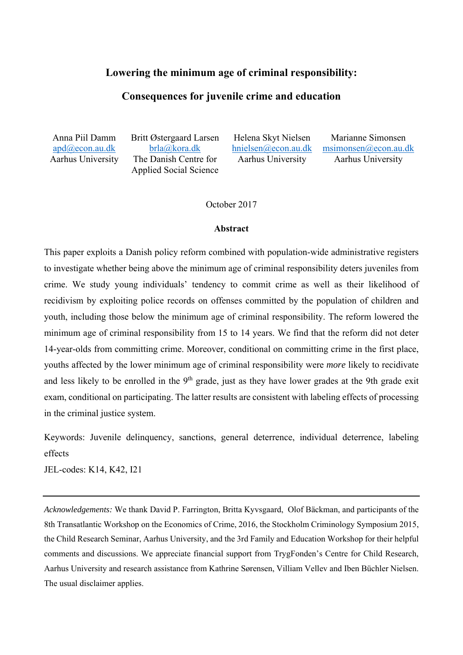#### **Lowering the minimum age of criminal responsibility:**

#### **Consequences for juvenile crime and education**

Anna Piil Damm apd@econ.au.dk Aarhus University Britt Østergaard Larsen brla@kora.dk The Danish Centre for Applied Social Science

Helena Skyt Nielsen hnielsen@econ.au.dk Aarhus University

Marianne Simonsen msimonsen@econ.au.dk Aarhus University

October 2017

#### **Abstract**

This paper exploits a Danish policy reform combined with population-wide administrative registers to investigate whether being above the minimum age of criminal responsibility deters juveniles from crime. We study young individuals' tendency to commit crime as well as their likelihood of recidivism by exploiting police records on offenses committed by the population of children and youth, including those below the minimum age of criminal responsibility. The reform lowered the minimum age of criminal responsibility from 15 to 14 years. We find that the reform did not deter 14-year-olds from committing crime. Moreover, conditional on committing crime in the first place, youths affected by the lower minimum age of criminal responsibility were *more* likely to recidivate and less likely to be enrolled in the 9<sup>th</sup> grade, just as they have lower grades at the 9th grade exit exam, conditional on participating. The latter results are consistent with labeling effects of processing in the criminal justice system.

Keywords: Juvenile delinquency, sanctions, general deterrence, individual deterrence, labeling effects

JEL-codes: K14, K42, I21

*Acknowledgements:* We thank David P. Farrington, Britta Kyvsgaard, Olof Bäckman, and participants of the 8th Transatlantic Workshop on the Economics of Crime, 2016, the Stockholm Criminology Symposium 2015, the Child Research Seminar, Aarhus University, and the 3rd Family and Education Workshop for their helpful comments and discussions. We appreciate financial support from TrygFonden's Centre for Child Research, Aarhus University and research assistance from Kathrine Sørensen, Villiam Vellev and Iben Büchler Nielsen. The usual disclaimer applies.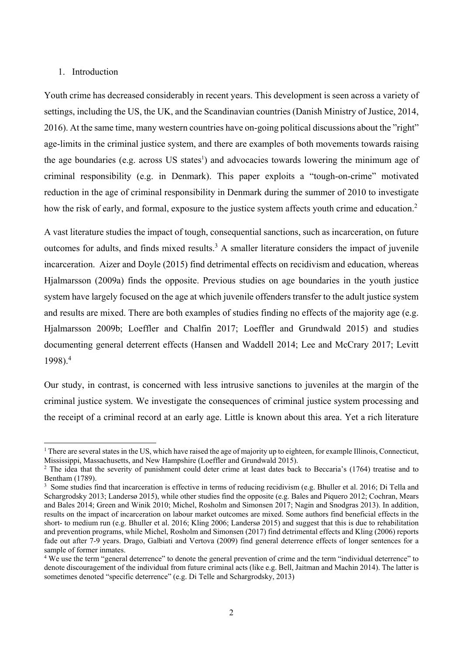#### 1. Introduction

 $\overline{\phantom{a}}$ 

Youth crime has decreased considerably in recent years. This development is seen across a variety of settings, including the US, the UK, and the Scandinavian countries (Danish Ministry of Justice, 2014, 2016). At the same time, many western countries have on-going political discussions about the "right" age-limits in the criminal justice system, and there are examples of both movements towards raising the age boundaries (e.g. across US states<sup>1</sup>) and advocacies towards lowering the minimum age of criminal responsibility (e.g. in Denmark). This paper exploits a "tough-on-crime" motivated reduction in the age of criminal responsibility in Denmark during the summer of 2010 to investigate how the risk of early, and formal, exposure to the justice system affects youth crime and education.<sup>2</sup>

A vast literature studies the impact of tough, consequential sanctions, such as incarceration, on future outcomes for adults, and finds mixed results.<sup>3</sup> A smaller literature considers the impact of juvenile incarceration. Aizer and Doyle (2015) find detrimental effects on recidivism and education, whereas Hjalmarsson (2009a) finds the opposite. Previous studies on age boundaries in the youth justice system have largely focused on the age at which juvenile offenders transfer to the adult justice system and results are mixed. There are both examples of studies finding no effects of the majority age (e.g. Hjalmarsson 2009b; Loeffler and Chalfin 2017; Loeffler and Grundwald 2015) and studies documenting general deterrent effects (Hansen and Waddell 2014; Lee and McCrary 2017; Levitt 1998).<sup>4</sup>

Our study, in contrast, is concerned with less intrusive sanctions to juveniles at the margin of the criminal justice system. We investigate the consequences of criminal justice system processing and the receipt of a criminal record at an early age. Little is known about this area. Yet a rich literature

<sup>&</sup>lt;sup>1</sup> There are several states in the US, which have raised the age of majority up to eighteen, for example Illinois, Connecticut, Mississippi, Massachusetts, and New Hampshire (Loeffler and Grundwald 2015). 2

<sup>&</sup>lt;sup>2</sup> The idea that the severity of punishment could deter crime at least dates back to Beccaria's (1764) treatise and to Bentham (1789).

<sup>&</sup>lt;sup>3</sup> Some studies find that incarceration is effective in terms of reducing recidivism (e.g. Bhuller et al. 2016; Di Tella and Schargrodsky 2013; Landersø 2015), while other studies find the opposite (e.g. Bales and Piquero 2012; Cochran, Mears and Bales 2014; Green and Winik 2010; Michel, Rosholm and Simonsen 2017; Nagin and Snodgras 2013). In addition, results on the impact of incarceration on labour market outcomes are mixed. Some authors find beneficial effects in the short- to medium run (e.g. Bhuller et al. 2016; Kling 2006; Landersø 2015) and suggest that this is due to rehabilitation and prevention programs, while Michel, Rosholm and Simonsen (2017) find detrimental effects and Kling (2006) reports fade out after 7-9 years. Drago, Galbiati and Vertova (2009) find general deterrence effects of longer sentences for a sample of former inmates.

<sup>&</sup>lt;sup>4</sup> We use the term "general deterrence" to denote the general prevention of crime and the term "individual deterrence" to denote discouragement of the individual from future criminal acts (like e.g. Bell, Jaitman and Machin 2014). The latter is sometimes denoted "specific deterrence" (e.g. Di Telle and Schargrodsky, 2013)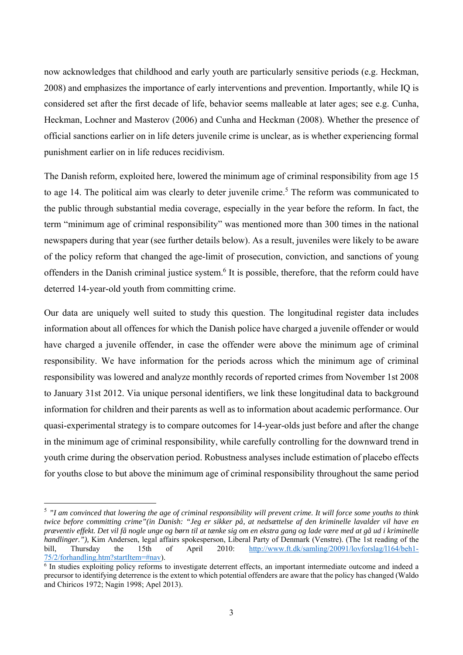now acknowledges that childhood and early youth are particularly sensitive periods (e.g. Heckman, 2008) and emphasizes the importance of early interventions and prevention. Importantly, while IQ is considered set after the first decade of life, behavior seems malleable at later ages; see e.g. Cunha, Heckman, Lochner and Masterov (2006) and Cunha and Heckman (2008). Whether the presence of official sanctions earlier on in life deters juvenile crime is unclear, as is whether experiencing formal punishment earlier on in life reduces recidivism.

The Danish reform, exploited here, lowered the minimum age of criminal responsibility from age 15 to age 14. The political aim was clearly to deter juvenile crime.<sup>5</sup> The reform was communicated to the public through substantial media coverage, especially in the year before the reform. In fact, the term "minimum age of criminal responsibility" was mentioned more than 300 times in the national newspapers during that year (see further details below). As a result, juveniles were likely to be aware of the policy reform that changed the age-limit of prosecution, conviction, and sanctions of young offenders in the Danish criminal justice system.<sup>6</sup> It is possible, therefore, that the reform could have deterred 14-year-old youth from committing crime.

Our data are uniquely well suited to study this question. The longitudinal register data includes information about all offences for which the Danish police have charged a juvenile offender or would have charged a juvenile offender, in case the offender were above the minimum age of criminal responsibility. We have information for the periods across which the minimum age of criminal responsibility was lowered and analyze monthly records of reported crimes from November 1st 2008 to January 31st 2012. Via unique personal identifiers, we link these longitudinal data to background information for children and their parents as well as to information about academic performance. Our quasi-experimental strategy is to compare outcomes for 14-year-olds just before and after the change in the minimum age of criminal responsibility, while carefully controlling for the downward trend in youth crime during the observation period. Robustness analyses include estimation of placebo effects for youths close to but above the minimum age of criminal responsibility throughout the same period

<sup>5</sup> *"I am convinced that lowering the age of criminal responsibility will prevent crime. It will force some youths to think twice before committing crime"(in Danish: "Jeg er sikker på, at nedsættelse af den kriminelle lavalder vil have en præventiv effekt. Det vil få nogle unge og børn til at tænke sig om en ekstra gang og lade være med at gå ud i kriminelle handlinger.")*, Kim Andersen, legal affairs spokesperson, Liberal Party of Denmark (Venstre). (The 1st reading of the bill, Thursday the 15th of April 2010: http://www.ft.dk/samling/20091/lovforslag/l164/beh1bill, Thursday the 15th of April 2010: http://www.ft.dk/samling/20091/lovforslag/l164/beh1- 75/2/forhandling.htm?startItem=#nav).

<sup>6</sup> In studies exploiting policy reforms to investigate deterrent effects, an important intermediate outcome and indeed a precursor to identifying deterrence is the extent to which potential offenders are aware that the policy has changed (Waldo and Chiricos 1972; Nagin 1998; Apel 2013).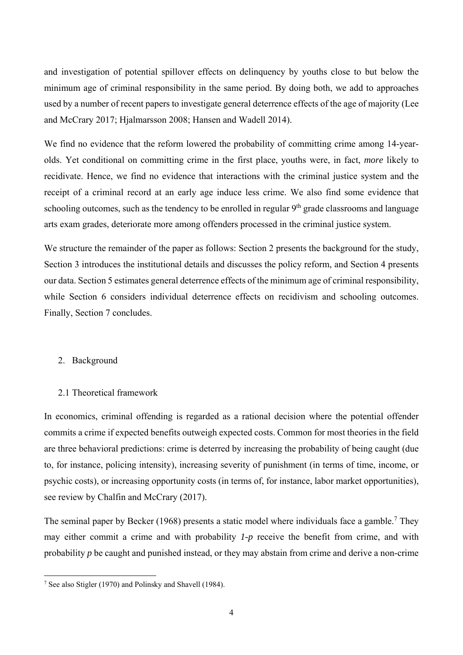and investigation of potential spillover effects on delinquency by youths close to but below the minimum age of criminal responsibility in the same period. By doing both, we add to approaches used by a number of recent papers to investigate general deterrence effects of the age of majority (Lee and McCrary 2017; Hjalmarsson 2008; Hansen and Wadell 2014).

We find no evidence that the reform lowered the probability of committing crime among 14-yearolds. Yet conditional on committing crime in the first place, youths were, in fact, *more* likely to recidivate. Hence, we find no evidence that interactions with the criminal justice system and the receipt of a criminal record at an early age induce less crime. We also find some evidence that schooling outcomes, such as the tendency to be enrolled in regular  $9<sup>th</sup>$  grade classrooms and language arts exam grades, deteriorate more among offenders processed in the criminal justice system.

We structure the remainder of the paper as follows: Section 2 presents the background for the study, Section 3 introduces the institutional details and discusses the policy reform, and Section 4 presents our data. Section 5 estimates general deterrence effects of the minimum age of criminal responsibility, while Section 6 considers individual deterrence effects on recidivism and schooling outcomes. Finally, Section 7 concludes.

#### 2. Background

#### 2.1 Theoretical framework

In economics, criminal offending is regarded as a rational decision where the potential offender commits a crime if expected benefits outweigh expected costs. Common for most theories in the field are three behavioral predictions: crime is deterred by increasing the probability of being caught (due to, for instance, policing intensity), increasing severity of punishment (in terms of time, income, or psychic costs), or increasing opportunity costs (in terms of, for instance, labor market opportunities), see review by Chalfin and McCrary (2017).

The seminal paper by Becker (1968) presents a static model where individuals face a gamble.<sup>7</sup> They may either commit a crime and with probability *1-p* receive the benefit from crime, and with probability *p* be caught and punished instead, or they may abstain from crime and derive a non-crime

<sup>&</sup>lt;sup>7</sup> See also Stigler (1970) and Polinsky and Shavell (1984).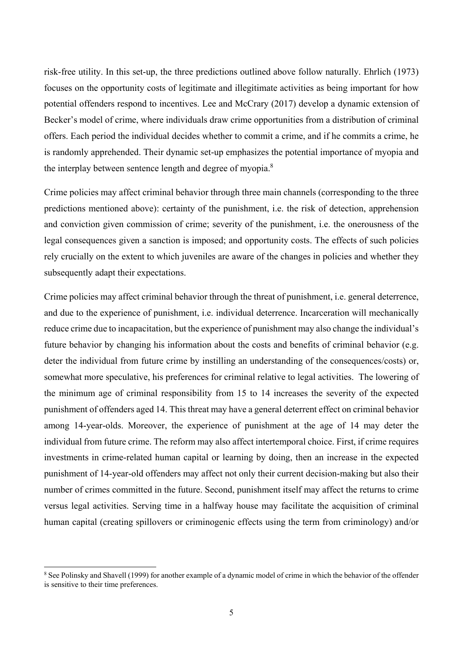risk-free utility. In this set-up, the three predictions outlined above follow naturally. Ehrlich (1973) focuses on the opportunity costs of legitimate and illegitimate activities as being important for how potential offenders respond to incentives. Lee and McCrary (2017) develop a dynamic extension of Becker's model of crime, where individuals draw crime opportunities from a distribution of criminal offers. Each period the individual decides whether to commit a crime, and if he commits a crime, he is randomly apprehended. Their dynamic set-up emphasizes the potential importance of myopia and the interplay between sentence length and degree of myopia.<sup>8</sup>

Crime policies may affect criminal behavior through three main channels (corresponding to the three predictions mentioned above): certainty of the punishment, i.e. the risk of detection, apprehension and conviction given commission of crime; severity of the punishment, i.e. the onerousness of the legal consequences given a sanction is imposed; and opportunity costs. The effects of such policies rely crucially on the extent to which juveniles are aware of the changes in policies and whether they subsequently adapt their expectations.

Crime policies may affect criminal behavior through the threat of punishment, i.e. general deterrence, and due to the experience of punishment, i.e. individual deterrence. Incarceration will mechanically reduce crime due to incapacitation, but the experience of punishment may also change the individual's future behavior by changing his information about the costs and benefits of criminal behavior (e.g. deter the individual from future crime by instilling an understanding of the consequences/costs) or, somewhat more speculative, his preferences for criminal relative to legal activities. The lowering of the minimum age of criminal responsibility from 15 to 14 increases the severity of the expected punishment of offenders aged 14. This threat may have a general deterrent effect on criminal behavior among 14-year-olds. Moreover, the experience of punishment at the age of 14 may deter the individual from future crime. The reform may also affect intertemporal choice. First, if crime requires investments in crime-related human capital or learning by doing, then an increase in the expected punishment of 14-year-old offenders may affect not only their current decision-making but also their number of crimes committed in the future. Second, punishment itself may affect the returns to crime versus legal activities. Serving time in a halfway house may facilitate the acquisition of criminal human capital (creating spillovers or criminogenic effects using the term from criminology) and/or

<sup>&</sup>lt;sup>8</sup> See Polinsky and Shavell (1999) for another example of a dynamic model of crime in which the behavior of the offender is sensitive to their time preferences.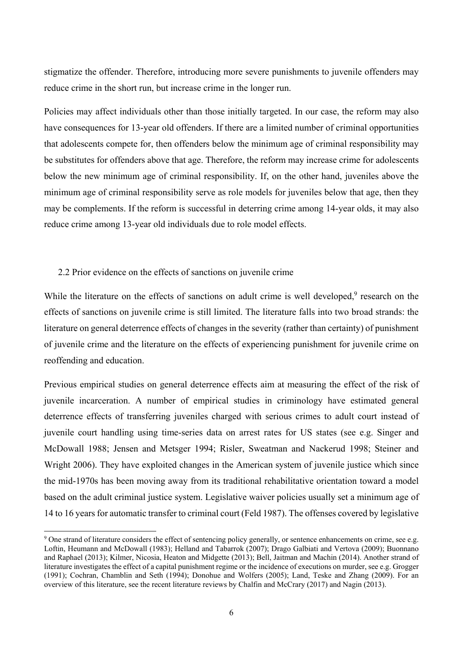stigmatize the offender. Therefore, introducing more severe punishments to juvenile offenders may reduce crime in the short run, but increase crime in the longer run.

Policies may affect individuals other than those initially targeted. In our case, the reform may also have consequences for 13-year old offenders. If there are a limited number of criminal opportunities that adolescents compete for, then offenders below the minimum age of criminal responsibility may be substitutes for offenders above that age. Therefore, the reform may increase crime for adolescents below the new minimum age of criminal responsibility. If, on the other hand, juveniles above the minimum age of criminal responsibility serve as role models for juveniles below that age, then they may be complements. If the reform is successful in deterring crime among 14-year olds, it may also reduce crime among 13-year old individuals due to role model effects.

#### 2.2 Prior evidence on the effects of sanctions on juvenile crime

l

While the literature on the effects of sanctions on adult crime is well developed, $9$  research on the effects of sanctions on juvenile crime is still limited. The literature falls into two broad strands: the literature on general deterrence effects of changes in the severity (rather than certainty) of punishment of juvenile crime and the literature on the effects of experiencing punishment for juvenile crime on reoffending and education.

Previous empirical studies on general deterrence effects aim at measuring the effect of the risk of juvenile incarceration. A number of empirical studies in criminology have estimated general deterrence effects of transferring juveniles charged with serious crimes to adult court instead of juvenile court handling using time-series data on arrest rates for US states (see e.g. Singer and McDowall 1988; Jensen and Metsger 1994; Risler, Sweatman and Nackerud 1998; Steiner and Wright 2006). They have exploited changes in the American system of juvenile justice which since the mid-1970s has been moving away from its traditional rehabilitative orientation toward a model based on the adult criminal justice system. Legislative waiver policies usually set a minimum age of 14 to 16 years for automatic transfer to criminal court (Feld 1987). The offenses covered by legislative

<sup>&</sup>lt;sup>9</sup> One strand of literature considers the effect of sentencing policy generally, or sentence enhancements on crime, see e.g. Loftin, Heumann and McDowall (1983); Helland and Tabarrok (2007); Drago Galbiati and Vertova (2009); Buonnano and Raphael (2013); Kilmer, Nicosia, Heaton and Midgette (2013); Bell, Jaitman and Machin (2014). Another strand of literature investigates the effect of a capital punishment regime or the incidence of executions on murder, see e.g. Grogger (1991); Cochran, Chamblin and Seth (1994); Donohue and Wolfers (2005); Land, Teske and Zhang (2009). For an overview of this literature, see the recent literature reviews by Chalfin and McCrary (2017) and Nagin (2013).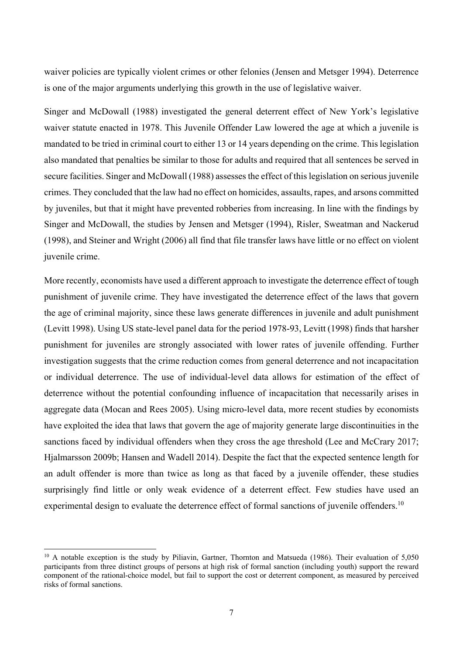waiver policies are typically violent crimes or other felonies (Jensen and Metsger 1994). Deterrence is one of the major arguments underlying this growth in the use of legislative waiver.

Singer and McDowall (1988) investigated the general deterrent effect of New York's legislative waiver statute enacted in 1978. This Juvenile Offender Law lowered the age at which a juvenile is mandated to be tried in criminal court to either 13 or 14 years depending on the crime. This legislation also mandated that penalties be similar to those for adults and required that all sentences be served in secure facilities. Singer and McDowall (1988) assesses the effect of this legislation on serious juvenile crimes. They concluded that the law had no effect on homicides, assaults, rapes, and arsons committed by juveniles, but that it might have prevented robberies from increasing. In line with the findings by Singer and McDowall, the studies by Jensen and Metsger (1994), Risler, Sweatman and Nackerud (1998), and Steiner and Wright (2006) all find that file transfer laws have little or no effect on violent juvenile crime.

More recently, economists have used a different approach to investigate the deterrence effect of tough punishment of juvenile crime. They have investigated the deterrence effect of the laws that govern the age of criminal majority, since these laws generate differences in juvenile and adult punishment (Levitt 1998). Using US state-level panel data for the period 1978-93, Levitt (1998) finds that harsher punishment for juveniles are strongly associated with lower rates of juvenile offending. Further investigation suggests that the crime reduction comes from general deterrence and not incapacitation or individual deterrence. The use of individual-level data allows for estimation of the effect of deterrence without the potential confounding influence of incapacitation that necessarily arises in aggregate data (Mocan and Rees 2005). Using micro-level data, more recent studies by economists have exploited the idea that laws that govern the age of majority generate large discontinuities in the sanctions faced by individual offenders when they cross the age threshold (Lee and McCrary 2017; Hjalmarsson 2009b; Hansen and Wadell 2014). Despite the fact that the expected sentence length for an adult offender is more than twice as long as that faced by a juvenile offender, these studies surprisingly find little or only weak evidence of a deterrent effect. Few studies have used an experimental design to evaluate the deterrence effect of formal sanctions of juvenile offenders.<sup>10</sup>

<sup>&</sup>lt;sup>10</sup> A notable exception is the study by Piliavin, Gartner, Thornton and Matsueda (1986). Their evaluation of 5,050 participants from three distinct groups of persons at high risk of formal sanction (including youth) support the reward component of the rational-choice model, but fail to support the cost or deterrent component, as measured by perceived risks of formal sanctions.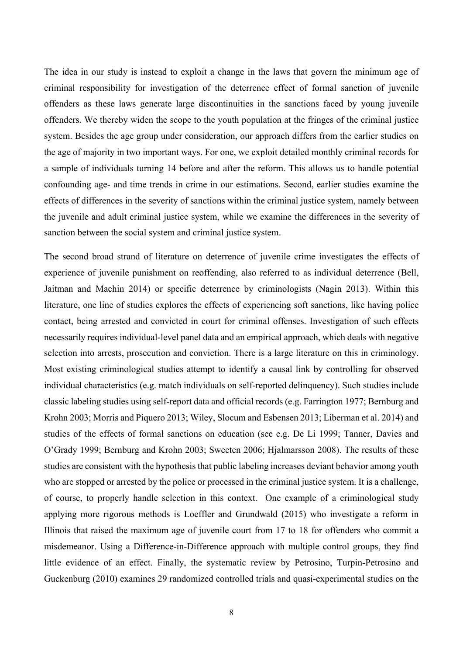The idea in our study is instead to exploit a change in the laws that govern the minimum age of criminal responsibility for investigation of the deterrence effect of formal sanction of juvenile offenders as these laws generate large discontinuities in the sanctions faced by young juvenile offenders. We thereby widen the scope to the youth population at the fringes of the criminal justice system. Besides the age group under consideration, our approach differs from the earlier studies on the age of majority in two important ways. For one, we exploit detailed monthly criminal records for a sample of individuals turning 14 before and after the reform. This allows us to handle potential confounding age- and time trends in crime in our estimations. Second, earlier studies examine the effects of differences in the severity of sanctions within the criminal justice system, namely between the juvenile and adult criminal justice system, while we examine the differences in the severity of sanction between the social system and criminal justice system.

The second broad strand of literature on deterrence of juvenile crime investigates the effects of experience of juvenile punishment on reoffending, also referred to as individual deterrence (Bell, Jaitman and Machin 2014) or specific deterrence by criminologists (Nagin 2013). Within this literature, one line of studies explores the effects of experiencing soft sanctions, like having police contact, being arrested and convicted in court for criminal offenses. Investigation of such effects necessarily requires individual-level panel data and an empirical approach, which deals with negative selection into arrests, prosecution and conviction. There is a large literature on this in criminology. Most existing criminological studies attempt to identify a causal link by controlling for observed individual characteristics (e.g. match individuals on self-reported delinquency). Such studies include classic labeling studies using self-report data and official records (e.g. Farrington 1977; Bernburg and Krohn 2003; Morris and Piquero 2013; Wiley, Slocum and Esbensen 2013; Liberman et al. 2014) and studies of the effects of formal sanctions on education (see e.g. De Li 1999; Tanner, Davies and O'Grady 1999; Bernburg and Krohn 2003; Sweeten 2006; Hjalmarsson 2008). The results of these studies are consistent with the hypothesis that public labeling increases deviant behavior among youth who are stopped or arrested by the police or processed in the criminal justice system. It is a challenge, of course, to properly handle selection in this context. One example of a criminological study applying more rigorous methods is Loeffler and Grundwald (2015) who investigate a reform in Illinois that raised the maximum age of juvenile court from 17 to 18 for offenders who commit a misdemeanor. Using a Difference-in-Difference approach with multiple control groups, they find little evidence of an effect. Finally, the systematic review by Petrosino, Turpin-Petrosino and Guckenburg (2010) examines 29 randomized controlled trials and quasi-experimental studies on the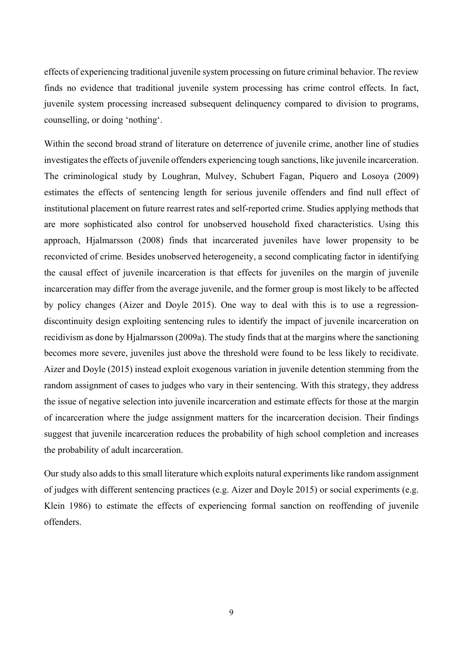effects of experiencing traditional juvenile system processing on future criminal behavior. The review finds no evidence that traditional juvenile system processing has crime control effects. In fact, juvenile system processing increased subsequent delinquency compared to division to programs, counselling, or doing 'nothing'.

Within the second broad strand of literature on deterrence of juvenile crime, another line of studies investigates the effects of juvenile offenders experiencing tough sanctions, like juvenile incarceration. The criminological study by Loughran, Mulvey, Schubert Fagan, Piquero and Losoya (2009) estimates the effects of sentencing length for serious juvenile offenders and find null effect of institutional placement on future rearrest rates and self-reported crime. Studies applying methods that are more sophisticated also control for unobserved household fixed characteristics. Using this approach, Hjalmarsson (2008) finds that incarcerated juveniles have lower propensity to be reconvicted of crime. Besides unobserved heterogeneity, a second complicating factor in identifying the causal effect of juvenile incarceration is that effects for juveniles on the margin of juvenile incarceration may differ from the average juvenile, and the former group is most likely to be affected by policy changes (Aizer and Doyle 2015). One way to deal with this is to use a regressiondiscontinuity design exploiting sentencing rules to identify the impact of juvenile incarceration on recidivism as done by Hjalmarsson (2009a). The study finds that at the margins where the sanctioning becomes more severe, juveniles just above the threshold were found to be less likely to recidivate. Aizer and Doyle (2015) instead exploit exogenous variation in juvenile detention stemming from the random assignment of cases to judges who vary in their sentencing. With this strategy, they address the issue of negative selection into juvenile incarceration and estimate effects for those at the margin of incarceration where the judge assignment matters for the incarceration decision. Their findings suggest that juvenile incarceration reduces the probability of high school completion and increases the probability of adult incarceration.

Our study also adds to this small literature which exploits natural experiments like random assignment of judges with different sentencing practices (e.g. Aizer and Doyle 2015) or social experiments (e.g. Klein 1986) to estimate the effects of experiencing formal sanction on reoffending of juvenile offenders.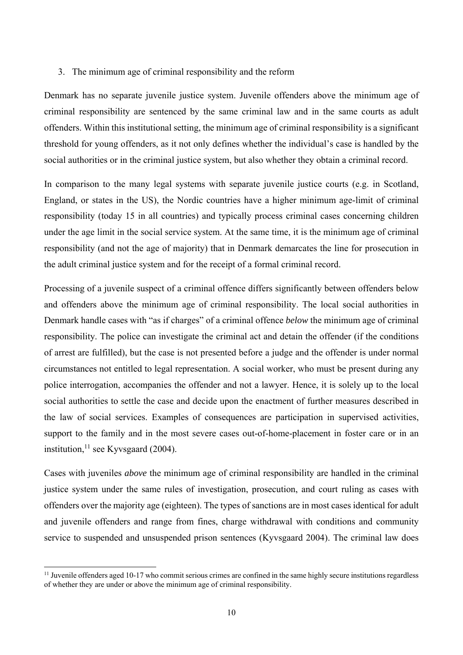#### 3. The minimum age of criminal responsibility and the reform

Denmark has no separate juvenile justice system. Juvenile offenders above the minimum age of criminal responsibility are sentenced by the same criminal law and in the same courts as adult offenders. Within this institutional setting, the minimum age of criminal responsibility is a significant threshold for young offenders, as it not only defines whether the individual's case is handled by the social authorities or in the criminal justice system, but also whether they obtain a criminal record.

In comparison to the many legal systems with separate juvenile justice courts (e.g. in Scotland, England, or states in the US), the Nordic countries have a higher minimum age-limit of criminal responsibility (today 15 in all countries) and typically process criminal cases concerning children under the age limit in the social service system. At the same time, it is the minimum age of criminal responsibility (and not the age of majority) that in Denmark demarcates the line for prosecution in the adult criminal justice system and for the receipt of a formal criminal record.

Processing of a juvenile suspect of a criminal offence differs significantly between offenders below and offenders above the minimum age of criminal responsibility. The local social authorities in Denmark handle cases with "as if charges" of a criminal offence *below* the minimum age of criminal responsibility. The police can investigate the criminal act and detain the offender (if the conditions of arrest are fulfilled), but the case is not presented before a judge and the offender is under normal circumstances not entitled to legal representation. A social worker, who must be present during any police interrogation, accompanies the offender and not a lawyer. Hence, it is solely up to the local social authorities to settle the case and decide upon the enactment of further measures described in the law of social services. Examples of consequences are participation in supervised activities, support to the family and in the most severe cases out-of-home-placement in foster care or in an institution,  $11$  see Kyvsgaard (2004).

Cases with juveniles *above* the minimum age of criminal responsibility are handled in the criminal justice system under the same rules of investigation, prosecution, and court ruling as cases with offenders over the majority age (eighteen). The types of sanctions are in most cases identical for adult and juvenile offenders and range from fines, charge withdrawal with conditions and community service to suspended and unsuspended prison sentences (Kyvsgaard 2004). The criminal law does

 $<sup>11</sup>$  Juvenile offenders aged 10-17 who commit serious crimes are confined in the same highly secure institutions regardless</sup> of whether they are under or above the minimum age of criminal responsibility.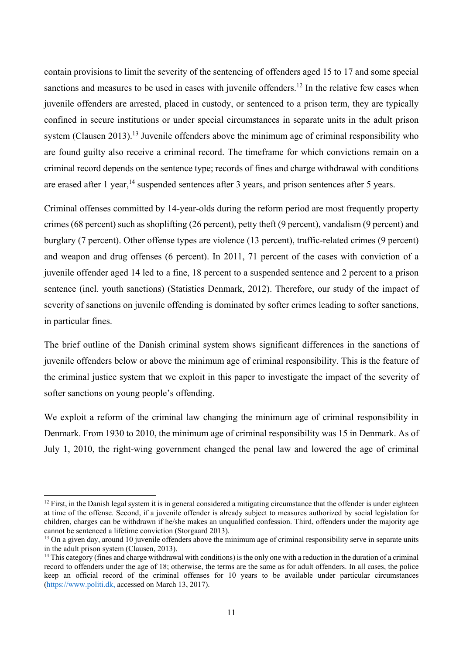contain provisions to limit the severity of the sentencing of offenders aged 15 to 17 and some special sanctions and measures to be used in cases with juvenile offenders.<sup>12</sup> In the relative few cases when juvenile offenders are arrested, placed in custody, or sentenced to a prison term, they are typically confined in secure institutions or under special circumstances in separate units in the adult prison system (Clausen 2013).<sup>13</sup> Juvenile offenders above the minimum age of criminal responsibility who are found guilty also receive a criminal record. The timeframe for which convictions remain on a criminal record depends on the sentence type; records of fines and charge withdrawal with conditions are erased after 1 year,<sup>14</sup> suspended sentences after 3 years, and prison sentences after 5 years.

Criminal offenses committed by 14-year-olds during the reform period are most frequently property crimes (68 percent) such as shoplifting (26 percent), petty theft (9 percent), vandalism (9 percent) and burglary (7 percent). Other offense types are violence (13 percent), traffic-related crimes (9 percent) and weapon and drug offenses (6 percent). In 2011, 71 percent of the cases with conviction of a juvenile offender aged 14 led to a fine, 18 percent to a suspended sentence and 2 percent to a prison sentence (incl. youth sanctions) (Statistics Denmark, 2012). Therefore, our study of the impact of severity of sanctions on juvenile offending is dominated by softer crimes leading to softer sanctions, in particular fines.

The brief outline of the Danish criminal system shows significant differences in the sanctions of juvenile offenders below or above the minimum age of criminal responsibility. This is the feature of the criminal justice system that we exploit in this paper to investigate the impact of the severity of softer sanctions on young people's offending.

We exploit a reform of the criminal law changing the minimum age of criminal responsibility in Denmark. From 1930 to 2010, the minimum age of criminal responsibility was 15 in Denmark. As of July 1, 2010, the right-wing government changed the penal law and lowered the age of criminal

 $12$  First, in the Danish legal system it is in general considered a mitigating circumstance that the offender is under eighteen at time of the offense. Second, if a juvenile offender is already subject to measures authorized by social legislation for children, charges can be withdrawn if he/she makes an unqualified confession. Third, offenders under the majority age cannot be sentenced a lifetime conviction (Storgaard 2013).

<sup>&</sup>lt;sup>13</sup> On a given day, around 10 juvenile offenders above the minimum age of criminal responsibility serve in separate units in the adult prison system (Clausen, 2013).

<sup>&</sup>lt;sup>14</sup> This category (fines and charge withdrawal with conditions) is the only one with a reduction in the duration of a criminal record to offenders under the age of 18; otherwise, the terms are the same as for adult offenders. In all cases, the police keep an official record of the criminal offenses for 10 years to be available under particular circumstances (https://www.politi.dk, accessed on March 13, 2017).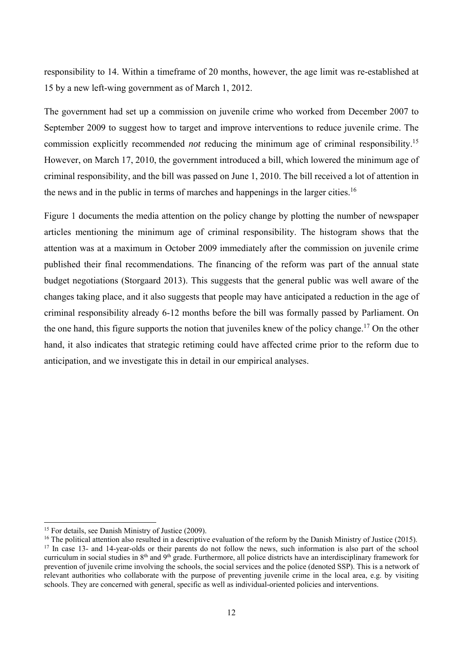responsibility to 14. Within a timeframe of 20 months, however, the age limit was re-established at 15 by a new left-wing government as of March 1, 2012.

The government had set up a commission on juvenile crime who worked from December 2007 to September 2009 to suggest how to target and improve interventions to reduce juvenile crime. The commission explicitly recommended *not* reducing the minimum age of criminal responsibility.15 However, on March 17, 2010, the government introduced a bill, which lowered the minimum age of criminal responsibility, and the bill was passed on June 1, 2010. The bill received a lot of attention in the news and in the public in terms of marches and happenings in the larger cities.16

Figure 1 documents the media attention on the policy change by plotting the number of newspaper articles mentioning the minimum age of criminal responsibility. The histogram shows that the attention was at a maximum in October 2009 immediately after the commission on juvenile crime published their final recommendations. The financing of the reform was part of the annual state budget negotiations (Storgaard 2013). This suggests that the general public was well aware of the changes taking place, and it also suggests that people may have anticipated a reduction in the age of criminal responsibility already 6-12 months before the bill was formally passed by Parliament. On the one hand, this figure supports the notion that juveniles knew of the policy change.<sup>17</sup> On the other hand, it also indicates that strategic retiming could have affected crime prior to the reform due to anticipation, and we investigate this in detail in our empirical analyses.

<sup>&</sup>lt;sup>15</sup> For details, see Danish Ministry of Justice (2009).

<sup>&</sup>lt;sup>16</sup> The political attention also resulted in a descriptive evaluation of the reform by the Danish Ministry of Justice (2015). <sup>17</sup> In case 13- and 14-year-olds or their parents do not follow the news, such information is also part of the school curriculum in social studies in 8th and 9th grade. Furthermore, all police districts have an interdisciplinary framework for prevention of juvenile crime involving the schools, the social services and the police (denoted SSP). This is a network of relevant authorities who collaborate with the purpose of preventing juvenile crime in the local area, e.g. by visiting schools. They are concerned with general, specific as well as individual-oriented policies and interventions.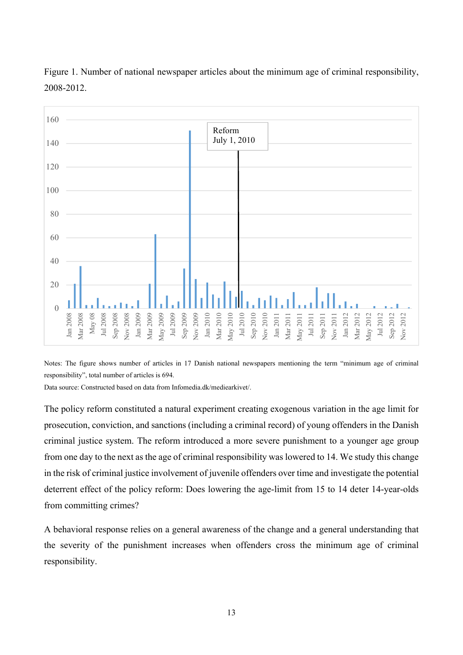

Figure 1. Number of national newspaper articles about the minimum age of criminal responsibility, 2008-2012.

Notes: The figure shows number of articles in 17 Danish national newspapers mentioning the term "minimum age of criminal responsibility", total number of articles is 694.

Data source: Constructed based on data from Infomedia.dk/mediearkivet/.

The policy reform constituted a natural experiment creating exogenous variation in the age limit for prosecution, conviction, and sanctions (including a criminal record) of young offenders in the Danish criminal justice system. The reform introduced a more severe punishment to a younger age group from one day to the next as the age of criminal responsibility was lowered to 14. We study this change in the risk of criminal justice involvement of juvenile offenders over time and investigate the potential deterrent effect of the policy reform: Does lowering the age-limit from 15 to 14 deter 14-year-olds from committing crimes?

A behavioral response relies on a general awareness of the change and a general understanding that the severity of the punishment increases when offenders cross the minimum age of criminal responsibility.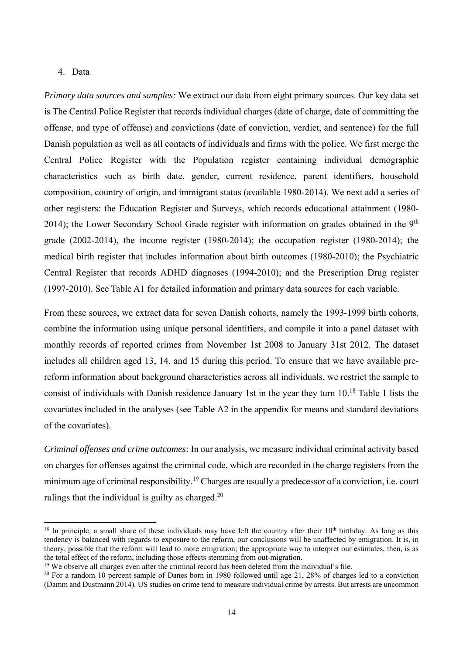#### 4. Data

l

*Primary data sources and samples:* We extract our data from eight primary sources. Our key data set is The Central Police Register that records individual charges (date of charge, date of committing the offense, and type of offense) and convictions (date of conviction, verdict, and sentence) for the full Danish population as well as all contacts of individuals and firms with the police. We first merge the Central Police Register with the Population register containing individual demographic characteristics such as birth date, gender, current residence, parent identifiers, household composition, country of origin, and immigrant status (available 1980-2014). We next add a series of other registers: the Education Register and Surveys, which records educational attainment (1980- 2014); the Lower Secondary School Grade register with information on grades obtained in the  $9<sup>th</sup>$ grade (2002-2014), the income register (1980-2014); the occupation register (1980-2014); the medical birth register that includes information about birth outcomes (1980-2010); the Psychiatric Central Register that records ADHD diagnoses (1994-2010); and the Prescription Drug register (1997-2010). See Table A1 for detailed information and primary data sources for each variable.

From these sources, we extract data for seven Danish cohorts, namely the 1993-1999 birth cohorts, combine the information using unique personal identifiers, and compile it into a panel dataset with monthly records of reported crimes from November 1st 2008 to January 31st 2012. The dataset includes all children aged 13, 14, and 15 during this period. To ensure that we have available prereform information about background characteristics across all individuals, we restrict the sample to consist of individuals with Danish residence January 1st in the year they turn 10.18 Table 1 lists the covariates included in the analyses (see Table A2 in the appendix for means and standard deviations of the covariates).

*Criminal offenses and crime outcomes:* In our analysis, we measure individual criminal activity based on charges for offenses against the criminal code, which are recorded in the charge registers from the minimum age of criminal responsibility.<sup>19</sup> Charges are usually a predecessor of a conviction, i.e. court rulings that the individual is guilty as charged. $20$ 

<sup>&</sup>lt;sup>18</sup> In principle, a small share of these individuals may have left the country after their  $10<sup>th</sup>$  birthday. As long as this tendency is balanced with regards to exposure to the reform, our conclusions will be unaffected by emigration. It is, in theory, possible that the reform will lead to more emigration; the appropriate way to interpret our estimates, then, is as the total effect of the reform, including those effects stemming from out-migration.

<sup>&</sup>lt;sup>19</sup> We observe all charges even after the criminal record has been deleted from the individual's file.

<sup>&</sup>lt;sup>20</sup> For a random 10 percent sample of Danes born in 1980 followed until age 21, 28% of charges led to a conviction (Damm and Dustmann 2014). US studies on crime tend to measure individual crime by arrests. But arrests are uncommon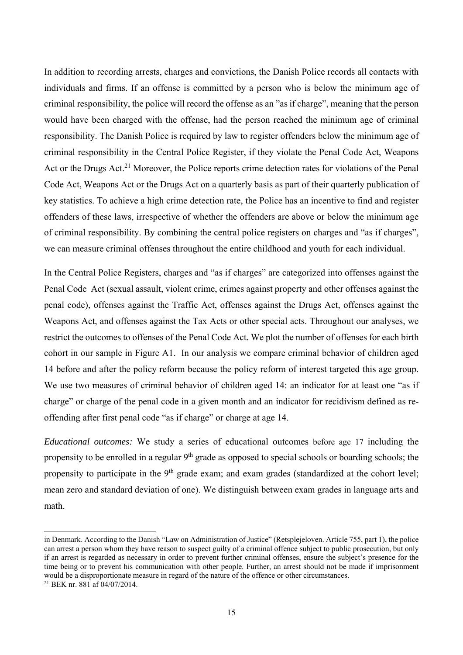In addition to recording arrests, charges and convictions, the Danish Police records all contacts with individuals and firms. If an offense is committed by a person who is below the minimum age of criminal responsibility, the police will record the offense as an "as if charge", meaning that the person would have been charged with the offense, had the person reached the minimum age of criminal responsibility. The Danish Police is required by law to register offenders below the minimum age of criminal responsibility in the Central Police Register, if they violate the Penal Code Act, Weapons Act or the Drugs Act.<sup>21</sup> Moreover, the Police reports crime detection rates for violations of the Penal Code Act, Weapons Act or the Drugs Act on a quarterly basis as part of their quarterly publication of key statistics. To achieve a high crime detection rate, the Police has an incentive to find and register offenders of these laws, irrespective of whether the offenders are above or below the minimum age of criminal responsibility. By combining the central police registers on charges and "as if charges", we can measure criminal offenses throughout the entire childhood and youth for each individual.

In the Central Police Registers, charges and "as if charges" are categorized into offenses against the Penal Code Act (sexual assault, violent crime, crimes against property and other offenses against the penal code), offenses against the Traffic Act, offenses against the Drugs Act, offenses against the Weapons Act, and offenses against the Tax Acts or other special acts. Throughout our analyses, we restrict the outcomes to offenses of the Penal Code Act. We plot the number of offenses for each birth cohort in our sample in Figure A1. In our analysis we compare criminal behavior of children aged 14 before and after the policy reform because the policy reform of interest targeted this age group. We use two measures of criminal behavior of children aged 14: an indicator for at least one "as if charge" or charge of the penal code in a given month and an indicator for recidivism defined as reoffending after first penal code "as if charge" or charge at age 14.

*Educational outcomes:* We study a series of educational outcomes before age 17 including the propensity to be enrolled in a regular  $9<sup>th</sup>$  grade as opposed to special schools or boarding schools; the propensity to participate in the 9<sup>th</sup> grade exam; and exam grades (standardized at the cohort level; mean zero and standard deviation of one). We distinguish between exam grades in language arts and math.

in Denmark. According to the Danish "Law on Administration of Justice" (Retsplejeloven. Article 755, part 1), the police can arrest a person whom they have reason to suspect guilty of a criminal offence subject to public prosecution, but only if an arrest is regarded as necessary in order to prevent further criminal offenses, ensure the subject's presence for the time being or to prevent his communication with other people. Further, an arrest should not be made if imprisonment would be a disproportionate measure in regard of the nature of the offence or other circumstances. 21 BEK nr. 881 af 04/07/2014.

<sup>15</sup>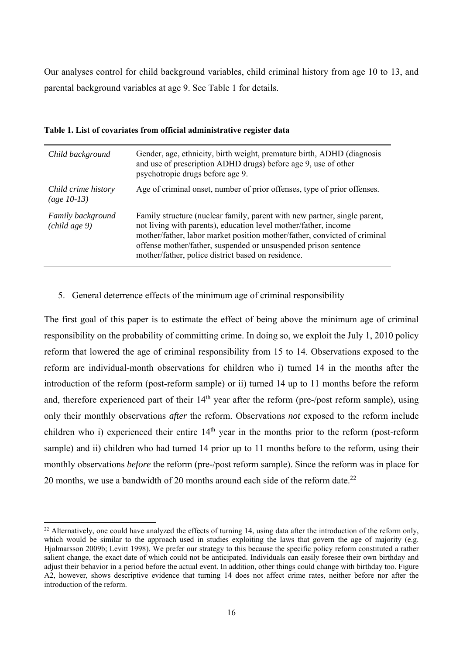Our analyses control for child background variables, child criminal history from age 10 to 13, and parental background variables at age 9. See Table 1 for details.

| Child background                                          | Gender, age, ethnicity, birth weight, premature birth, ADHD (diagnosis<br>and use of prescription ADHD drugs) before age 9, use of other<br>psychotropic drugs before age 9.                                                                                                                                                                       |
|-----------------------------------------------------------|----------------------------------------------------------------------------------------------------------------------------------------------------------------------------------------------------------------------------------------------------------------------------------------------------------------------------------------------------|
| Child crime history<br>(age $10-13$ )                     | Age of criminal onset, number of prior offenses, type of prior offenses.                                                                                                                                                                                                                                                                           |
| Family background<br>$\left($ <i>child age</i> $9\right)$ | Family structure (nuclear family, parent with new partner, single parent,<br>not living with parents), education level mother/father, income<br>mother/father, labor market position mother/father, convicted of criminal<br>offense mother/father, suspended or unsuspended prison sentence<br>mother/father, police district based on residence. |

**Table 1. List of covariates from official administrative register data** 

5. General deterrence effects of the minimum age of criminal responsibility

The first goal of this paper is to estimate the effect of being above the minimum age of criminal responsibility on the probability of committing crime. In doing so, we exploit the July 1, 2010 policy reform that lowered the age of criminal responsibility from 15 to 14. Observations exposed to the reform are individual-month observations for children who i) turned 14 in the months after the introduction of the reform (post-reform sample) or ii) turned 14 up to 11 months before the reform and, therefore experienced part of their  $14<sup>th</sup>$  year after the reform (pre-/post reform sample), using only their monthly observations *after* the reform. Observations *not* exposed to the reform include children who i) experienced their entire  $14<sup>th</sup>$  year in the months prior to the reform (post-reform sample) and ii) children who had turned 14 prior up to 11 months before to the reform, using their monthly observations *before* the reform (pre-/post reform sample). Since the reform was in place for 20 months, we use a bandwidth of 20 months around each side of the reform date.<sup>22</sup>

 $^{22}$  Alternatively, one could have analyzed the effects of turning 14, using data after the introduction of the reform only. which would be similar to the approach used in studies exploiting the laws that govern the age of majority (e.g. Hjalmarsson 2009b; Levitt 1998). We prefer our strategy to this because the specific policy reform constituted a rather salient change, the exact date of which could not be anticipated. Individuals can easily foresee their own birthday and adjust their behavior in a period before the actual event. In addition, other things could change with birthday too. Figure A2, however, shows descriptive evidence that turning 14 does not affect crime rates, neither before nor after the introduction of the reform.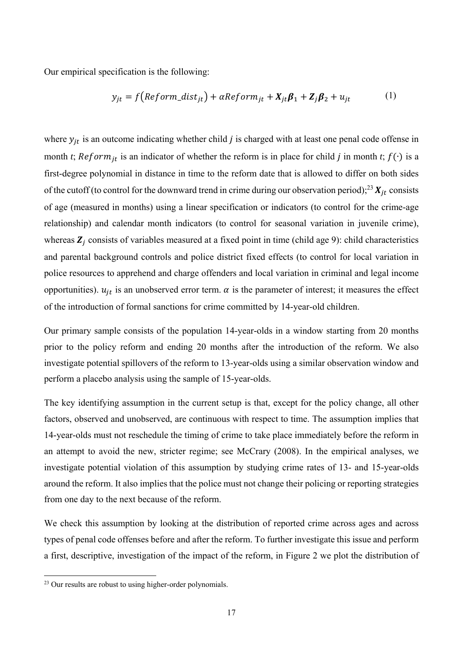Our empirical specification is the following:

$$
y_{jt} = f\big(Reform\_dist_{jt}\big) + \alpha Reform_{jt} + X_{jt}\beta_1 + Z_j\beta_2 + u_{jt} \tag{1}
$$

where  $y_{it}$  is an outcome indicating whether child *j* is charged with at least one penal code offense in month *t*;  $Reform_{it}$  is an indicator of whether the reform is in place for child *j* in month *t*;  $f(·)$  is a first-degree polynomial in distance in time to the reform date that is allowed to differ on both sides of the cutoff (to control for the downward trend in crime during our observation period);<sup>23</sup>  $X_{it}$  consists of age (measured in months) using a linear specification or indicators (to control for the crime-age relationship) and calendar month indicators (to control for seasonal variation in juvenile crime), whereas  $\mathbf{Z}_i$  consists of variables measured at a fixed point in time (child age 9): child characteristics and parental background controls and police district fixed effects (to control for local variation in police resources to apprehend and charge offenders and local variation in criminal and legal income opportunities).  $u_{it}$  is an unobserved error term.  $\alpha$  is the parameter of interest; it measures the effect of the introduction of formal sanctions for crime committed by 14-year-old children.

Our primary sample consists of the population 14-year-olds in a window starting from 20 months prior to the policy reform and ending 20 months after the introduction of the reform. We also investigate potential spillovers of the reform to 13-year-olds using a similar observation window and perform a placebo analysis using the sample of 15-year-olds.

The key identifying assumption in the current setup is that, except for the policy change, all other factors, observed and unobserved, are continuous with respect to time. The assumption implies that 14-year-olds must not reschedule the timing of crime to take place immediately before the reform in an attempt to avoid the new, stricter regime; see McCrary (2008). In the empirical analyses, we investigate potential violation of this assumption by studying crime rates of 13- and 15-year-olds around the reform. It also implies that the police must not change their policing or reporting strategies from one day to the next because of the reform.

We check this assumption by looking at the distribution of reported crime across ages and across types of penal code offenses before and after the reform. To further investigate this issue and perform a first, descriptive, investigation of the impact of the reform, in Figure 2 we plot the distribution of

 $^{23}$  Our results are robust to using higher-order polynomials.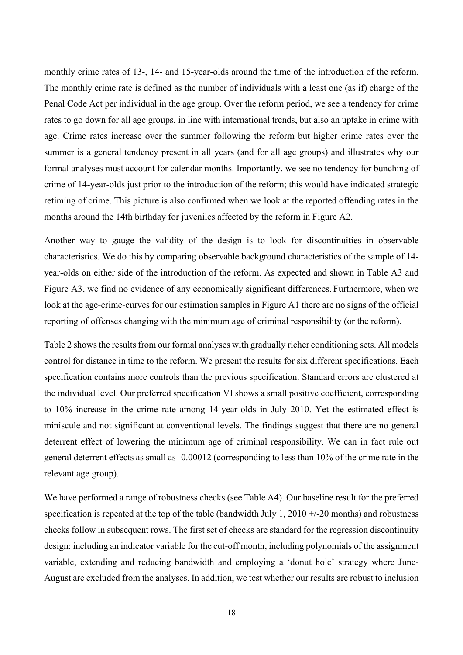monthly crime rates of 13-, 14- and 15-year-olds around the time of the introduction of the reform. The monthly crime rate is defined as the number of individuals with a least one (as if) charge of the Penal Code Act per individual in the age group. Over the reform period, we see a tendency for crime rates to go down for all age groups, in line with international trends, but also an uptake in crime with age. Crime rates increase over the summer following the reform but higher crime rates over the summer is a general tendency present in all years (and for all age groups) and illustrates why our formal analyses must account for calendar months. Importantly, we see no tendency for bunching of crime of 14-year-olds just prior to the introduction of the reform; this would have indicated strategic retiming of crime. This picture is also confirmed when we look at the reported offending rates in the months around the 14th birthday for juveniles affected by the reform in Figure A2.

Another way to gauge the validity of the design is to look for discontinuities in observable characteristics. We do this by comparing observable background characteristics of the sample of 14 year-olds on either side of the introduction of the reform. As expected and shown in Table A3 and Figure A3, we find no evidence of any economically significant differences. Furthermore, when we look at the age-crime-curves for our estimation samples in Figure A1 there are no signs of the official reporting of offenses changing with the minimum age of criminal responsibility (or the reform).

Table 2 shows the results from our formal analyses with gradually richer conditioning sets. All models control for distance in time to the reform. We present the results for six different specifications. Each specification contains more controls than the previous specification. Standard errors are clustered at the individual level. Our preferred specification VI shows a small positive coefficient, corresponding to 10% increase in the crime rate among 14-year-olds in July 2010. Yet the estimated effect is miniscule and not significant at conventional levels. The findings suggest that there are no general deterrent effect of lowering the minimum age of criminal responsibility. We can in fact rule out general deterrent effects as small as -0.00012 (corresponding to less than 10% of the crime rate in the relevant age group).

We have performed a range of robustness checks (see Table A4). Our baseline result for the preferred specification is repeated at the top of the table (bandwidth July 1, 2010  $+/-20$  months) and robustness checks follow in subsequent rows. The first set of checks are standard for the regression discontinuity design: including an indicator variable for the cut-off month, including polynomials of the assignment variable, extending and reducing bandwidth and employing a 'donut hole' strategy where June-August are excluded from the analyses. In addition, we test whether our results are robust to inclusion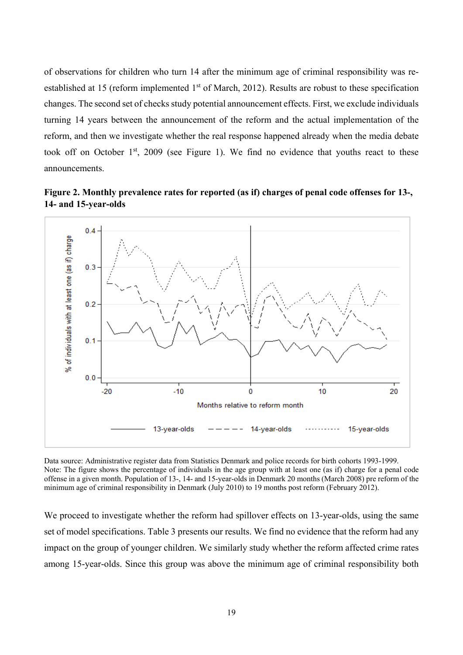of observations for children who turn 14 after the minimum age of criminal responsibility was reestablished at 15 (reform implemented 1<sup>st</sup> of March, 2012). Results are robust to these specification changes. The second set of checks study potential announcement effects. First, we exclude individuals turning 14 years between the announcement of the reform and the actual implementation of the reform, and then we investigate whether the real response happened already when the media debate took off on October  $1<sup>st</sup>$ , 2009 (see Figure 1). We find no evidence that youths react to these announcements.





Data source: Administrative register data from Statistics Denmark and police records for birth cohorts 1993-1999. Note: The figure shows the percentage of individuals in the age group with at least one (as if) charge for a penal code offense in a given month. Population of 13-, 14- and 15-year-olds in Denmark 20 months (March 2008) pre reform of the minimum age of criminal responsibility in Denmark (July 2010) to 19 months post reform (February 2012).

We proceed to investigate whether the reform had spillover effects on 13-year-olds, using the same set of model specifications. Table 3 presents our results. We find no evidence that the reform had any impact on the group of younger children. We similarly study whether the reform affected crime rates among 15-year-olds. Since this group was above the minimum age of criminal responsibility both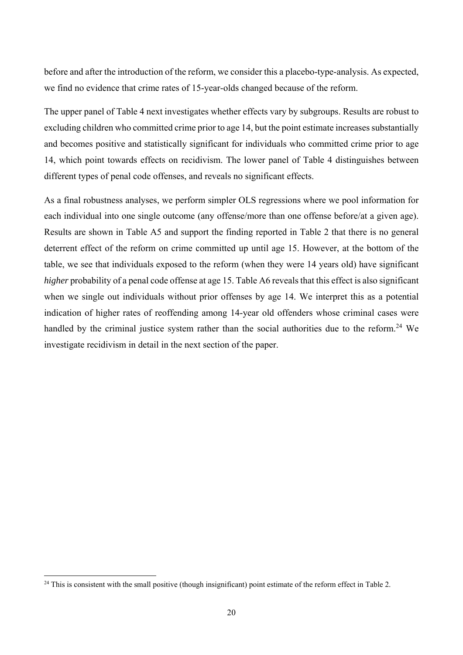before and after the introduction of the reform, we consider this a placebo-type-analysis. As expected, we find no evidence that crime rates of 15-year-olds changed because of the reform.

The upper panel of Table 4 next investigates whether effects vary by subgroups. Results are robust to excluding children who committed crime prior to age 14, but the point estimate increases substantially and becomes positive and statistically significant for individuals who committed crime prior to age 14, which point towards effects on recidivism. The lower panel of Table 4 distinguishes between different types of penal code offenses, and reveals no significant effects.

As a final robustness analyses, we perform simpler OLS regressions where we pool information for each individual into one single outcome (any offense/more than one offense before/at a given age). Results are shown in Table A5 and support the finding reported in Table 2 that there is no general deterrent effect of the reform on crime committed up until age 15. However, at the bottom of the table, we see that individuals exposed to the reform (when they were 14 years old) have significant *higher* probability of a penal code offense at age 15. Table A6 reveals that this effect is also significant when we single out individuals without prior offenses by age 14. We interpret this as a potential indication of higher rates of reoffending among 14-year old offenders whose criminal cases were handled by the criminal justice system rather than the social authorities due to the reform.<sup>24</sup> We investigate recidivism in detail in the next section of the paper.

 $^{24}$  This is consistent with the small positive (though insignificant) point estimate of the reform effect in Table 2.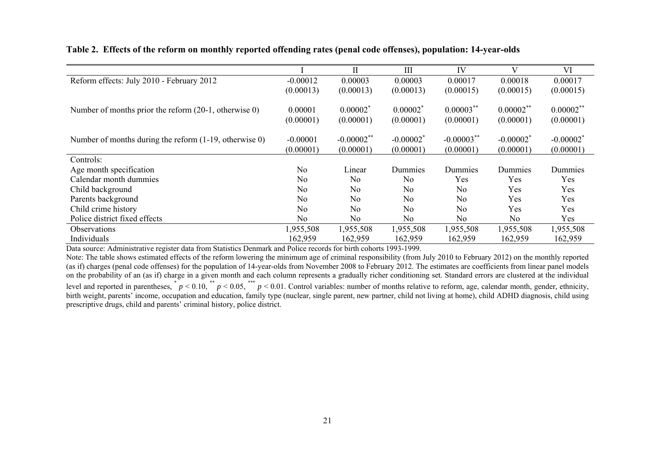|                                                              |                | $\mathbf{I}$   | III                     | IV             | V                       | VI                      |
|--------------------------------------------------------------|----------------|----------------|-------------------------|----------------|-------------------------|-------------------------|
| Reform effects: July 2010 - February 2012                    | $-0.00012$     | 0.00003        | 0.00003                 | 0.00017        | 0.00018                 | 0.00017                 |
|                                                              | (0.00013)      | (0.00013)      | (0.00013)               | (0.00015)      | (0.00015)               | (0.00015)               |
|                                                              |                |                |                         |                |                         |                         |
| Number of months prior the reform $(20-1, 0)$ , otherwise 0) | 0.00001        | $0.00002^*$    | $0.00002^*$             | $0.00003$ **   | $0.00002$ **            | $0.00002$ **            |
|                                                              | (0.00001)      | (0.00001)      | (0.00001)               | (0.00001)      | (0.00001)               | (0.00001)               |
|                                                              |                |                |                         |                |                         |                         |
| Number of months during the reform (1-19, otherwise 0)       | $-0.00001$     | $-0.00002$ **  | $-0.00002$ <sup>*</sup> | $-0.00003$ **  | $-0.00002$ <sup>*</sup> | $-0.00002$ <sup>*</sup> |
|                                                              | (0.00001)      | (0.00001)      | (0.00001)               | (0.00001)      | (0.00001)               | (0.00001)               |
| Controls:                                                    |                |                |                         |                |                         |                         |
| Age month specification                                      | N <sub>o</sub> | Linear         | Dummies                 | Dummies        | Dummies                 | Dummies                 |
| Calendar month dummies                                       | No             | No.            | N <sub>o</sub>          | Yes            | Yes                     | Yes                     |
| Child background                                             | No             | N <sub>o</sub> | No.                     | N <sub>o</sub> | Yes                     | Yes                     |
| Parents background                                           | No.            | No             | No.                     | N <sub>o</sub> | Yes                     | Yes                     |
| Child crime history                                          | No             | N <sub>o</sub> | N <sub>o</sub>          | N <sub>o</sub> | Yes                     | Yes                     |
| Police district fixed effects                                | No             | No             | No                      | N <sub>o</sub> | No.                     | Yes                     |
| <b>Observations</b>                                          | 1,955,508      | 1,955,508      | 1,955,508               | 1,955,508      | 1,955,508               | 1,955,508               |
| Individuals                                                  | 162,959        | 162,959        | 162,959                 | 162,959        | 162,959                 | 162,959                 |

#### **Table 2. Effects of the reform on monthly reported offending rates (penal code offenses), population: 14-year-olds**

Data source: Administrative register data from Statistics Denmark and Police records for birth cohorts 1993-1999.

Note: The table shows estimated effects of the reform lowering the minimum age of criminal responsibility (from July 2010 to February 2012) on the monthly reported (as if) charges (penal code offenses) for the population of 14-year-olds from November 2008 to February 2012. The estimates are coefficients from linear panel models on the probability of an (as if) charge in a given month and each column represents a gradually richer conditioning set. Standard errors are clustered at the individual level and reported in parentheses,  $p < 0.10$ ,  $p < 0.05$ ,  $p < 0.01$ . Control variables: number of months relative to reform, age, calendar month, gender, ethnicity, birth weight, parents' income, occupation and education, family type (nuclear, single parent, new partner, child not living at home), child ADHD diagnosis, child using prescriptive drugs, child and parents' criminal history, police district.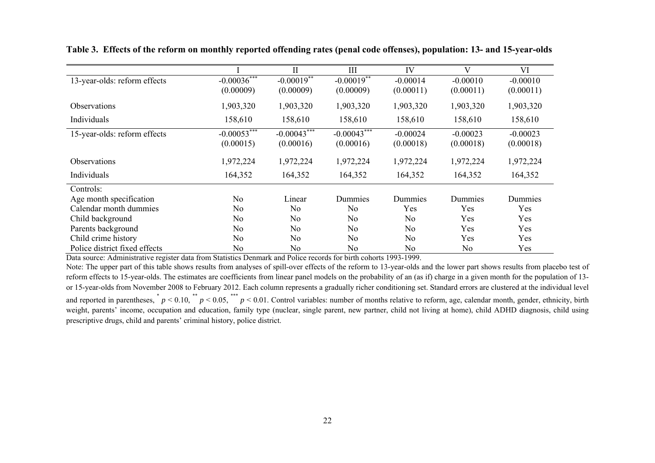|                               |                             | $\mathbf{I}$   | Ш                          | IV             | V          | VI         |
|-------------------------------|-----------------------------|----------------|----------------------------|----------------|------------|------------|
| 13-year-olds: reform effects  | $-0.0003\overline{6}^{***}$ | $-0.00019**$   | $-0.0001\overline{9^{**}}$ | $-0.00014$     | $-0.00010$ | $-0.00010$ |
|                               | (0.00009)                   | (0.00009)      | (0.00009)                  | (0.00011)      | (0.00011)  | (0.00011)  |
| <b>Observations</b>           | 1,903,320                   | 1,903,320      | 1,903,320                  | 1,903,320      | 1,903,320  | 1,903,320  |
| Individuals                   | 158,610                     | 158,610        | 158,610                    | 158,610        | 158,610    | 158,610    |
| 15-year-olds: reform effects  | $-0.0005\overline{3***}$    | $-0.00043***$  | $-0.0004\overline{3***}$   | $-0.00024$     | $-0.00023$ | $-0.00023$ |
|                               | (0.00015)                   | (0.00016)      | (0.00016)                  | (0.00018)      | (0.00018)  | (0.00018)  |
| <b>Observations</b>           | 1,972,224                   | 1,972,224      | 1,972,224                  | 1,972,224      | 1,972,224  | 1,972,224  |
| Individuals                   | 164,352                     | 164,352        | 164,352                    | 164,352        | 164,352    | 164,352    |
| Controls:                     |                             |                |                            |                |            |            |
| Age month specification       | No                          | Linear         | Dummies                    | Dummies        | Dummies    | Dummies    |
| Calendar month dummies        | N <sub>o</sub>              | No             | No                         | Yes            | Yes        | Yes        |
| Child background              | No                          | N <sub>o</sub> | No                         | No             | Yes        | Yes        |
| Parents background            | N <sub>o</sub>              | N <sub>o</sub> | No                         | No             | Yes        | Yes        |
| Child crime history           | N <sub>o</sub>              | N <sub>o</sub> | N <sub>o</sub>             | N <sub>o</sub> | Yes        | Yes        |
| Police district fixed effects | No                          | No.            | No                         | No             | No         | Yes        |

**Table 3. Effects of the reform on monthly reported offending rates (penal code offenses), population: 13- and 15-year-olds** 

Data source: Administrative register data from Statistics Denmark and Police records for birth cohorts 1993-1999.

Note: The upper part of this table shows results from analyses of spill-over effects of the reform to 13-year-olds and the lower part shows results from placebo test of reform effects to 15-year-olds. The estimates are coefficients from linear panel models on the probability of an (as if) charge in a given month for the population of 13 or 15-year-olds from November 2008 to February 2012. Each column represents a gradually richer conditioning set. Standard errors are clustered at the individual level and reported in parentheses,  $p < 0.10$ ,  $p < 0.05$ ,  $p < 0.01$ . Control variables: number of months relative to reform, age, calendar month, gender, ethnicity, birth weight, parents' income, occupation and education, family type (nuclear, single parent, new partner, child not living at home), child ADHD diagnosis, child using prescriptive drugs, child and parents' criminal history, police district.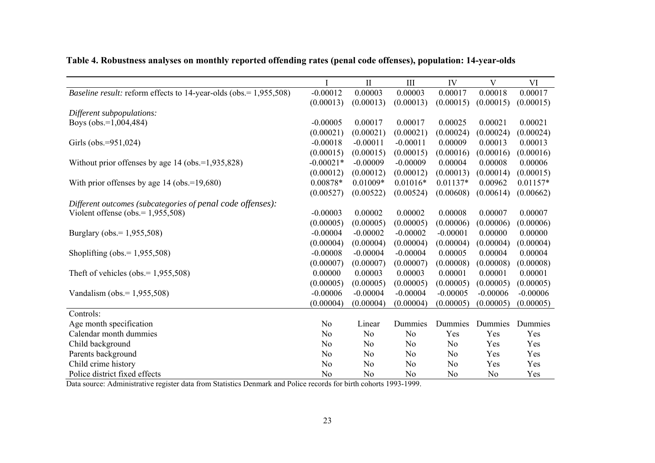|                                                                          |                | $\mathbf{I}$   | III            | IV             | V              | VI         |
|--------------------------------------------------------------------------|----------------|----------------|----------------|----------------|----------------|------------|
| <i>Baseline result:</i> reform effects to 14-year-olds (obs.= 1,955,508) | $-0.00012$     | 0.00003        | 0.00003        | 0.00017        | 0.00018        | 0.00017    |
|                                                                          | (0.00013)      | (0.00013)      | (0.00013)      | (0.00015)      | (0.00015)      | (0.00015)  |
| Different subpopulations:                                                |                |                |                |                |                |            |
| Boys (obs.=1,004,484)                                                    | $-0.00005$     | 0.00017        | 0.00017        | 0.00025        | 0.00021        | 0.00021    |
|                                                                          | (0.00021)      | (0.00021)      | (0.00021)      | (0.00024)      | (0.00024)      | (0.00024)  |
| Girls (obs.=951,024)                                                     | $-0.00018$     | $-0.00011$     | $-0.00011$     | 0.00009        | 0.00013        | 0.00013    |
|                                                                          | (0.00015)      | (0.00015)      | (0.00015)      | (0.00016)      | (0.00016)      | (0.00016)  |
| Without prior offenses by age $14$ (obs.=1,935,828)                      | $-0.00021*$    | $-0.00009$     | $-0.00009$     | 0.00004        | 0.00008        | 0.00006    |
|                                                                          | (0.00012)      | (0.00012)      | (0.00012)      | (0.00013)      | (0.00014)      | (0.00015)  |
| With prior offenses by age $14$ (obs.= $19,680$ )                        | $0.00878*$     | $0.01009*$     | $0.01016*$     | $0.01137*$     | 0.00962        | $0.01157*$ |
|                                                                          | (0.00527)      | (0.00522)      | (0.00524)      | (0.00608)      | (0.00614)      | (0.00662)  |
| Different outcomes (subcategories of penal code offenses):               |                |                |                |                |                |            |
| Violent offense (obs. = $1,955,508$ )                                    | $-0.00003$     | 0.00002        | 0.00002        | 0.00008        | 0.00007        | 0.00007    |
|                                                                          | (0.00005)      | (0.00005)      | (0.00005)      | (0.00006)      | (0.00006)      | (0.00006)  |
| Burglary (obs.= 1,955,508)                                               | $-0.00004$     | $-0.00002$     | $-0.00002$     | $-0.00001$     | 0.00000        | 0.00000    |
|                                                                          | (0.00004)      | (0.00004)      | (0.00004)      | (0.00004)      | (0.00004)      | (0.00004)  |
| Shoplifting (obs. = $1,955,508$ )                                        | $-0.00008$     | $-0.00004$     | $-0.00004$     | 0.00005        | 0.00004        | 0.00004    |
|                                                                          | (0.00007)      | (0.00007)      | (0.00007)      | (0.00008)      | (0.00008)      | (0.00008)  |
| Theft of vehicles (obs. = $1,955,508$ )                                  | 0.00000        | 0.00003        | 0.00003        | 0.00001        | 0.00001        | 0.00001    |
|                                                                          | (0.00005)      | (0.00005)      | (0.00005)      | (0.00005)      | (0.00005)      | (0.00005)  |
| Vandalism (obs. = $1,955,508$ )                                          | $-0.00006$     | $-0.00004$     | $-0.00004$     | $-0.00005$     | $-0.00006$     | $-0.00006$ |
|                                                                          | (0.00004)      | (0.00004)      | (0.00004)      | (0.00005)      | (0.00005)      | (0.00005)  |
| Controls:                                                                |                |                |                |                |                |            |
| Age month specification                                                  | No             | Linear         | Dummies        | Dummies        | Dummies        | Dummies    |
| Calendar month dummies                                                   | N <sub>o</sub> | N <sub>o</sub> | No             | Yes            | Yes            | Yes        |
| Child background                                                         | N <sub>o</sub> | N <sub>o</sub> | No             | No             | Yes            | Yes        |
| Parents background                                                       | N <sub>o</sub> | N <sub>o</sub> | No             | No             | Yes            | Yes        |
| Child crime history                                                      | N <sub>o</sub> | No             | No             | No             | Yes            | Yes        |
| Police district fixed effects                                            | No             | N <sub>o</sub> | N <sub>o</sub> | N <sub>o</sub> | N <sub>o</sub> | Yes        |

**Table 4. Robustness analyses on monthly reported offending rates (penal code offenses), population: 14-year-olds** 

Data source: Administrative register data from Statistics Denmark and Police records for birth cohorts 1993-1999.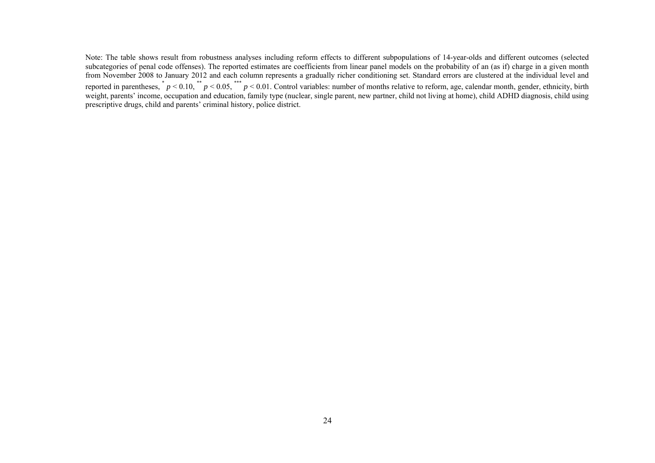Note: The table shows result from robustness analyses including reform effects to different subpopulations of 14-year-olds and different outcomes (selected subcategories of penal code offenses). The reported estimates are coefficients from linear panel models on the probability of an (as if) charge in a given month from November 2008 to January 2012 and each column represents a gradually richer conditioning set. Standard errors are clustered at the individual level and reported in parentheses,  $p < 0.10$ ,  $*$   $p < 0.05$ ,  $*$   $p < 0.01$ . Control variables: number of months relative to reform, age, calendar month, gender, ethnicity, birth weight, parents' income, occupation and education, family type (nuclear, single parent, new partner, child not living at home), child ADHD diagnosis, child using prescriptive drugs, child and parents' criminal history, police district.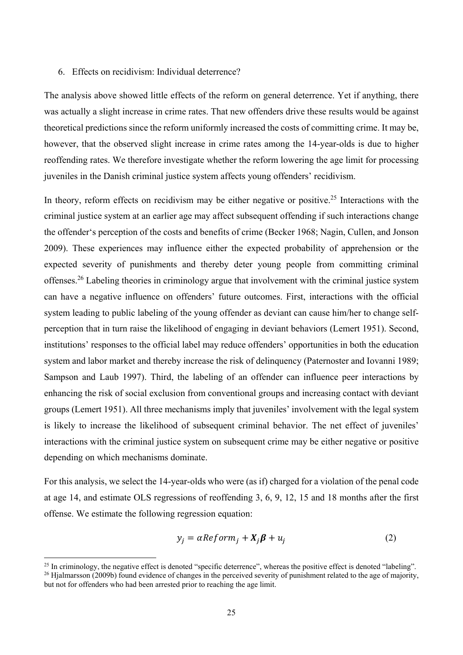#### 6. Effects on recidivism: Individual deterrence?

The analysis above showed little effects of the reform on general deterrence. Yet if anything, there was actually a slight increase in crime rates. That new offenders drive these results would be against theoretical predictions since the reform uniformly increased the costs of committing crime. It may be, however, that the observed slight increase in crime rates among the 14-year-olds is due to higher reoffending rates. We therefore investigate whether the reform lowering the age limit for processing juveniles in the Danish criminal justice system affects young offenders' recidivism.

In theory, reform effects on recidivism may be either negative or positive.<sup>25</sup> Interactions with the criminal justice system at an earlier age may affect subsequent offending if such interactions change the offender's perception of the costs and benefits of crime (Becker 1968; Nagin, Cullen, and Jonson 2009). These experiences may influence either the expected probability of apprehension or the expected severity of punishments and thereby deter young people from committing criminal offenses.26 Labeling theories in criminology argue that involvement with the criminal justice system can have a negative influence on offenders' future outcomes. First, interactions with the official system leading to public labeling of the young offender as deviant can cause him/her to change selfperception that in turn raise the likelihood of engaging in deviant behaviors (Lemert 1951). Second, institutions' responses to the official label may reduce offenders' opportunities in both the education system and labor market and thereby increase the risk of delinquency (Paternoster and Iovanni 1989; Sampson and Laub 1997). Third, the labeling of an offender can influence peer interactions by enhancing the risk of social exclusion from conventional groups and increasing contact with deviant groups (Lemert 1951). All three mechanisms imply that juveniles' involvement with the legal system is likely to increase the likelihood of subsequent criminal behavior. The net effect of juveniles' interactions with the criminal justice system on subsequent crime may be either negative or positive depending on which mechanisms dominate.

For this analysis, we select the 14-year-olds who were (as if) charged for a violation of the penal code at age 14, and estimate OLS regressions of reoffending 3, 6, 9, 12, 15 and 18 months after the first offense. We estimate the following regression equation:

$$
y_j = \alpha \text{Reform}_j + X_j \beta + u_j \tag{2}
$$

<sup>&</sup>lt;sup>25</sup> In criminology, the negative effect is denoted "specific deterrence", whereas the positive effect is denoted "labeling".

 $^{26}$  Hjalmarsson (2009b) found evidence of changes in the perceived severity of punishment related to the age of majority, but not for offenders who had been arrested prior to reaching the age limit.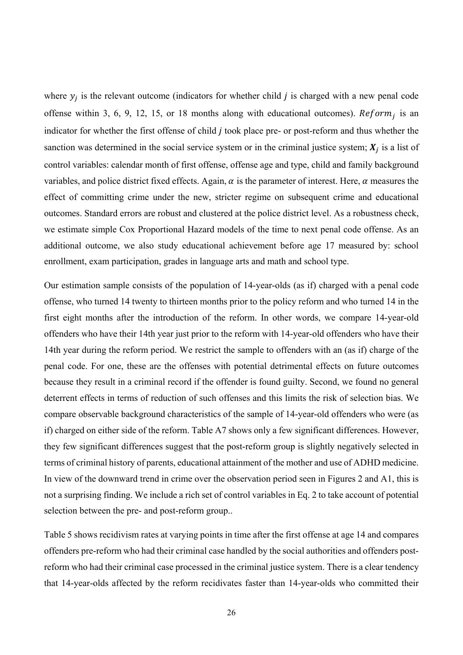where  $y_i$  is the relevant outcome (indicators for whether child j is charged with a new penal code offense within 3, 6, 9, 12, 15, or 18 months along with educational outcomes).  $Reform_i$  is an indicator for whether the first offense of child *j* took place pre- or post-reform and thus whether the sanction was determined in the social service system or in the criminal justice system;  $X_j$  is a list of control variables: calendar month of first offense, offense age and type, child and family background variables, and police district fixed effects. Again,  $\alpha$  is the parameter of interest. Here,  $\alpha$  measures the effect of committing crime under the new, stricter regime on subsequent crime and educational outcomes. Standard errors are robust and clustered at the police district level. As a robustness check, we estimate simple Cox Proportional Hazard models of the time to next penal code offense. As an additional outcome, we also study educational achievement before age 17 measured by: school enrollment, exam participation, grades in language arts and math and school type.

Our estimation sample consists of the population of 14-year-olds (as if) charged with a penal code offense, who turned 14 twenty to thirteen months prior to the policy reform and who turned 14 in the first eight months after the introduction of the reform. In other words, we compare 14-year-old offenders who have their 14th year just prior to the reform with 14-year-old offenders who have their 14th year during the reform period. We restrict the sample to offenders with an (as if) charge of the penal code. For one, these are the offenses with potential detrimental effects on future outcomes because they result in a criminal record if the offender is found guilty. Second, we found no general deterrent effects in terms of reduction of such offenses and this limits the risk of selection bias. We compare observable background characteristics of the sample of 14-year-old offenders who were (as if) charged on either side of the reform. Table A7 shows only a few significant differences. However, they few significant differences suggest that the post-reform group is slightly negatively selected in terms of criminal history of parents, educational attainment of the mother and use of ADHD medicine. In view of the downward trend in crime over the observation period seen in Figures 2 and A1, this is not a surprising finding. We include a rich set of control variables in Eq. 2 to take account of potential selection between the pre- and post-reform group..

Table 5 shows recidivism rates at varying points in time after the first offense at age 14 and compares offenders pre-reform who had their criminal case handled by the social authorities and offenders postreform who had their criminal case processed in the criminal justice system. There is a clear tendency that 14-year-olds affected by the reform recidivates faster than 14-year-olds who committed their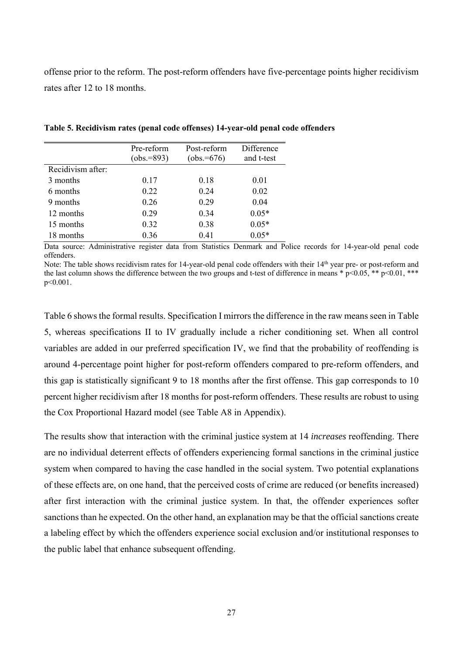offense prior to the reform. The post-reform offenders have five-percentage points higher recidivism rates after 12 to 18 months.

|                   | Pre-reform<br>$(obs.=893)$ | Post-reform<br>$(obs.=676)$ | Difference<br>and t-test |
|-------------------|----------------------------|-----------------------------|--------------------------|
| Recidivism after: |                            |                             |                          |
| 3 months          | 0.17                       | 0.18                        | 0.01                     |
| 6 months          | 0.22                       | 0.24                        | 0.02                     |
| 9 months          | 0.26                       | 0.29                        | 0.04                     |
| 12 months         | 0.29                       | 0.34                        | $0.05*$                  |
| 15 months         | 0.32                       | 0.38                        | $0.05*$                  |
| 18 months         | 0.36                       | 0.41                        | $0.05*$                  |

**Table 5. Recidivism rates (penal code offenses) 14-year-old penal code offenders** 

Data source: Administrative register data from Statistics Denmark and Police records for 14-year-old penal code offenders.

Note: The table shows recidivism rates for 14-year-old penal code offenders with their 14<sup>th</sup> year pre- or post-reform and the last column shows the difference between the two groups and t-test of difference in means  $* p<0.05$ ,  $** p<0.01$ ,  $***$ p<0.001.

Table 6 shows the formal results. Specification I mirrors the difference in the raw means seen in Table 5, whereas specifications II to IV gradually include a richer conditioning set. When all control variables are added in our preferred specification IV, we find that the probability of reoffending is around 4-percentage point higher for post-reform offenders compared to pre-reform offenders, and this gap is statistically significant 9 to 18 months after the first offense. This gap corresponds to 10 percent higher recidivism after 18 months for post-reform offenders. These results are robust to using the Cox Proportional Hazard model (see Table A8 in Appendix).

The results show that interaction with the criminal justice system at 14 *increases* reoffending. There are no individual deterrent effects of offenders experiencing formal sanctions in the criminal justice system when compared to having the case handled in the social system. Two potential explanations of these effects are, on one hand, that the perceived costs of crime are reduced (or benefits increased) after first interaction with the criminal justice system. In that, the offender experiences softer sanctions than he expected. On the other hand, an explanation may be that the official sanctions create a labeling effect by which the offenders experience social exclusion and/or institutional responses to the public label that enhance subsequent offending.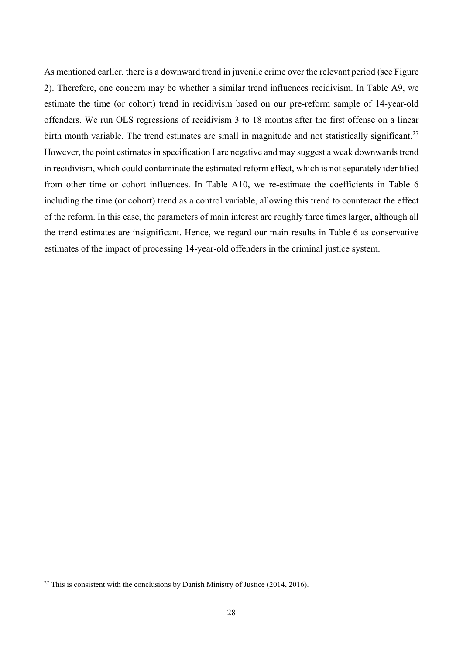As mentioned earlier, there is a downward trend in juvenile crime over the relevant period (see Figure 2). Therefore, one concern may be whether a similar trend influences recidivism. In Table A9, we estimate the time (or cohort) trend in recidivism based on our pre-reform sample of 14-year-old offenders. We run OLS regressions of recidivism 3 to 18 months after the first offense on a linear birth month variable. The trend estimates are small in magnitude and not statistically significant.<sup>27</sup> However, the point estimates in specification I are negative and may suggest a weak downwards trend in recidivism, which could contaminate the estimated reform effect, which is not separately identified from other time or cohort influences. In Table A10, we re-estimate the coefficients in Table 6 including the time (or cohort) trend as a control variable, allowing this trend to counteract the effect of the reform. In this case, the parameters of main interest are roughly three times larger, although all the trend estimates are insignificant. Hence, we regard our main results in Table 6 as conservative estimates of the impact of processing 14-year-old offenders in the criminal justice system.

<sup>&</sup>lt;sup>27</sup> This is consistent with the conclusions by Danish Ministry of Justice (2014, 2016).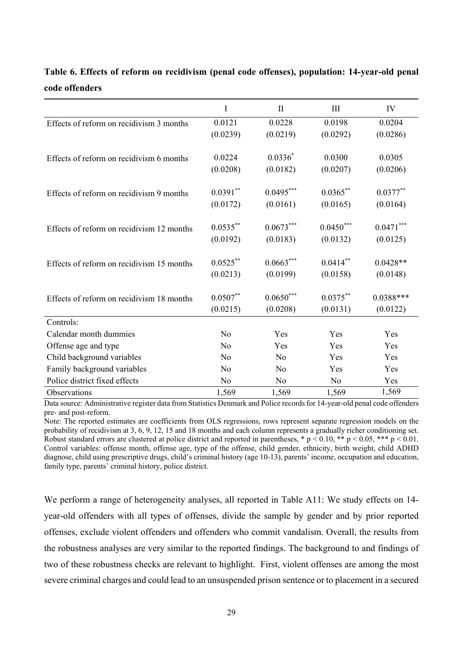|                                           | I              | $\mathbf{I}$   | III         | IV          |
|-------------------------------------------|----------------|----------------|-------------|-------------|
| Effects of reform on recidivism 3 months  | 0.0121         | 0.0228         | 0.0198      | 0.0204      |
|                                           | (0.0239)       | (0.0219)       | (0.0292)    | (0.0286)    |
|                                           |                |                |             |             |
| Effects of reform on recidivism 6 months  | 0.0224         | $0.0336*$      | 0.0300      | 0.0305      |
|                                           | (0.0208)       | (0.0182)       | (0.0207)    | (0.0206)    |
| Effects of reform on recidivism 9 months  | $0.0391**$     | $0.0495***$    | $0.0365**$  | $0.0377**$  |
|                                           | (0.0172)       | (0.0161)       | (0.0165)    | (0.0164)    |
| Effects of reform on recidivism 12 months | $0.0535***$    | $0.0673***$    | $0.0450***$ | $0.0471***$ |
|                                           | (0.0192)       | (0.0183)       | (0.0132)    | (0.0125)    |
|                                           | $0.0525***$    | $0.0663***$    | $0.0414***$ | $0.0428**$  |
| Effects of reform on recidivism 15 months | (0.0213)       | (0.0199)       | (0.0158)    | (0.0148)    |
|                                           |                |                |             |             |
| Effects of reform on recidivism 18 months | $0.0507**$     | $0.0650***$    | $0.0375***$ | $0.0388***$ |
|                                           | (0.0215)       | (0.0208)       | (0.0131)    | (0.0122)    |
| Controls:                                 |                |                |             |             |
| Calendar month dummies                    | No             | Yes            | Yes         | Yes         |
| Offense age and type                      | No             | Yes            | Yes         | Yes         |
| Child background variables                | N <sub>o</sub> | N <sub>0</sub> | Yes         | Yes         |
| Family background variables               | No             | No             | Yes         | Yes         |
| Police district fixed effects             | No             | No             | No          | Yes         |
| Observations                              | 1,569          | 1,569          | 1,569       | 1,569       |

## **Table 6. Effects of reform on recidivism (penal code offenses), population: 14-year-old penal code offenders**

Data source: Administrative register data from Statistics Denmark and Police records for 14-year-old penal code offenders pre- and post-reform.

Note: The reported estimates are coefficients from OLS regressions, rows represent separate regression models on the probability of recidivism at 3, 6, 9, 12, 15 and 18 months and each column represents a gradually richer conditioning set. Robust standard errors are clustered at police district and reported in parentheses, \*  $p \le 0.10$ , \*\*  $p \le 0.05$ , \*\*\*  $p \le 0.01$ . Control variables: offense month, offense age, type of the offense, child gender, ethnicity, birth weight, child ADHD diagnose, child using prescriptive drugs, child's criminal history (age 10-13), parents' income, occupation and education, family type, parents' criminal history, police district.

We perform a range of heterogeneity analyses, all reported in Table A11: We study effects on 14 year-old offenders with all types of offenses, divide the sample by gender and by prior reported offenses, exclude violent offenders and offenders who commit vandalism. Overall, the results from the robustness analyses are very similar to the reported findings. The background to and findings of two of these robustness checks are relevant to highlight. First, violent offenses are among the most severe criminal charges and could lead to an unsuspended prison sentence or to placement in a secured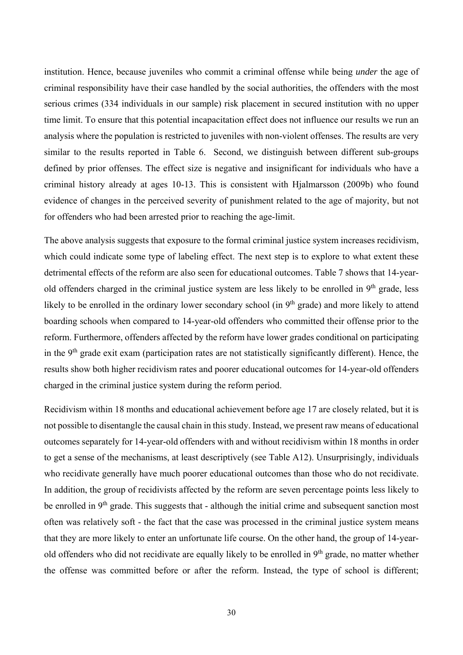institution. Hence, because juveniles who commit a criminal offense while being *under* the age of criminal responsibility have their case handled by the social authorities, the offenders with the most serious crimes (334 individuals in our sample) risk placement in secured institution with no upper time limit. To ensure that this potential incapacitation effect does not influence our results we run an analysis where the population is restricted to juveniles with non-violent offenses. The results are very similar to the results reported in Table 6. Second, we distinguish between different sub-groups defined by prior offenses. The effect size is negative and insignificant for individuals who have a criminal history already at ages 10-13. This is consistent with Hjalmarsson (2009b) who found evidence of changes in the perceived severity of punishment related to the age of majority, but not for offenders who had been arrested prior to reaching the age-limit.

The above analysis suggests that exposure to the formal criminal justice system increases recidivism, which could indicate some type of labeling effect. The next step is to explore to what extent these detrimental effects of the reform are also seen for educational outcomes. Table 7 shows that 14-yearold offenders charged in the criminal justice system are less likely to be enrolled in  $9<sup>th</sup>$  grade, less likely to be enrolled in the ordinary lower secondary school (in 9<sup>th</sup> grade) and more likely to attend boarding schools when compared to 14-year-old offenders who committed their offense prior to the reform. Furthermore, offenders affected by the reform have lower grades conditional on participating in the  $9<sup>th</sup>$  grade exit exam (participation rates are not statistically significantly different). Hence, the results show both higher recidivism rates and poorer educational outcomes for 14-year-old offenders charged in the criminal justice system during the reform period.

Recidivism within 18 months and educational achievement before age 17 are closely related, but it is not possible to disentangle the causal chain in this study. Instead, we present raw means of educational outcomes separately for 14-year-old offenders with and without recidivism within 18 months in order to get a sense of the mechanisms, at least descriptively (see Table A12). Unsurprisingly, individuals who recidivate generally have much poorer educational outcomes than those who do not recidivate. In addition, the group of recidivists affected by the reform are seven percentage points less likely to be enrolled in 9<sup>th</sup> grade. This suggests that - although the initial crime and subsequent sanction most often was relatively soft - the fact that the case was processed in the criminal justice system means that they are more likely to enter an unfortunate life course. On the other hand, the group of 14-yearold offenders who did not recidivate are equally likely to be enrolled in  $9<sup>th</sup>$  grade, no matter whether the offense was committed before or after the reform. Instead, the type of school is different;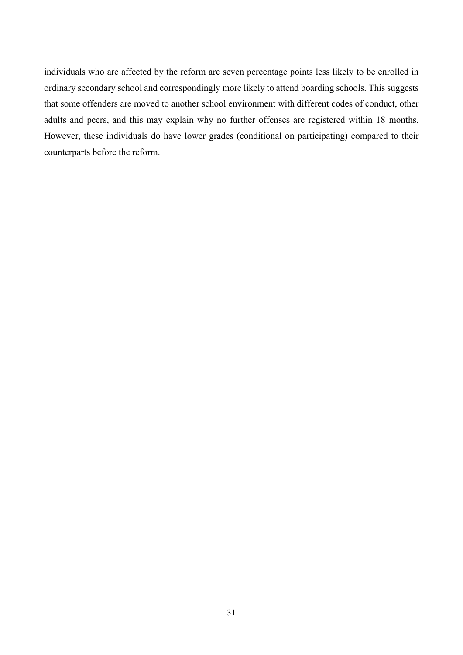individuals who are affected by the reform are seven percentage points less likely to be enrolled in ordinary secondary school and correspondingly more likely to attend boarding schools. This suggests that some offenders are moved to another school environment with different codes of conduct, other adults and peers, and this may explain why no further offenses are registered within 18 months. However, these individuals do have lower grades (conditional on participating) compared to their counterparts before the reform.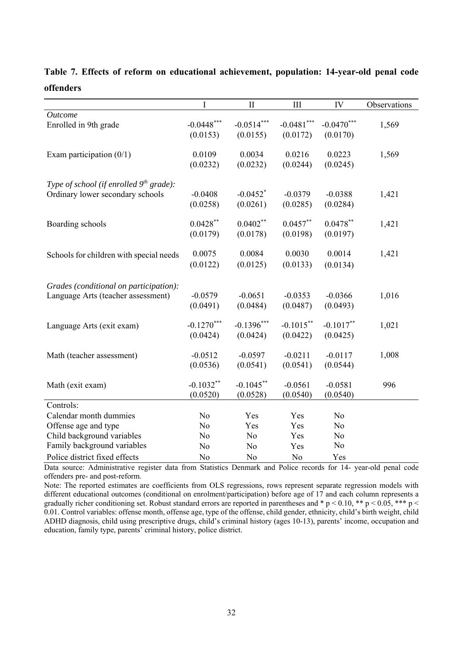|                                           | $\overline{I}$ | $\mathbf{I}$           | III            | IV           | Observations |
|-------------------------------------------|----------------|------------------------|----------------|--------------|--------------|
| <b>Outcome</b>                            |                |                        |                |              |              |
| Enrolled in 9th grade                     | $-0.0448***$   | $-0.0514***$           | $-0.0481$ ***  | $-0.0470***$ | 1,569        |
|                                           | (0.0153)       | (0.0155)               | (0.0172)       | (0.0170)     |              |
|                                           |                |                        |                |              |              |
| Exam participation $(0/1)$                | 0.0109         | 0.0034                 | 0.0216         | 0.0223       | 1,569        |
|                                           | (0.0232)       | (0.0232)               | (0.0244)       | (0.0245)     |              |
|                                           |                |                        |                |              |              |
| Type of school (if enrolled $9th$ grade): |                |                        |                |              |              |
| Ordinary lower secondary schools          | $-0.0408$      | $-0.0452$ <sup>*</sup> | $-0.0379$      | $-0.0388$    | 1,421        |
|                                           | (0.0258)       | (0.0261)               | (0.0285)       | (0.0284)     |              |
|                                           |                |                        |                |              |              |
| Boarding schools                          | $0.0428***$    | $0.0402**$             | $0.0457**$     | $0.0478**$   | 1,421        |
|                                           | (0.0179)       | (0.0178)               | (0.0198)       | (0.0197)     |              |
| Schools for children with special needs   | 0.0075         | 0.0084                 | 0.0030         | 0.0014       | 1,421        |
|                                           | (0.0122)       | (0.0125)               | (0.0133)       | (0.0134)     |              |
|                                           |                |                        |                |              |              |
| Grades (conditional on participation):    |                |                        |                |              |              |
| Language Arts (teacher assessment)        | $-0.0579$      | $-0.0651$              | $-0.0353$      | $-0.0366$    | 1,016        |
|                                           | (0.0491)       | (0.0484)               | (0.0487)       | (0.0493)     |              |
|                                           |                |                        |                |              |              |
| Language Arts (exit exam)                 | $-0.1270***$   | $-0.1396***$           | $-0.1015***$   | $-0.1017**$  | 1,021        |
|                                           | (0.0424)       | (0.0424)               | (0.0422)       | (0.0425)     |              |
|                                           |                |                        |                |              |              |
| Math (teacher assessment)                 | $-0.0512$      | $-0.0597$              | $-0.0211$      | $-0.0117$    | 1,008        |
|                                           | (0.0536)       | (0.0541)               | (0.0541)       | (0.0544)     |              |
|                                           |                |                        |                |              |              |
| Math (exit exam)                          | $-0.1032**$    | $-0.1045$ **           | $-0.0561$      | $-0.0581$    | 996          |
|                                           | (0.0520)       | (0.0528)               | (0.0540)       | (0.0540)     |              |
| Controls:                                 |                |                        |                |              |              |
| Calendar month dummies                    | No             | Yes                    | Yes            | No           |              |
| Offense age and type                      | No             | Yes                    | Yes            | No           |              |
| Child background variables                | No             | No                     | Yes            | No           |              |
| Family background variables               | No             | No                     | Yes            | No           |              |
| Police district fixed effects             | No             | No                     | N <sub>o</sub> | Yes          |              |

## **Table 7. Effects of reform on educational achievement, population: 14-year-old penal code offenders**

Data source: Administrative register data from Statistics Denmark and Police records for 14- year-old penal code offenders pre- and post-reform.

Note: The reported estimates are coefficients from OLS regressions, rows represent separate regression models with different educational outcomes (conditional on enrolment/participation) before age of 17 and each column represents a gradually richer conditioning set. Robust standard errors are reported in parentheses and \* p < 0.10, \*\* p < 0.05, \*\*\* p < 0.01. Control variables: offense month, offense age, type of the offense, child gender, ethnicity, child's birth weight, child ADHD diagnosis, child using prescriptive drugs, child's criminal history (ages 10-13), parents' income, occupation and education, family type, parents' criminal history, police district.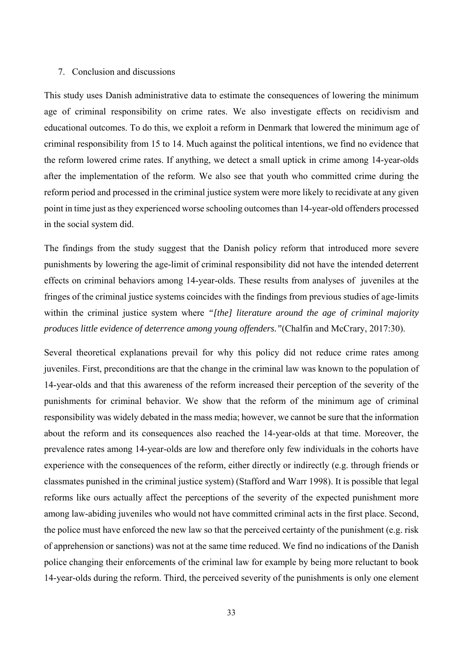#### 7. Conclusion and discussions

This study uses Danish administrative data to estimate the consequences of lowering the minimum age of criminal responsibility on crime rates. We also investigate effects on recidivism and educational outcomes. To do this, we exploit a reform in Denmark that lowered the minimum age of criminal responsibility from 15 to 14. Much against the political intentions, we find no evidence that the reform lowered crime rates. If anything, we detect a small uptick in crime among 14-year-olds after the implementation of the reform. We also see that youth who committed crime during the reform period and processed in the criminal justice system were more likely to recidivate at any given point in time just as they experienced worse schooling outcomes than 14-year-old offenders processed in the social system did.

The findings from the study suggest that the Danish policy reform that introduced more severe punishments by lowering the age-limit of criminal responsibility did not have the intended deterrent effects on criminal behaviors among 14-year-olds. These results from analyses of juveniles at the fringes of the criminal justice systems coincides with the findings from previous studies of age-limits within the criminal justice system where *"[the] literature around the age of criminal majority produces little evidence of deterrence among young offenders."*(Chalfin and McCrary, 2017:30).

Several theoretical explanations prevail for why this policy did not reduce crime rates among juveniles. First, preconditions are that the change in the criminal law was known to the population of 14-year-olds and that this awareness of the reform increased their perception of the severity of the punishments for criminal behavior. We show that the reform of the minimum age of criminal responsibility was widely debated in the mass media; however, we cannot be sure that the information about the reform and its consequences also reached the 14-year-olds at that time. Moreover, the prevalence rates among 14-year-olds are low and therefore only few individuals in the cohorts have experience with the consequences of the reform, either directly or indirectly (e.g. through friends or classmates punished in the criminal justice system) (Stafford and Warr 1998). It is possible that legal reforms like ours actually affect the perceptions of the severity of the expected punishment more among law-abiding juveniles who would not have committed criminal acts in the first place. Second, the police must have enforced the new law so that the perceived certainty of the punishment (e.g. risk of apprehension or sanctions) was not at the same time reduced. We find no indications of the Danish police changing their enforcements of the criminal law for example by being more reluctant to book 14-year-olds during the reform. Third, the perceived severity of the punishments is only one element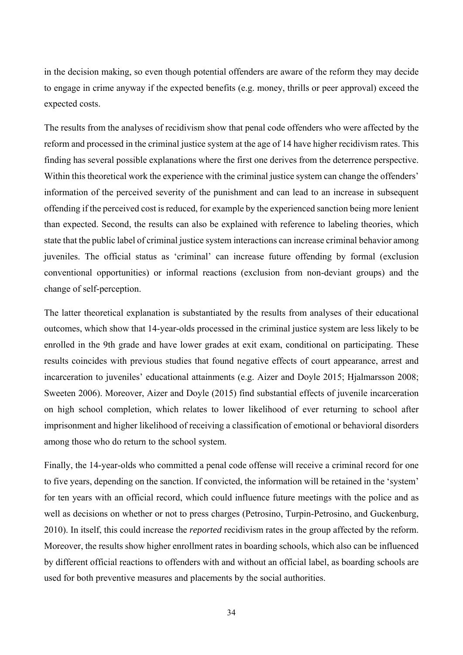in the decision making, so even though potential offenders are aware of the reform they may decide to engage in crime anyway if the expected benefits (e.g. money, thrills or peer approval) exceed the expected costs.

The results from the analyses of recidivism show that penal code offenders who were affected by the reform and processed in the criminal justice system at the age of 14 have higher recidivism rates. This finding has several possible explanations where the first one derives from the deterrence perspective. Within this theoretical work the experience with the criminal justice system can change the offenders' information of the perceived severity of the punishment and can lead to an increase in subsequent offending if the perceived cost is reduced, for example by the experienced sanction being more lenient than expected. Second, the results can also be explained with reference to labeling theories, which state that the public label of criminal justice system interactions can increase criminal behavior among juveniles. The official status as 'criminal' can increase future offending by formal (exclusion conventional opportunities) or informal reactions (exclusion from non-deviant groups) and the change of self-perception.

The latter theoretical explanation is substantiated by the results from analyses of their educational outcomes, which show that 14-year-olds processed in the criminal justice system are less likely to be enrolled in the 9th grade and have lower grades at exit exam, conditional on participating. These results coincides with previous studies that found negative effects of court appearance, arrest and incarceration to juveniles' educational attainments (e.g. Aizer and Doyle 2015; Hjalmarsson 2008; Sweeten 2006). Moreover, Aizer and Doyle (2015) find substantial effects of juvenile incarceration on high school completion, which relates to lower likelihood of ever returning to school after imprisonment and higher likelihood of receiving a classification of emotional or behavioral disorders among those who do return to the school system.

Finally, the 14-year-olds who committed a penal code offense will receive a criminal record for one to five years, depending on the sanction. If convicted, the information will be retained in the 'system' for ten years with an official record, which could influence future meetings with the police and as well as decisions on whether or not to press charges (Petrosino, Turpin-Petrosino, and Guckenburg, 2010). In itself, this could increase the *reported* recidivism rates in the group affected by the reform. Moreover, the results show higher enrollment rates in boarding schools, which also can be influenced by different official reactions to offenders with and without an official label, as boarding schools are used for both preventive measures and placements by the social authorities.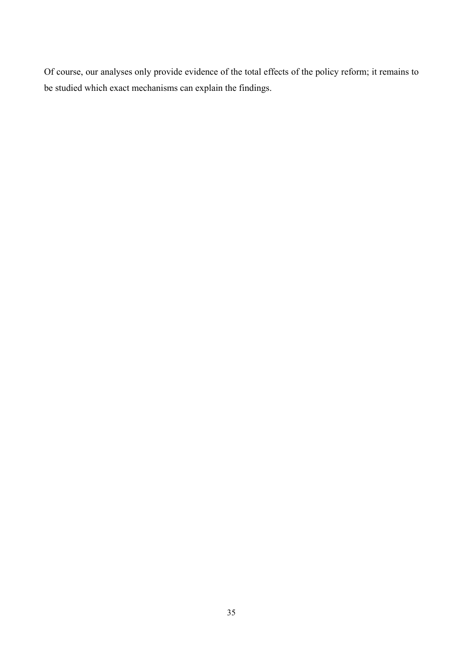Of course, our analyses only provide evidence of the total effects of the policy reform; it remains to be studied which exact mechanisms can explain the findings.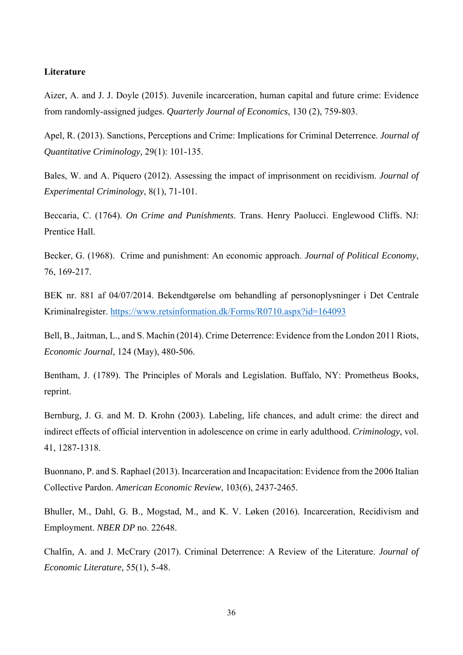#### **Literature**

Aizer, A. and J. J. Doyle (2015). Juvenile incarceration, human capital and future crime: Evidence from randomly-assigned judges. *Quarterly Journal of Economics*, 130 (2), 759-803.

Apel, R. (2013). Sanctions, Perceptions and Crime: Implications for Criminal Deterrence. *Journal of Quantitative Criminology,* 29(1): 101-135.

Bales, W. and A. Piquero (2012). Assessing the impact of imprisonment on recidivism. *Journal of Experimental Criminology*, 8(1), 71-101.

Beccaria, C. (1764). *On Crime and Punishments*. Trans. Henry Paolucci. Englewood Cliffs. NJ: Prentice Hall.

Becker, G. (1968). Crime and punishment: An economic approach. *Journal of Political Economy*, 76, 169-217.

BEK nr. 881 af 04/07/2014. Bekendtgørelse om behandling af personoplysninger i Det Centrale Kriminalregister. https://www.retsinformation.dk/Forms/R0710.aspx?id=164093

Bell, B., Jaitman, L., and S. Machin (2014). Crime Deterrence: Evidence from the London 2011 Riots, *Economic Journal*, 124 (May), 480-506.

Bentham, J. (1789). The Principles of Morals and Legislation. Buffalo, NY: Prometheus Books, reprint.

Bernburg, J. G. and M. D. Krohn (2003). Labeling, life chances, and adult crime: the direct and indirect effects of official intervention in adolescence on crime in early adulthood. *Criminology*, vol. 41, 1287-1318.

Buonnano, P. and S. Raphael (2013). Incarceration and Incapacitation: Evidence from the 2006 Italian Collective Pardon. *American Economic Review*, 103(6), 2437-2465.

Bhuller, M., Dahl, G. B., Mogstad, M., and K. V. Løken (2016). Incarceration, Recidivism and Employment. *NBER DP* no. 22648.

Chalfin, A. and J. McCrary (2017). Criminal Deterrence: A Review of the Literature. *Journal of Economic Literature,* 55(1), 5-48.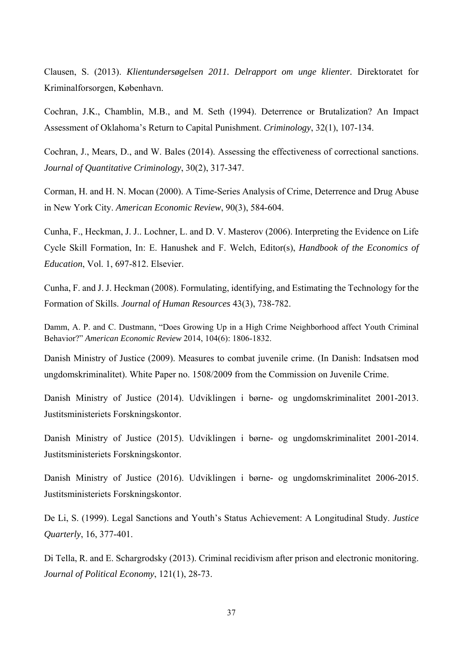Clausen, S. (2013). *Klientundersøgelsen 2011. Delrapport om unge klienter.* Direktoratet for Kriminalforsorgen, København.

Cochran, J.K., Chamblin, M.B., and M. Seth (1994). Deterrence or Brutalization? An Impact Assessment of Oklahoma's Return to Capital Punishment. *Criminology*, 32(1), 107-134.

Cochran, J., Mears, D., and W. Bales (2014). Assessing the effectiveness of correctional sanctions. *Journal of Quantitative Criminology*, 30(2), 317-347.

Corman, H. and H. N. Mocan (2000). A Time-Series Analysis of Crime, Deterrence and Drug Abuse in New York City. *American Economic Review*, 90(3), 584-604.

Cunha, F., Heckman, J. J.. Lochner, L. and D. V. Masterov (2006). Interpreting the Evidence on Life Cycle Skill Formation, In: E. Hanushek and F. Welch, Editor(s), *Handbook of the Economics of Education*, Vol. 1, 697-812. Elsevier.

Cunha, F. and J. J. Heckman (2008). Formulating, identifying, and Estimating the Technology for the Formation of Skills. *Journal of Human Resources* 43(3), 738-782.

Damm, A. P. and C. Dustmann, "Does Growing Up in a High Crime Neighborhood affect Youth Criminal Behavior?" *American Economic Review* 2014, 104(6): 1806-1832.

Danish Ministry of Justice (2009). Measures to combat juvenile crime. (In Danish: Indsatsen mod ungdomskriminalitet). White Paper no. 1508/2009 from the Commission on Juvenile Crime.

Danish Ministry of Justice (2014). Udviklingen i børne- og ungdomskriminalitet 2001-2013. Justitsministeriets Forskningskontor.

Danish Ministry of Justice (2015). Udviklingen i børne- og ungdomskriminalitet 2001-2014. Justitsministeriets Forskningskontor.

Danish Ministry of Justice (2016). Udviklingen i børne- og ungdomskriminalitet 2006-2015. Justitsministeriets Forskningskontor.

De Li, S. (1999). Legal Sanctions and Youth's Status Achievement: A Longitudinal Study. *Justice Quarterly*, 16, 377-401.

Di Tella, R. and E. Schargrodsky (2013). Criminal recidivism after prison and electronic monitoring. *Journal of Political Economy*, 121(1), 28-73.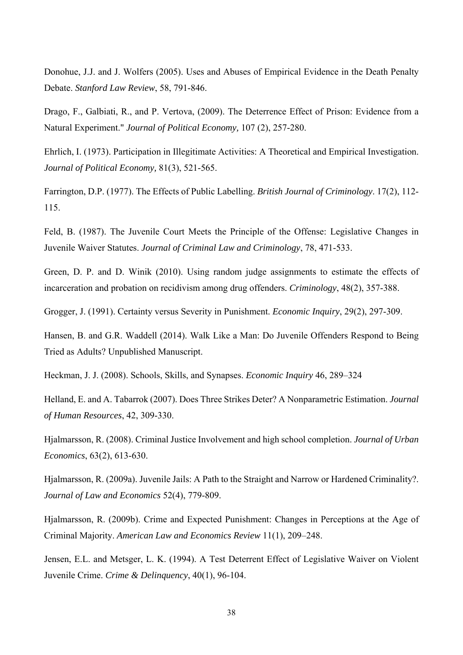Donohue, J.J. and J. Wolfers (2005). Uses and Abuses of Empirical Evidence in the Death Penalty Debate. *Stanford Law Review*, 58, 791-846.

Drago, F., Galbiati, R., and P. Vertova, (2009). The Deterrence Effect of Prison: Evidence from a Natural Experiment." *Journal of Political Economy,* 107 (2), 257-280.

Ehrlich, I. (1973). Participation in Illegitimate Activities: A Theoretical and Empirical Investigation. *Journal of Political Economy,* 81(3), 521-565.

Farrington, D.P. (1977). The Effects of Public Labelling. *British Journal of Criminology*. 17(2), 112- 115.

Feld, B. (1987). The Juvenile Court Meets the Principle of the Offense: Legislative Changes in Juvenile Waiver Statutes. *Journal of Criminal Law and Criminology*, 78, 471-533.

Green, D. P. and D. Winik (2010). Using random judge assignments to estimate the effects of incarceration and probation on recidivism among drug offenders. *Criminology*, 48(2), 357-388.

Grogger, J. (1991). Certainty versus Severity in Punishment. *Economic Inquiry*, 29(2), 297-309.

Hansen, B. and G.R. Waddell (2014). Walk Like a Man: Do Juvenile Offenders Respond to Being Tried as Adults? Unpublished Manuscript.

Heckman, J. J. (2008). Schools, Skills, and Synapses. *Economic Inquiry* 46, 289–324

Helland, E. and A. Tabarrok (2007). Does Three Strikes Deter? A Nonparametric Estimation. *Journal of Human Resources*, 42, 309-330.

Hjalmarsson, R. (2008). Criminal Justice Involvement and high school completion. *Journal of Urban Economics*, 63(2), 613-630.

Hjalmarsson, R. (2009a). Juvenile Jails: A Path to the Straight and Narrow or Hardened Criminality?. *Journal of Law and Economics* 52(4), 779-809.

Hjalmarsson, R. (2009b). Crime and Expected Punishment: Changes in Perceptions at the Age of Criminal Majority. *American Law and Economics Review* 11(1), 209–248.

Jensen, E.L. and Metsger, L. K. (1994). A Test Deterrent Effect of Legislative Waiver on Violent Juvenile Crime. *Crime & Delinquency*, 40(1), 96-104.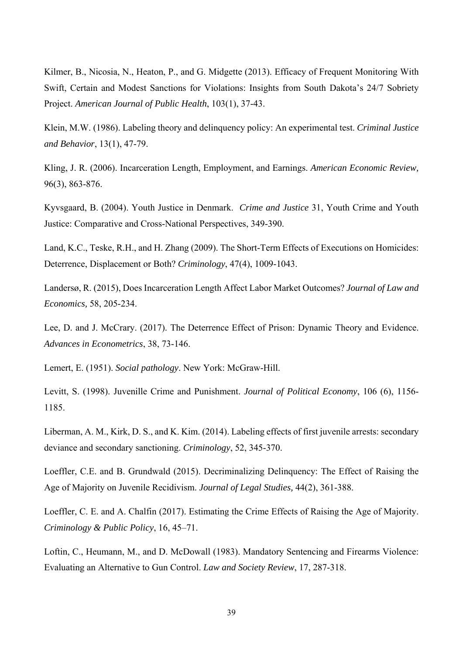Kilmer, B., Nicosia, N., Heaton, P., and G. Midgette (2013). Efficacy of Frequent Monitoring With Swift, Certain and Modest Sanctions for Violations: Insights from South Dakota's 24/7 Sobriety Project. *American Journal of Public Health*, 103(1), 37-43.

Klein, M.W. (1986). Labeling theory and delinquency policy: An experimental test. *Criminal Justice and Behavior*, 13(1), 47-79.

Kling, J. R. (2006). Incarceration Length, Employment, and Earnings. *American Economic Review,* 96(3), 863-876.

Kyvsgaard, B. (2004). Youth Justice in Denmark. *Crime and Justice* 31, Youth Crime and Youth Justice: Comparative and Cross-National Perspectives, 349-390.

Land, K.C., Teske, R.H., and H. Zhang (2009). The Short-Term Effects of Executions on Homicides: Deterrence, Displacement or Both? *Criminology*, 47(4), 1009-1043.

Landersø, R. (2015), Does Incarceration Length Affect Labor Market Outcomes? *Journal of Law and Economics,* 58, 205-234.

Lee, D. and J. McCrary. (2017). The Deterrence Effect of Prison: Dynamic Theory and Evidence. *Advances in Econometrics*, 38, 73-146.

Lemert, E. (1951). *Social pathology*. New York: McGraw-Hill.

Levitt, S. (1998). Juvenille Crime and Punishment. *Journal of Political Economy*, 106 (6), 1156- 1185.

Liberman, A. M., Kirk, D. S., and K. Kim. (2014). Labeling effects of first juvenile arrests: secondary deviance and secondary sanctioning. *Criminology*, 52, 345-370.

Loeffler, C.E. and B. Grundwald (2015). Decriminalizing Delinquency: The Effect of Raising the Age of Majority on Juvenile Recidivism. *Journal of Legal Studies,* 44(2), 361-388.

Loeffler, C. E. and A. Chalfin (2017). Estimating the Crime Effects of Raising the Age of Majority. *Criminology & Public Policy*, 16, 45–71.

Loftin, C., Heumann, M., and D. McDowall (1983). Mandatory Sentencing and Firearms Violence: Evaluating an Alternative to Gun Control. *Law and Society Review*, 17, 287-318.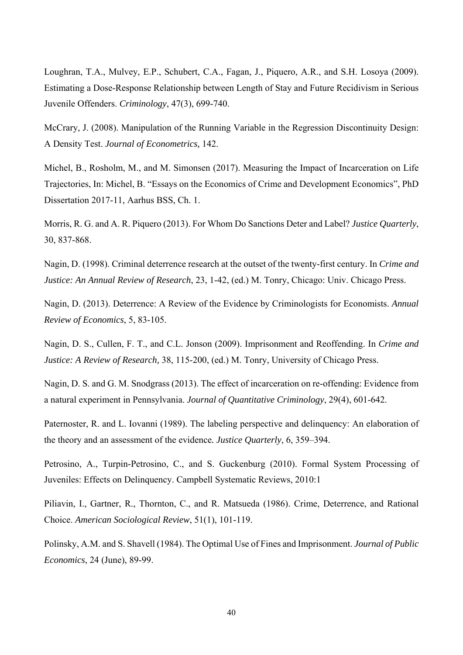Loughran, T.A., Mulvey, E.P., Schubert, C.A., Fagan, J., Piquero, A.R., and S.H. Losoya (2009). Estimating a Dose-Response Relationship between Length of Stay and Future Recidivism in Serious Juvenile Offenders. *Criminology*, 47(3), 699-740.

McCrary, J. (2008). Manipulation of the Running Variable in the Regression Discontinuity Design: A Density Test. *Journal of Econometrics,* 142.

Michel, B., Rosholm, M., and M. Simonsen (2017). Measuring the Impact of Incarceration on Life Trajectories, In: Michel, B. "Essays on the Economics of Crime and Development Economics", PhD Dissertation 2017-11, Aarhus BSS, Ch. 1.

Morris, R. G. and A. R. Piquero (2013). For Whom Do Sanctions Deter and Label? *Justice Quarterly*, 30, 837-868.

Nagin, D. (1998). Criminal deterrence research at the outset of the twenty-first century. In *Crime and Justice: An Annual Review of Research*, 23, 1-42, (ed.) M. Tonry, Chicago: Univ. Chicago Press.

Nagin, D. (2013). Deterrence: A Review of the Evidence by Criminologists for Economists. *Annual Review of Economics*, 5, 83-105.

Nagin, D. S., Cullen, F. T., and C.L. Jonson (2009). Imprisonment and Reoffending. In *Crime and Justice: A Review of Research,* 38, 115-200, (ed.) M. Tonry, University of Chicago Press.

Nagin, D. S. and G. M. Snodgrass (2013). The effect of incarceration on re-offending: Evidence from a natural experiment in Pennsylvania. *Journal of Quantitative Criminology*, 29(4), 601-642.

Paternoster, R. and L. Iovanni (1989). The labeling perspective and delinquency: An elaboration of the theory and an assessment of the evidence*. Justice Quarterly*, 6, 359–394.

Petrosino, A., Turpin-Petrosino, C., and S. Guckenburg (2010). Formal System Processing of Juveniles: Effects on Delinquency. Campbell Systematic Reviews, 2010:1

Piliavin, I., Gartner, R., Thornton, C., and R. Matsueda (1986). Crime, Deterrence, and Rational Choice. *American Sociological Review*, 51(1), 101-119.

Polinsky, A.M. and S. Shavell (1984). The Optimal Use of Fines and Imprisonment. *Journal of Public Economics*, 24 (June), 89-99.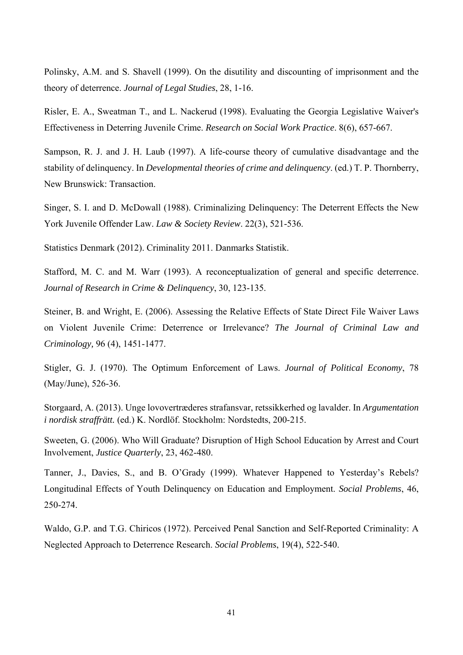Polinsky, A.M. and S. Shavell (1999). On the disutility and discounting of imprisonment and the theory of deterrence. *Journal of Legal Studies*, 28, 1-16.

Risler, E. A., Sweatman T., and L. Nackerud (1998). Evaluating the Georgia Legislative Waiver's Effectiveness in Deterring Juvenile Crime. *Research on Social Work Practice*. 8(6), 657-667.

Sampson, R. J. and J. H. Laub (1997). A life-course theory of cumulative disadvantage and the stability of delinquency. In *Developmental theories of crime and delinquency*. (ed.) T. P. Thornberry, New Brunswick: Transaction.

Singer, S. I. and D. McDowall (1988). Criminalizing Delinquency: The Deterrent Effects the New York Juvenile Offender Law. *Law & Society Review*. 22(3), 521-536.

Statistics Denmark (2012). Criminality 2011. Danmarks Statistik.

Stafford, M. C. and M. Warr (1993). A reconceptualization of general and specific deterrence. *Journal of Research in Crime & Delinquency*, 30, 123-135.

Steiner, B. and Wright, E. (2006). Assessing the Relative Effects of State Direct File Waiver Laws on Violent Juvenile Crime: Deterrence or Irrelevance? *The Journal of Criminal Law and Criminology,* 96 (4), 1451-1477.

Stigler, G. J. (1970). The Optimum Enforcement of Laws. *Journal of Political Economy*, 78 (May/June), 526-36.

Storgaard, A. (2013). Unge lovovertræderes strafansvar, retssikkerhed og lavalder. In *Argumentation i nordisk straffrätt.* (ed.) K. Nordlöf. Stockholm: Nordstedts, 200-215.

Sweeten, G. (2006). Who Will Graduate? Disruption of High School Education by Arrest and Court Involvement, *Justice Quarterly*, 23, 462-480.

Tanner, J., Davies, S., and B. O'Grady (1999). Whatever Happened to Yesterday's Rebels? Longitudinal Effects of Youth Delinquency on Education and Employment. *Social Problems*, 46, 250-274.

Waldo, G.P. and T.G. Chiricos (1972). Perceived Penal Sanction and Self-Reported Criminality: A Neglected Approach to Deterrence Research. *Social Problems*, 19(4), 522-540.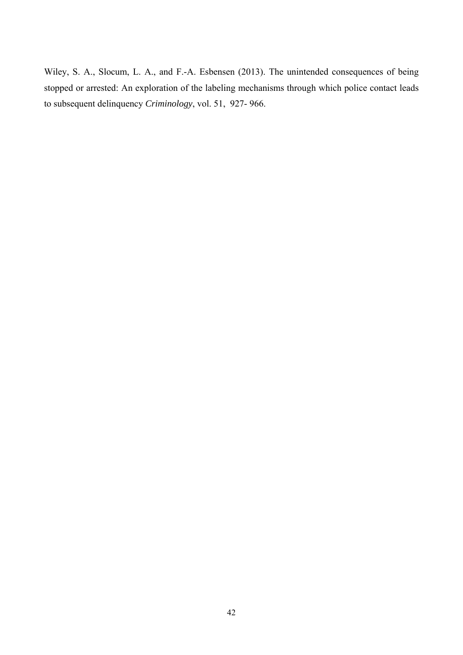Wiley, S. A., Slocum, L. A., and F.-A. Esbensen (2013). The unintended consequences of being stopped or arrested: An exploration of the labeling mechanisms through which police contact leads to subsequent delinquency *Criminology*, vol. 51, 927- 966.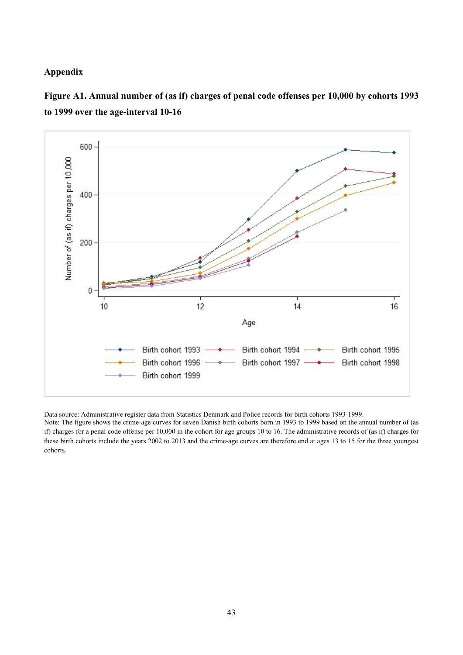#### **Appendix**



**Figure A1. Annual number of (as if) charges of penal code offenses per 10,000 by cohorts 1993 to 1999 over the age-interval 10-16** 

Data source: Administrative register data from Statistics Denmark and Police records for birth cohorts 1993-1999.

Note: The figure shows the crime-age curves for seven Danish birth cohorts born in 1993 to 1999 based on the annual number of (as if) charges for a penal code offense per 10,000 in the cohort for age groups 10 to 16. The administrative records of (as if) charges for these birth cohorts include the years 2002 to 2013 and the crime-age curves are therefore end at ages 13 to 15 for the three youngest cohorts.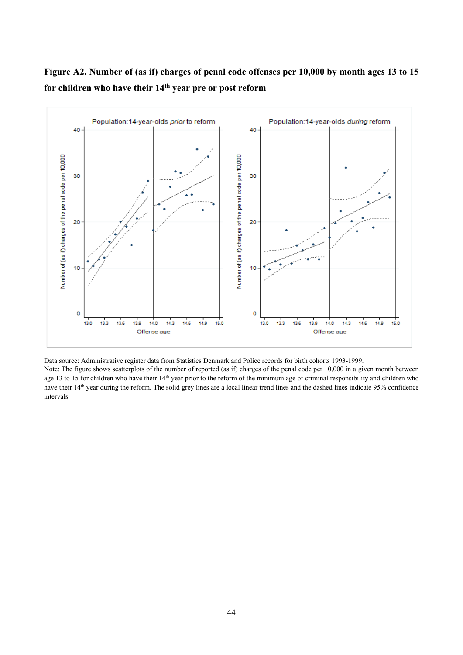

## **Figure A2. Number of (as if) charges of penal code offenses per 10,000 by month ages 13 to 15 for children who have their 14th year pre or post reform**

Data source: Administrative register data from Statistics Denmark and Police records for birth cohorts 1993-1999.

14.9

15.0

13.0

13.3

13.6

13.9

14.0

Offense age

14.3

14.6

Note: The figure shows scatterplots of the number of reported (as if) charges of the penal code per 10,000 in a given month between age 13 to 15 for children who have their 14<sup>th</sup> year prior to the reform of the minimum age of criminal responsibility and children who have their 14<sup>th</sup> year during the reform. The solid grey lines are a local linear trend lines and the dashed lines indicate 95% confidence intervals.

13.0

13.3

13.6

13.9

14.0

Offense age

14.6

14.3

14.9

15.0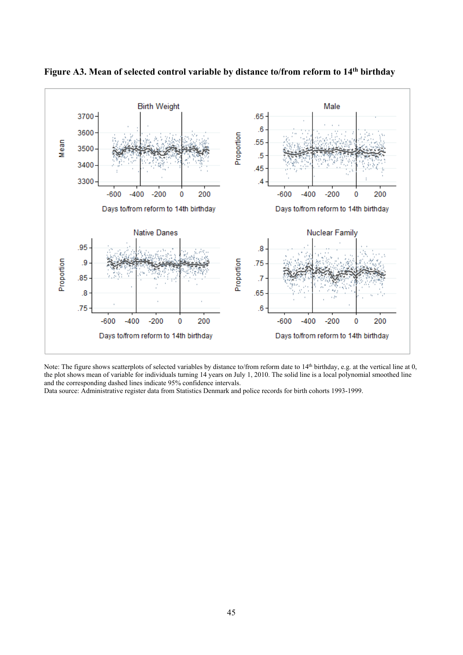

**Figure A3. Mean of selected control variable by distance to/from reform to 14th birthday** 

Note: The figure shows scatterplots of selected variables by distance to/from reform date to 14<sup>th</sup> birthday, e.g. at the vertical line at 0, the plot shows mean of variable for individuals turning 14 years on July 1, 2010. The solid line is a local polynomial smoothed line and the corresponding dashed lines indicate 95% confidence intervals.

Data source: Administrative register data from Statistics Denmark and police records for birth cohorts 1993-1999.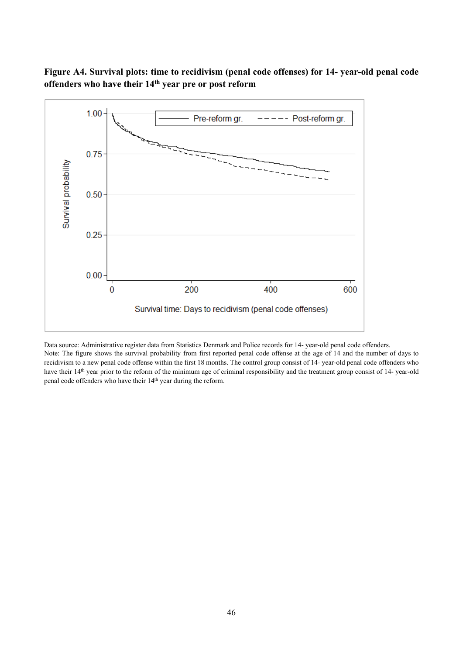### **Figure A4. Survival plots: time to recidivism (penal code offenses) for 14- year-old penal code offenders who have their 14th year pre or post reform**



Data source: Administrative register data from Statistics Denmark and Police records for 14- year-old penal code offenders. Note: The figure shows the survival probability from first reported penal code offense at the age of 14 and the number of days to recidivism to a new penal code offense within the first 18 months. The control group consist of 14- year-old penal code offenders who have their 14<sup>th</sup> year prior to the reform of the minimum age of criminal responsibility and the treatment group consist of 14- year-old penal code offenders who have their 14<sup>th</sup> year during the reform.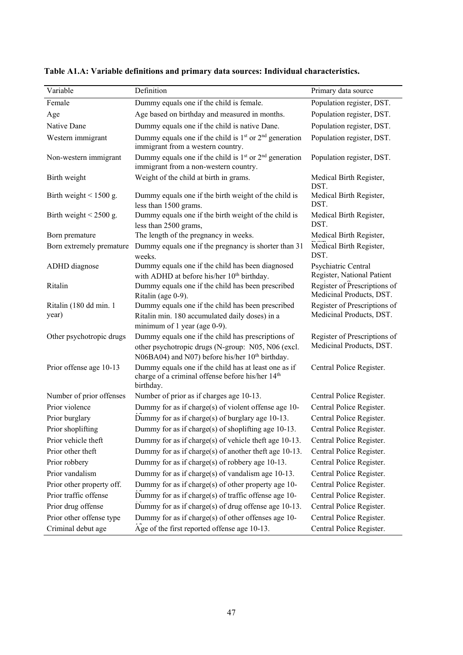| Variable                        | Definition                                                                                                                                                              | Primary data source                                      |
|---------------------------------|-------------------------------------------------------------------------------------------------------------------------------------------------------------------------|----------------------------------------------------------|
| Female                          | Dummy equals one if the child is female.                                                                                                                                | Population register, DST.                                |
| Age                             | Age based on birthday and measured in months.                                                                                                                           | Population register, DST.                                |
| Native Dane                     | Dummy equals one if the child is native Dane.                                                                                                                           | Population register, DST.                                |
| Western immigrant               | Dummy equals one if the child is $1st$ or $2nd$ generation<br>immigrant from a western country.                                                                         | Population register, DST.                                |
| Non-western immigrant           | Dummy equals one if the child is $1st$ or $2nd$ generation<br>immigrant from a non-western country.                                                                     | Population register, DST.                                |
| Birth weight                    | Weight of the child at birth in grams.                                                                                                                                  | Medical Birth Register,<br>DST.                          |
| Birth weight $\leq 1500$ g.     | Dummy equals one if the birth weight of the child is<br>less than 1500 grams.                                                                                           | Medical Birth Register,<br>DST.                          |
| Birth weight $\leq$ 2500 g.     | Dummy equals one if the birth weight of the child is<br>less than 2500 grams,                                                                                           | Medical Birth Register,<br>DST.                          |
| Born premature                  | The length of the pregnancy in weeks.                                                                                                                                   | Medical Birth Register,                                  |
| Born extremely premature        | Dummy equals one if the pregnancy is shorter than 31<br>weeks.                                                                                                          | Medical Birth Register,<br>DST.                          |
| ADHD diagnose                   | Dummy equals one if the child has been diagnosed<br>with ADHD at before his/her 10 <sup>th</sup> birthday.                                                              | Psychiatric Central<br>Register, National Patient        |
| Ritalin                         | Dummy equals one if the child has been prescribed<br>Ritalin (age 0-9).                                                                                                 | Register of Prescriptions of<br>Medicinal Products, DST. |
| Ritalin (180 dd min. 1<br>year) | Dummy equals one if the child has been prescribed<br>Ritalin min. 180 accumulated daily doses) in a<br>minimum of 1 year (age 0-9).                                     | Register of Prescriptions of<br>Medicinal Products, DST. |
| Other psychotropic drugs        | Dummy equals one if the child has prescriptions of<br>other psychotropic drugs (N-group: N05, N06 (excl.<br>N06BA04) and N07) before his/her 10 <sup>th</sup> birthday. | Register of Prescriptions of<br>Medicinal Products, DST. |
| Prior offense age 10-13         | Dummy equals one if the child has at least one as if<br>charge of a criminal offense before his/her 14 <sup>th</sup><br>birthday.                                       | Central Police Register.                                 |
| Number of prior offenses        | Number of prior as if charges age 10-13.                                                                                                                                | Central Police Register.                                 |
| Prior violence                  | Dummy for as if charge(s) of violent offense age 10-                                                                                                                    | Central Police Register.                                 |
| Prior burglary                  | Dummy for as if charge(s) of burglary age 10-13.                                                                                                                        | Central Police Register.                                 |
| Prior shoplifting               | Dummy for as if charge(s) of shoplifting age 10-13.                                                                                                                     | Central Police Register.                                 |
| Prior vehicle theft             | Dummy for as if charge(s) of vehicle theft age 10-13.                                                                                                                   | Central Police Register.                                 |
| Prior other theft               | Dummy for as if charge(s) of another theft age 10-13.                                                                                                                   | Central Police Register.                                 |
| Prior robbery                   | Dummy for as if charge(s) of robbery age 10-13.                                                                                                                         | Central Police Register.                                 |
| Prior vandalism                 | Dummy for as if charge(s) of vandalism age 10-13.                                                                                                                       | Central Police Register.                                 |
| Prior other property off.       | Dummy for as if charge(s) of other property age 10-                                                                                                                     | Central Police Register.                                 |
| Prior traffic offense           | Dummy for as if charge(s) of traffic offense age 10-                                                                                                                    | Central Police Register.                                 |
| Prior drug offense              | Dummy for as if charge(s) of drug offense age 10-13.                                                                                                                    | Central Police Register.                                 |
| Prior other offense type        | Dummy for as if charge(s) of other offenses age 10-                                                                                                                     | Central Police Register.                                 |
| Criminal debut age              | Age of the first reported offense age 10-13.                                                                                                                            | Central Police Register.                                 |

**Table A1.A: Variable definitions and primary data sources: Individual characteristics.**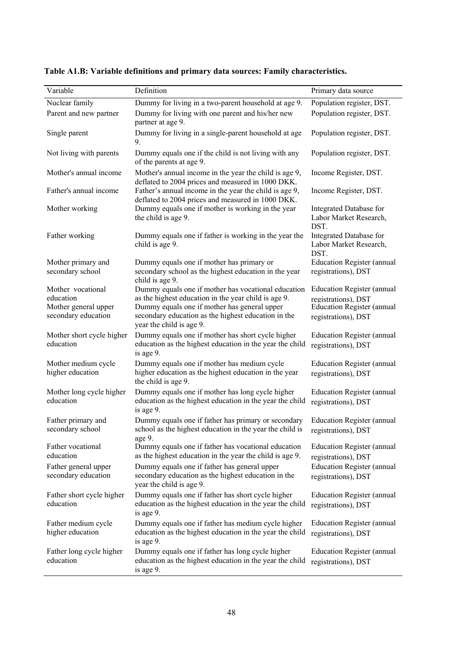| Variable                                    | Definition                                                                                                                      | Primary data source                                       |
|---------------------------------------------|---------------------------------------------------------------------------------------------------------------------------------|-----------------------------------------------------------|
| Nuclear family                              | Dummy for living in a two-parent household at age 9.                                                                            | Population register, DST.                                 |
| Parent and new partner                      | Dummy for living with one parent and his/her new<br>partner at age 9.                                                           | Population register, DST.                                 |
| Single parent                               | Dummy for living in a single-parent household at age<br>9.                                                                      | Population register, DST.                                 |
| Not living with parents                     | Dummy equals one if the child is not living with any<br>of the parents at age 9.                                                | Population register, DST.                                 |
| Mother's annual income                      | Mother's annual income in the year the child is age 9,<br>deflated to 2004 prices and measured in 1000 DKK.                     | Income Register, DST.                                     |
| Father's annual income                      | Father's annual income in the year the child is age 9,<br>deflated to 2004 prices and measured in 1000 DKK.                     | Income Register, DST.                                     |
| Mother working                              | Dummy equals one if mother is working in the year<br>the child is age 9.                                                        | Integrated Database for<br>Labor Market Research,<br>DST. |
| Father working                              | Dummy equals one if father is working in the year the<br>child is age 9.                                                        | Integrated Database for<br>Labor Market Research,<br>DST. |
| Mother primary and<br>secondary school      | Dummy equals one if mother has primary or<br>secondary school as the highest education in the year<br>child is age 9.           | <b>Education Register (annual</b><br>registrations), DST  |
| Mother vocational                           | Dummy equals one if mother has vocational education                                                                             | <b>Education Register (annual</b>                         |
| education<br>Mother general upper           | as the highest education in the year child is age 9.<br>Dummy equals one if mother has general upper                            | registrations), DST<br><b>Education Register (annual</b>  |
| secondary education                         | secondary education as the highest education in the<br>year the child is age 9.                                                 | registrations), DST                                       |
| Mother short cycle higher<br>education      | Dummy equals one if mother has short cycle higher<br>education as the highest education in the year the child<br>is age 9.      | <b>Education Register (annual</b><br>registrations), DST  |
| Mother medium cycle<br>higher education     | Dummy equals one if mother has medium cycle<br>higher education as the highest education in the year<br>the child is age 9.     | <b>Education Register (annual</b><br>registrations), DST  |
| Mother long cycle higher<br>education       | Dummy equals one if mother has long cycle higher<br>education as the highest education in the year the child<br>is age 9.       | <b>Education Register (annual</b><br>registrations), DST  |
| Father primary and<br>secondary school      | Dummy equals one if father has primary or secondary<br>school as the highest education in the year the child is<br>age 9.       | <b>Education Register (annual</b><br>registrations), DST  |
| Father vocational<br>education              | Dummy equals one if father has vocational education<br>as the highest education in the year the child is age 9.                 | <b>Education Register (annual</b><br>registrations), DST  |
| Father general upper<br>secondary education | Dummy equals one if father has general upper<br>secondary education as the highest education in the<br>year the child is age 9. | <b>Education Register (annual</b><br>registrations), DST  |
| Father short cycle higher<br>education      | Dummy equals one if father has short cycle higher<br>education as the highest education in the year the child<br>is age 9.      | <b>Education Register (annual</b><br>registrations), DST  |
| Father medium cycle<br>higher education     | Dummy equals one if father has medium cycle higher<br>education as the highest education in the year the child<br>is age 9.     | <b>Education Register (annual</b><br>registrations), DST  |
| Father long cycle higher<br>education       | Dummy equals one if father has long cycle higher<br>education as the highest education in the year the child<br>is age 9.       | <b>Education Register (annual</b><br>registrations), DST  |

**Table A1.B: Variable definitions and primary data sources: Family characteristics.**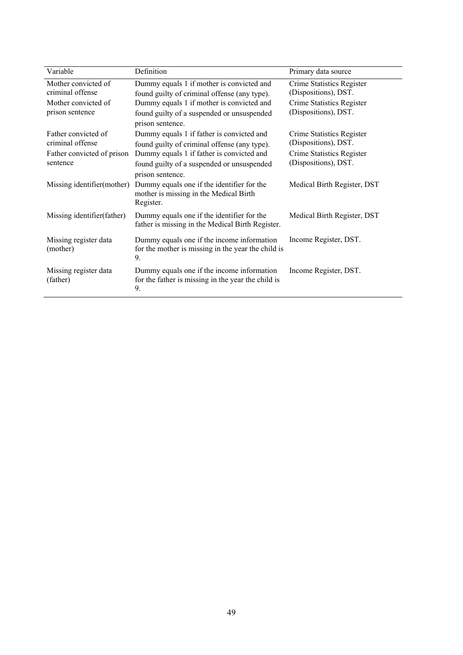| Variable                                                                          | Definition                                                                                                                                                                                               | Primary data source                                                                                    |
|-----------------------------------------------------------------------------------|----------------------------------------------------------------------------------------------------------------------------------------------------------------------------------------------------------|--------------------------------------------------------------------------------------------------------|
| Mother convicted of<br>criminal offense<br>Mother convicted of<br>prison sentence | Dummy equals 1 if mother is convicted and<br>found guilty of criminal offense (any type).<br>Dummy equals 1 if mother is convicted and<br>found guilty of a suspended or unsuspended<br>prison sentence. | Crime Statistics Register<br>(Dispositions), DST.<br>Crime Statistics Register<br>(Dispositions), DST. |
| Father convicted of<br>criminal offense<br>Father convicted of prison<br>sentence | Dummy equals 1 if father is convicted and<br>found guilty of criminal offense (any type).<br>Dummy equals 1 if father is convicted and<br>found guilty of a suspended or unsuspended<br>prison sentence. | Crime Statistics Register<br>(Dispositions), DST.<br>Crime Statistics Register<br>(Dispositions), DST. |
| Missing identifier(mother)                                                        | Dummy equals one if the identifier for the<br>mother is missing in the Medical Birth<br>Register.                                                                                                        | Medical Birth Register, DST                                                                            |
| Missing identifier (father)                                                       | Dummy equals one if the identifier for the<br>father is missing in the Medical Birth Register.                                                                                                           | Medical Birth Register, DST                                                                            |
| Missing register data<br>(mother)                                                 | Dummy equals one if the income information<br>for the mother is missing in the year the child is<br>9.                                                                                                   | Income Register, DST.                                                                                  |
| Missing register data<br>(father)                                                 | Dummy equals one if the income information<br>for the father is missing in the year the child is<br>9.                                                                                                   | Income Register, DST.                                                                                  |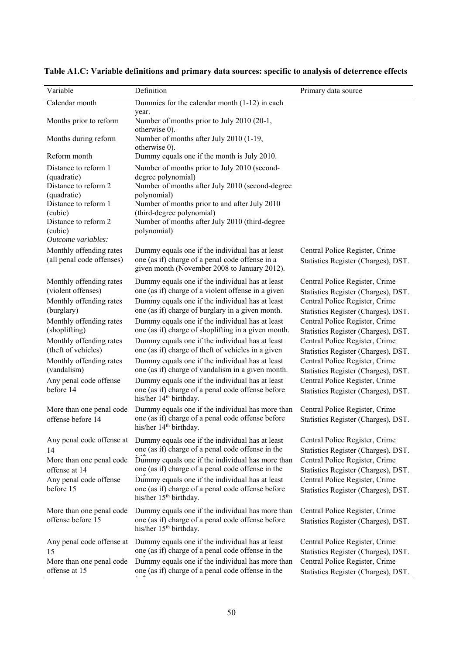| $\overline{\text{Variable}}$                                                                                                                                           | Definition                                                                                                                                                                                                                                                                                                                                                  | Primary data source                                                                                                                                                                                                     |
|------------------------------------------------------------------------------------------------------------------------------------------------------------------------|-------------------------------------------------------------------------------------------------------------------------------------------------------------------------------------------------------------------------------------------------------------------------------------------------------------------------------------------------------------|-------------------------------------------------------------------------------------------------------------------------------------------------------------------------------------------------------------------------|
| Calendar month                                                                                                                                                         | Dummies for the calendar month (1-12) in each                                                                                                                                                                                                                                                                                                               |                                                                                                                                                                                                                         |
| Months prior to reform                                                                                                                                                 | year.<br>Number of months prior to July 2010 (20-1,<br>otherwise 0).                                                                                                                                                                                                                                                                                        |                                                                                                                                                                                                                         |
| Months during reform                                                                                                                                                   | Number of months after July 2010 (1-19,<br>otherwise 0).                                                                                                                                                                                                                                                                                                    |                                                                                                                                                                                                                         |
| Reform month                                                                                                                                                           | Dummy equals one if the month is July 2010.                                                                                                                                                                                                                                                                                                                 |                                                                                                                                                                                                                         |
| Distance to reform 1<br>(quadratic)<br>Distance to reform 2<br>(quadratic)<br>Distance to reform 1<br>(cubic)<br>Distance to reform 2<br>(cubic)<br>Outcome variables: | Number of months prior to July 2010 (second-<br>degree polynomial)<br>Number of months after July 2010 (second-degree<br>polynomial)<br>Number of months prior to and after July 2010<br>(third-degree polynomial)<br>Number of months after July 2010 (third-degree<br>polynomial)                                                                         |                                                                                                                                                                                                                         |
| Monthly offending rates<br>(all penal code offenses)                                                                                                                   | Dummy equals one if the individual has at least<br>one (as if) charge of a penal code offense in a<br>given month (November 2008 to January 2012).                                                                                                                                                                                                          | Central Police Register, Crime<br>Statistics Register (Charges), DST.                                                                                                                                                   |
| Monthly offending rates<br>(violent offenses)<br>Monthly offending rates                                                                                               | Dummy equals one if the individual has at least<br>one (as if) charge of a violent offense in a given<br>Dummy equals one if the individual has at least                                                                                                                                                                                                    | Central Police Register, Crime<br>Statistics Register (Charges), DST.<br>Central Police Register, Crime                                                                                                                 |
| (burglary)<br>Monthly offending rates<br>(shoplifting)                                                                                                                 | one (as if) charge of burglary in a given month.<br>Dummy equals one if the individual has at least<br>one (as if) charge of shoplifting in a given month.                                                                                                                                                                                                  | Statistics Register (Charges), DST.<br>Central Police Register, Crime<br>Statistics Register (Charges), DST.                                                                                                            |
| Monthly offending rates<br>(theft of vehicles)                                                                                                                         | Dummy equals one if the individual has at least<br>one (as if) charge of theft of vehicles in a given                                                                                                                                                                                                                                                       | Central Police Register, Crime<br>Statistics Register (Charges), DST.                                                                                                                                                   |
| Monthly offending rates<br>(vandalism)                                                                                                                                 | Dummy equals one if the individual has at least<br>one (as if) charge of vandalism in a given month.                                                                                                                                                                                                                                                        | Central Police Register, Crime<br>Statistics Register (Charges), DST.                                                                                                                                                   |
| Any penal code offense<br>before 14                                                                                                                                    | Dummy equals one if the individual has at least<br>one (as if) charge of a penal code offense before<br>his/her 14 <sup>th</sup> birthday.                                                                                                                                                                                                                  | Central Police Register, Crime<br>Statistics Register (Charges), DST.                                                                                                                                                   |
| More than one penal code<br>offense before 14                                                                                                                          | Dummy equals one if the individual has more than<br>one (as if) charge of a penal code offense before<br>his/her 14 <sup>th</sup> birthday.                                                                                                                                                                                                                 | Central Police Register, Crime<br>Statistics Register (Charges), DST.                                                                                                                                                   |
| Any penal code offense at<br>14<br>More than one penal code<br>offense at 14<br>Any penal code offense<br>before 15                                                    | Dummy equals one if the individual has at least<br>one (as if) charge of a penal code offense in the<br>Dummy equals one if the individual has more than<br>one (as if) charge of a penal code offense in the<br>Dummy equals one if the individual has at least<br>one (as if) charge of a penal code offense before<br>his/her 15 <sup>th</sup> birthday. | Central Police Register, Crime<br>Statistics Register (Charges), DST.<br>Central Police Register, Crime<br>Statistics Register (Charges), DST.<br>Central Police Register, Crime<br>Statistics Register (Charges), DST. |
| More than one penal code<br>offense before 15                                                                                                                          | Dummy equals one if the individual has more than<br>one (as if) charge of a penal code offense before<br>his/her 15 <sup>th</sup> birthday.                                                                                                                                                                                                                 | Central Police Register, Crime<br>Statistics Register (Charges), DST.                                                                                                                                                   |
| Any penal code offense at<br>15<br>More than one penal code                                                                                                            | Dummy equals one if the individual has at least<br>one (as if) charge of a penal code offense in the<br>Dummy equals one if the individual has more than                                                                                                                                                                                                    | Central Police Register, Crime<br>Statistics Register (Charges), DST.<br>Central Police Register, Crime                                                                                                                 |
| offense at 15                                                                                                                                                          | one (as if) charge of a penal code offense in the                                                                                                                                                                                                                                                                                                           | Statistics Register (Charges), DST.                                                                                                                                                                                     |

**Table A1.C: Variable definitions and primary data sources: specific to analysis of deterrence effects**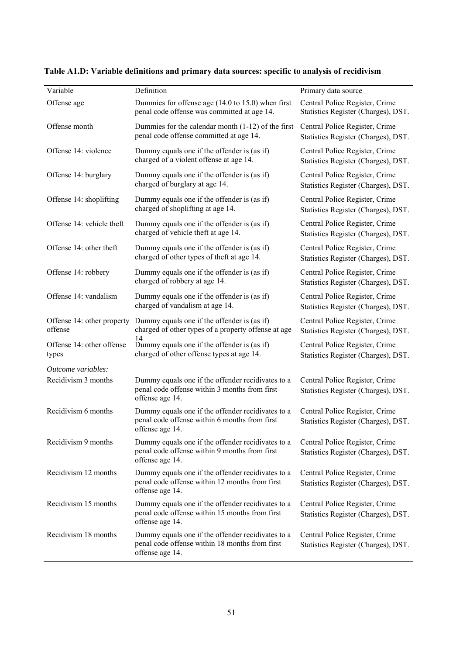| Variable                              | Definition                                                                                                             | Primary data source                                                   |
|---------------------------------------|------------------------------------------------------------------------------------------------------------------------|-----------------------------------------------------------------------|
| Offense age                           | Dummies for offense age (14.0 to 15.0) when first<br>penal code offense was committed at age 14.                       | Central Police Register, Crime<br>Statistics Register (Charges), DST. |
| Offense month                         | Dummies for the calendar month $(1-12)$ of the first<br>penal code offense committed at age 14.                        | Central Police Register, Crime<br>Statistics Register (Charges), DST. |
| Offense 14: violence                  | Dummy equals one if the offender is (as if)<br>charged of a violent offense at age 14.                                 | Central Police Register, Crime<br>Statistics Register (Charges), DST. |
| Offense 14: burglary                  | Dummy equals one if the offender is (as if)<br>charged of burglary at age 14.                                          | Central Police Register, Crime<br>Statistics Register (Charges), DST. |
| Offense 14: shoplifting               | Dummy equals one if the offender is (as if)<br>charged of shoplifting at age 14.                                       | Central Police Register, Crime<br>Statistics Register (Charges), DST. |
| Offense 14: vehicle theft             | Dummy equals one if the offender is (as if)<br>charged of vehicle theft at age 14.                                     | Central Police Register, Crime<br>Statistics Register (Charges), DST. |
| Offense 14: other theft               | Dummy equals one if the offender is (as if)<br>charged of other types of theft at age 14.                              | Central Police Register, Crime<br>Statistics Register (Charges), DST. |
| Offense 14: robbery                   | Dummy equals one if the offender is (as if)<br>charged of robbery at age 14.                                           | Central Police Register, Crime<br>Statistics Register (Charges), DST. |
| Offense 14: vandalism                 | Dummy equals one if the offender is (as if)<br>charged of vandalism at age 14.                                         | Central Police Register, Crime<br>Statistics Register (Charges), DST. |
| Offense 14: other property<br>offense | Dummy equals one if the offender is (as if)<br>charged of other types of a property offense at age<br>14               | Central Police Register, Crime<br>Statistics Register (Charges), DST. |
| Offense 14: other offense<br>types    | Dummy equals one if the offender is (as if)<br>charged of other offense types at age 14.                               | Central Police Register, Crime<br>Statistics Register (Charges), DST. |
| Outcome variables:                    |                                                                                                                        |                                                                       |
| Recidivism 3 months                   | Dummy equals one if the offender recidivates to a<br>penal code offense within 3 months from first<br>offense age 14.  | Central Police Register, Crime<br>Statistics Register (Charges), DST. |
| Recidivism 6 months                   | Dummy equals one if the offender recidivates to a<br>penal code offense within 6 months from first<br>offense age 14.  | Central Police Register, Crime<br>Statistics Register (Charges), DST. |
| Recidivism 9 months                   | Dummy equals one if the offender recidivates to a<br>penal code offense within 9 months from first<br>offense age 14.  | Central Police Register, Crime<br>Statistics Register (Charges), DST. |
| Recidivism 12 months                  | Dummy equals one if the offender recidivates to a<br>penal code offense within 12 months from first<br>offense age 14. | Central Police Register, Crime<br>Statistics Register (Charges), DST. |
| Recidivism 15 months                  | Dummy equals one if the offender recidivates to a<br>penal code offense within 15 months from first<br>offense age 14. | Central Police Register, Crime<br>Statistics Register (Charges), DST. |
| Recidivism 18 months                  | Dummy equals one if the offender recidivates to a<br>penal code offense within 18 months from first<br>offense age 14. | Central Police Register, Crime<br>Statistics Register (Charges), DST. |

**Table A1.D: Variable definitions and primary data sources: specific to analysis of recidivism**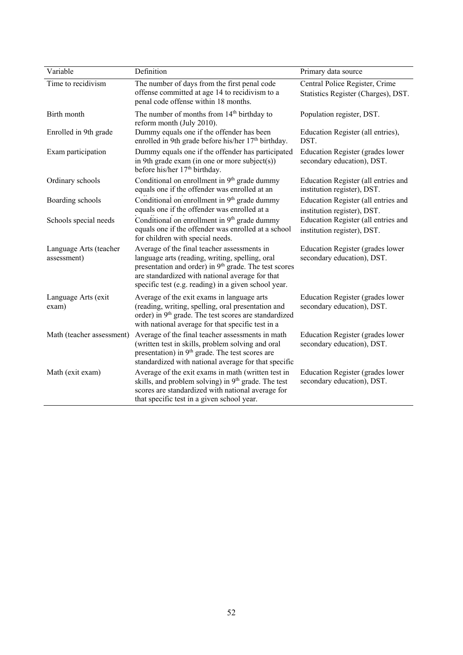| Variable                              | Definition                                                                                                                                                                                                                                                                     | Primary data source                                                   |
|---------------------------------------|--------------------------------------------------------------------------------------------------------------------------------------------------------------------------------------------------------------------------------------------------------------------------------|-----------------------------------------------------------------------|
| Time to recidivism                    | The number of days from the first penal code<br>offense committed at age 14 to recidivism to a<br>penal code offense within 18 months.                                                                                                                                         | Central Police Register, Crime<br>Statistics Register (Charges), DST. |
| Birth month                           | The number of months from 14 <sup>th</sup> birthday to<br>reform month (July 2010).                                                                                                                                                                                            | Population register, DST.                                             |
| Enrolled in 9th grade                 | Dummy equals one if the offender has been<br>enrolled in 9th grade before his/her 17 <sup>th</sup> birthday.                                                                                                                                                                   | Education Register (all entries),<br>DST.                             |
| Exam participation                    | Dummy equals one if the offender has participated<br>in 9th grade exam (in one or more subject(s))<br>before his/her 17 <sup>th</sup> birthday.                                                                                                                                | Education Register (grades lower<br>secondary education), DST.        |
| Ordinary schools                      | Conditional on enrollment in 9 <sup>th</sup> grade dummy<br>equals one if the offender was enrolled at an                                                                                                                                                                      | Education Register (all entries and<br>institution register), DST.    |
| Boarding schools                      | Conditional on enrollment in $9th$ grade dummy<br>equals one if the offender was enrolled at a                                                                                                                                                                                 | Education Register (all entries and<br>institution register), DST.    |
| Schools special needs                 | Conditional on enrollment in 9 <sup>th</sup> grade dummy<br>equals one if the offender was enrolled at a school<br>for children with special needs.                                                                                                                            | Education Register (all entries and<br>institution register), DST.    |
| Language Arts (teacher<br>assessment) | Average of the final teacher assessments in<br>language arts (reading, writing, spelling, oral<br>presentation and order) in 9 <sup>th</sup> grade. The test scores<br>are standardized with national average for that<br>specific test (e.g. reading) in a given school year. | Education Register (grades lower<br>secondary education), DST.        |
| Language Arts (exit<br>exam)          | Average of the exit exams in language arts<br>(reading, writing, spelling, oral presentation and<br>order) in 9 <sup>th</sup> grade. The test scores are standardized<br>with national average for that specific test in a                                                     | Education Register (grades lower<br>secondary education), DST.        |
| Math (teacher assessment)             | Average of the final teacher assessments in math<br>(written test in skills, problem solving and oral<br>presentation) in 9 <sup>th</sup> grade. The test scores are<br>standardized with national average for that specific                                                   | Education Register (grades lower<br>secondary education), DST.        |
| Math (exit exam)                      | Average of the exit exams in math (written test in<br>skills, and problem solving) in 9 <sup>th</sup> grade. The test<br>scores are standardized with national average for<br>that specific test in a given school year.                                                       | Education Register (grades lower<br>secondary education), DST.        |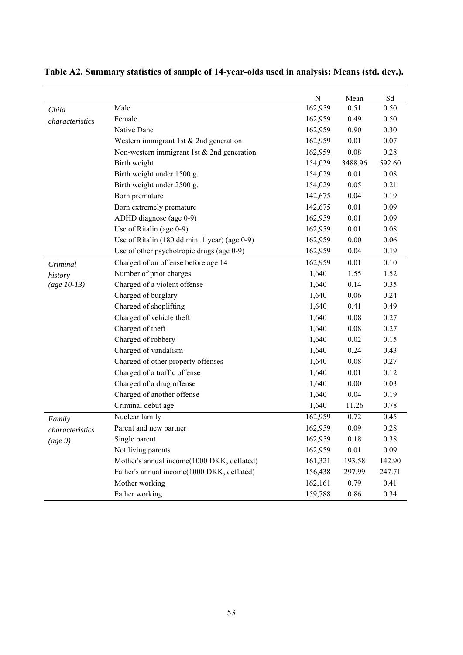|                 |                                               | ${\bf N}$ | Mean    | Sd     |
|-----------------|-----------------------------------------------|-----------|---------|--------|
| Child           | Male                                          | 162,959   | 0.51    | 0.50   |
| characteristics | Female                                        | 162,959   | 0.49    | 0.50   |
|                 | Native Dane                                   | 162,959   | 0.90    | 0.30   |
|                 | Western immigrant 1st & 2nd generation        | 162,959   | 0.01    | 0.07   |
|                 | Non-western immigrant 1st $& 2nd$ generation  | 162,959   | 0.08    | 0.28   |
|                 | Birth weight                                  | 154,029   | 3488.96 | 592.60 |
|                 | Birth weight under 1500 g.                    | 154,029   | 0.01    | 0.08   |
|                 | Birth weight under 2500 g.                    | 154,029   | 0.05    | 0.21   |
|                 | Born premature                                | 142,675   | 0.04    | 0.19   |
|                 | Born extremely premature                      | 142,675   | 0.01    | 0.09   |
|                 | ADHD diagnose (age 0-9)                       | 162,959   | 0.01    | 0.09   |
|                 | Use of Ritalin (age 0-9)                      | 162,959   | 0.01    | 0.08   |
|                 | Use of Ritalin (180 dd min. 1 year) (age 0-9) | 162,959   | 0.00    | 0.06   |
|                 | Use of other psychotropic drugs (age 0-9)     | 162,959   | 0.04    | 0.19   |
| Criminal        | Charged of an offense before age 14           | 162,959   | 0.01    | 0.10   |
| history         | Number of prior charges                       | 1,640     | 1.55    | 1.52   |
| $(age 10-13)$   | Charged of a violent offense                  | 1,640     | 0.14    | 0.35   |
|                 | Charged of burglary                           | 1,640     | 0.06    | 0.24   |
|                 | Charged of shoplifting                        | 1,640     | 0.41    | 0.49   |
|                 | Charged of vehicle theft                      | 1,640     | 0.08    | 0.27   |
|                 | Charged of theft                              | 1,640     | 0.08    | 0.27   |
|                 | Charged of robbery                            | 1,640     | 0.02    | 0.15   |
|                 | Charged of vandalism                          | 1,640     | 0.24    | 0.43   |
|                 | Charged of other property offenses            | 1,640     | 0.08    | 0.27   |
|                 | Charged of a traffic offense                  | 1,640     | 0.01    | 0.12   |
|                 | Charged of a drug offense                     | 1,640     | 0.00    | 0.03   |
|                 | Charged of another offense                    | 1,640     | 0.04    | 0.19   |
|                 | Criminal debut age                            | 1,640     | 11.26   | 0.78   |
| Family          | Nuclear family                                | 162,959   | 0.72    | 0.45   |
| characteristics | Parent and new partner                        | 162,959   | 0.09    | 0.28   |
| (age 9)         | Single parent                                 | 162,959   | 0.18    | 0.38   |
|                 | Not living parents                            | 162,959   | 0.01    | 0.09   |
|                 | Mother's annual income(1000 DKK, deflated)    | 161,321   | 193.58  | 142.90 |
|                 | Father's annual income(1000 DKK, deflated)    | 156,438   | 297.99  | 247.71 |
|                 | Mother working                                | 162,161   | 0.79    | 0.41   |
|                 | Father working                                | 159,788   | 0.86    | 0.34   |

## **Table A2. Summary statistics of sample of 14-year-olds used in analysis: Means (std. dev.).**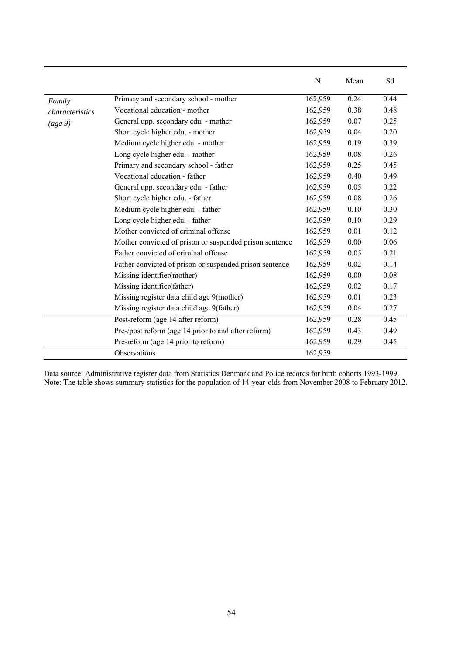|                 |                                                         | N       | Mean | Sd   |
|-----------------|---------------------------------------------------------|---------|------|------|
| Family          | Primary and secondary school - mother                   | 162,959 | 0.24 | 0.44 |
| characteristics | Vocational education - mother                           | 162,959 | 0.38 | 0.48 |
| (age 9)         | General upp. secondary edu. - mother                    | 162,959 | 0.07 | 0.25 |
|                 | Short cycle higher edu. - mother                        | 162,959 | 0.04 | 0.20 |
|                 | Medium cycle higher edu. - mother                       | 162,959 | 0.19 | 0.39 |
|                 | Long cycle higher edu. - mother                         | 162,959 | 0.08 | 0.26 |
|                 | Primary and secondary school - father                   | 162,959 | 0.25 | 0.45 |
|                 | Vocational education - father                           | 162,959 | 0.40 | 0.49 |
|                 | General upp. secondary edu. - father                    | 162,959 | 0.05 | 0.22 |
|                 | Short cycle higher edu. - father                        | 162,959 | 0.08 | 0.26 |
|                 | Medium cycle higher edu. - father                       | 162,959 | 0.10 | 0.30 |
|                 | Long cycle higher edu. - father                         | 162,959 | 0.10 | 0.29 |
|                 | Mother convicted of criminal offense                    | 162,959 | 0.01 | 0.12 |
|                 | Mother convicted of prison or suspended prison sentence | 162,959 | 0.00 | 0.06 |
|                 | Father convicted of criminal offense                    | 162,959 | 0.05 | 0.21 |
|                 | Father convicted of prison or suspended prison sentence | 162,959 | 0.02 | 0.14 |
|                 | Missing identifier(mother)                              | 162,959 | 0.00 | 0.08 |
|                 | Missing identifier (father)                             | 162,959 | 0.02 | 0.17 |
|                 | Missing register data child age 9(mother)               | 162,959 | 0.01 | 0.23 |
|                 | Missing register data child age 9(father)               | 162,959 | 0.04 | 0.27 |
|                 | Post-reform (age 14 after reform)                       | 162,959 | 0.28 | 0.45 |
|                 | Pre-/post reform (age 14 prior to and after reform)     | 162,959 | 0.43 | 0.49 |
|                 | Pre-reform (age 14 prior to reform)                     | 162,959 | 0.29 | 0.45 |
|                 | Observations                                            | 162,959 |      |      |

Data source: Administrative register data from Statistics Denmark and Police records for birth cohorts 1993-1999. Note: The table shows summary statistics for the population of 14-year-olds from November 2008 to February 2012.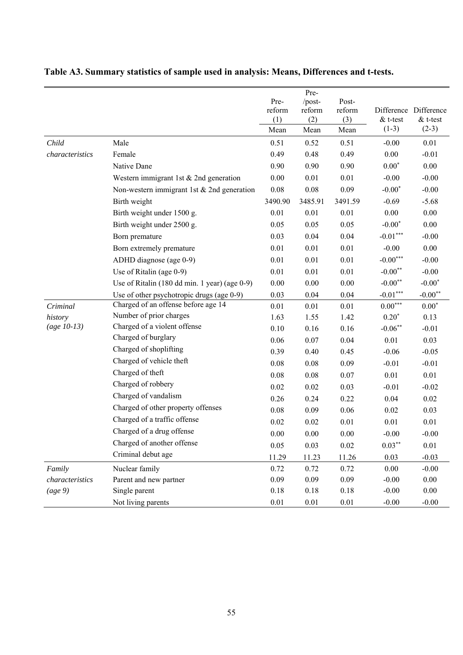|                 |                                               |          | Pre-     |          |            |                       |
|-----------------|-----------------------------------------------|----------|----------|----------|------------|-----------------------|
|                 |                                               | Pre-     | /post-   | Post-    |            |                       |
|                 |                                               | reform   | reform   | reform   |            | Difference Difference |
|                 |                                               | (1)      | (2)      | (3)      | $& t-test$ | $& t$ -test           |
|                 |                                               | Mean     | Mean     | Mean     | $(1-3)$    | $(2-3)$               |
| Child           | Male                                          | 0.51     | 0.52     | 0.51     | $-0.00$    | 0.01                  |
| characteristics | Female                                        | 0.49     | 0.48     | 0.49     | 0.00       | $-0.01$               |
|                 | Native Dane                                   | 0.90     | 0.90     | 0.90     | $0.00*$    | $0.00\,$              |
|                 | Western immigrant 1st & 2nd generation        | 0.00     | 0.01     | 0.01     | $-0.00$    | $-0.00$               |
|                 | Non-western immigrant 1st & 2nd generation    | 0.08     | 0.08     | 0.09     | $-0.00*$   | $-0.00$               |
|                 | Birth weight                                  | 3490.90  | 3485.91  | 3491.59  | $-0.69$    | $-5.68$               |
|                 | Birth weight under 1500 g.                    | 0.01     | 0.01     | 0.01     | 0.00       | $0.00\,$              |
|                 | Birth weight under 2500 g.                    | 0.05     | 0.05     | 0.05     | $-0.00*$   | $0.00\,$              |
|                 | Born premature                                | 0.03     | 0.04     | 0.04     | $-0.01***$ | $-0.00$               |
|                 | Born extremely premature                      | 0.01     | 0.01     | 0.01     | $-0.00$    | 0.00                  |
|                 | ADHD diagnose (age 0-9)                       | 0.01     | 0.01     | 0.01     | $-0.00***$ | $-0.00$               |
|                 | Use of Ritalin (age 0-9)                      | 0.01     | 0.01     | 0.01     | $-0.00**$  | $-0.00$               |
|                 | Use of Ritalin (180 dd min. 1 year) (age 0-9) | $0.00\,$ | 0.00     | 0.00     | $-0.00**$  | $-0.00*$              |
|                 | Use of other psychotropic drugs (age 0-9)     | 0.03     | 0.04     | 0.04     | $-0.01***$ | $-0.00$ <sup>**</sup> |
| Criminal        | Charged of an offense before age 14           | 0.01     | 0.01     | 0.01     | $0.00***$  | $0.00*$               |
| history         | Number of prior charges                       | 1.63     | 1.55     | 1.42     | $0.20*$    | 0.13                  |
| $(age 10-13)$   | Charged of a violent offense                  | 0.10     | 0.16     | 0.16     | $-0.06**$  | $-0.01$               |
|                 | Charged of burglary                           | 0.06     | 0.07     | 0.04     | 0.01       | 0.03                  |
|                 | Charged of shoplifting                        | 0.39     | 0.40     | 0.45     | $-0.06$    | $-0.05$               |
|                 | Charged of vehicle theft                      | $0.08\,$ | 0.08     | 0.09     | $-0.01$    | $-0.01$               |
|                 | Charged of theft                              | 0.08     | 0.08     | 0.07     | 0.01       | 0.01                  |
|                 | Charged of robbery                            | 0.02     | 0.02     | 0.03     | $-0.01$    | $-0.02$               |
|                 | Charged of vandalism                          | 0.26     | 0.24     | 0.22     | 0.04       | 0.02                  |
|                 | Charged of other property offenses            | 0.08     | 0.09     | $0.06\,$ | 0.02       | 0.03                  |
|                 | Charged of a traffic offense                  | 0.02     | 0.02     | 0.01     | $0.01\,$   | 0.01                  |
|                 | Charged of a drug offense                     | $0.00\,$ | $0.00\,$ | $0.00\,$ | $-0.00$    | $-0.00$               |
|                 | Charged of another offense                    | 0.05     | 0.03     | $0.02\,$ | $0.03***$  | 0.01                  |
|                 | Criminal debut age                            | 11.29    | 11.23    | 11.26    | 0.03       | $-0.03$               |
| Family          | Nuclear family                                | 0.72     | 0.72     | 0.72     | 0.00       | $-0.00$               |
| characteristics | Parent and new partner                        | 0.09     | 0.09     | 0.09     | $-0.00$    | 0.00                  |
| (age 9)         | Single parent                                 | 0.18     | 0.18     | $0.18\,$ | $-0.00$    | 0.00                  |
|                 | Not living parents                            | $0.01\,$ | $0.01\,$ | $0.01\,$ | $-0.00$    | $-0.00$               |

## **Table A3. Summary statistics of sample used in analysis: Means, Differences and t-tests.**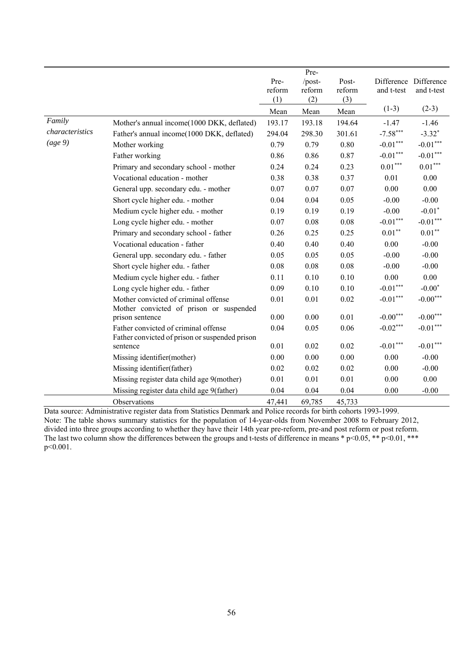|                 |                                                            |        | Pre-   |        |                      |                      |
|-----------------|------------------------------------------------------------|--------|--------|--------|----------------------|----------------------|
|                 |                                                            | Pre-   | /post- | Post-  | Difference           | Difference           |
|                 |                                                            | reform | reform | reform | and t-test           | and t-test           |
|                 |                                                            | (1)    | (2)    | (3)    |                      |                      |
|                 |                                                            | Mean   | Mean   | Mean   | $(1-3)$              | $(2-3)$              |
| Family          | Mother's annual income(1000 DKK, deflated)                 | 193.17 | 193.18 | 194.64 | $-1.47$              | $-1.46$              |
| characteristics | Father's annual income(1000 DKK, deflated)                 | 294.04 | 298.30 | 301.61 | $-7.58***$           | $-3.32$ <sup>*</sup> |
| (age 9)         | Mother working                                             | 0.79   | 0.79   | 0.80   | $-0.01***$           | $-0.01***$           |
|                 | Father working                                             | 0.86   | 0.86   | 0.87   | $-0.01***$           | $-0.01***$           |
|                 | Primary and secondary school - mother                      | 0.24   | 0.24   | 0.23   | $0.01***$            | $0.01***$            |
|                 | Vocational education - mother                              | 0.38   | 0.38   | 0.37   | 0.01                 | 0.00                 |
|                 | General upp. secondary edu. - mother                       | 0.07   | 0.07   | 0.07   | 0.00                 | 0.00                 |
|                 | Short cycle higher edu. - mother                           | 0.04   | 0.04   | 0.05   | $-0.00$              | $-0.00$              |
|                 | Medium cycle higher edu. - mother                          | 0.19   | 0.19   | 0.19   | $-0.00$              | $-0.01$ <sup>*</sup> |
|                 | Long cycle higher edu. - mother                            | 0.07   | 0.08   | 0.08   | $\text{-}0.01^{***}$ | $-0.01***$           |
|                 | Primary and secondary school - father                      | 0.26   | 0.25   | 0.25   | $0.01**$             | $0.01**$             |
|                 | Vocational education - father                              | 0.40   | 0.40   | 0.40   | 0.00                 | $-0.00$              |
|                 | General upp. secondary edu. - father                       | 0.05   | 0.05   | 0.05   | $-0.00$              | $-0.00$              |
|                 | Short cycle higher edu. - father                           | 0.08   | 0.08   | 0.08   | $-0.00$              | $-0.00$              |
|                 | Medium cycle higher edu. - father                          | 0.11   | 0.10   | 0.10   | 0.00                 | 0.00                 |
|                 | Long cycle higher edu. - father                            | 0.09   | 0.10   | 0.10   | $-0.01***$           | $-0.00*$             |
|                 | Mother convicted of criminal offense                       | 0.01   | 0.01   | 0.02   | $-0.01***$           | $-0.00***$           |
|                 | Mother convicted of prison or suspended                    |        |        |        |                      |                      |
|                 | prison sentence                                            | 0.00   | 0.00   | 0.01   | $-0.00***$           | $-0.00***$           |
|                 | Father convicted of criminal offense                       | 0.04   | 0.05   | 0.06   | $-0.02***$           | $-0.01***$           |
|                 | Father convicted of prison or suspended prison<br>sentence | 0.01   | 0.02   | 0.02   | $-0.01***$           | $-0.01***$           |
|                 | Missing identifier(mother)                                 | 0.00   | 0.00   | 0.00   | 0.00                 | $-0.00$              |
|                 |                                                            |        |        |        |                      |                      |
|                 | Missing identifier(father)                                 | 0.02   | 0.02   | 0.02   | 0.00                 | $-0.00$              |
|                 | Missing register data child age 9(mother)                  | 0.01   | 0.01   | 0.01   | 0.00                 | 0.00                 |
|                 | Missing register data child age 9(father)                  | 0.04   | 0.04   | 0.04   | $0.00\,$             | $-0.00$              |
|                 | Observations                                               | 47,441 | 69,785 | 45,733 |                      |                      |

Data source: Administrative register data from Statistics Denmark and Police records for birth cohorts 1993-1999. Note: The table shows summary statistics for the population of 14-year-olds from November 2008 to February 2012, divided into three groups according to whether they have their 14th year pre-reform, pre-and post reform or post reform. The last two column show the differences between the groups and t-tests of difference in means \* p<0.05, \*\* p<0.01, \*\*\* p<0.001.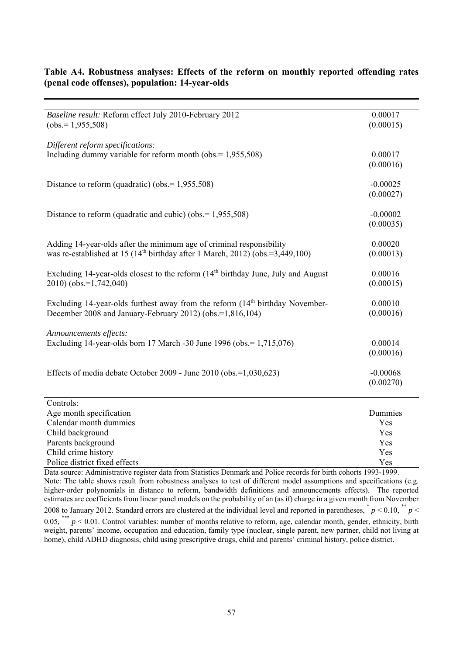| Baseline result: Reform effect July 2010-February 2012                                                                                                                                                                                     | 0.00017    |
|--------------------------------------------------------------------------------------------------------------------------------------------------------------------------------------------------------------------------------------------|------------|
| $(obs.=1,955,508)$                                                                                                                                                                                                                         | (0.00015)  |
|                                                                                                                                                                                                                                            |            |
| Different reform specifications:                                                                                                                                                                                                           |            |
| Including dummy variable for reform month (obs. $= 1,955,508$ )                                                                                                                                                                            | 0.00017    |
|                                                                                                                                                                                                                                            | (0.00016)  |
|                                                                                                                                                                                                                                            |            |
| Distance to reform (quadratic) (obs. = $1,955,508$ )                                                                                                                                                                                       | $-0.00025$ |
|                                                                                                                                                                                                                                            | (0.00027)  |
|                                                                                                                                                                                                                                            |            |
| Distance to reform (quadratic and cubic) (obs. = $1,955,508$ )                                                                                                                                                                             | $-0.00002$ |
|                                                                                                                                                                                                                                            | (0.00035)  |
|                                                                                                                                                                                                                                            |            |
| Adding 14-year-olds after the minimum age of criminal responsibility                                                                                                                                                                       | 0.00020    |
| was re-established at 15 $(14th$ birthday after 1 March, 2012) (obs.=3,449,100)                                                                                                                                                            | (0.00013)  |
| Excluding 14-year-olds closest to the reform $(14th$ birthday June, July and August                                                                                                                                                        | 0.00016    |
| 2010) (obs.=1,742,040)                                                                                                                                                                                                                     | (0.00015)  |
|                                                                                                                                                                                                                                            |            |
| Excluding 14-year-olds furthest away from the reform (14 <sup>th</sup> birthday November-                                                                                                                                                  | 0.00010    |
| December 2008 and January-February 2012) (obs.=1,816,104)                                                                                                                                                                                  | (0.00016)  |
|                                                                                                                                                                                                                                            |            |
| Announcements effects:                                                                                                                                                                                                                     |            |
| Excluding 14-year-olds born 17 March -30 June 1996 (obs. = 1,715,076)                                                                                                                                                                      | 0.00014    |
|                                                                                                                                                                                                                                            | (0.00016)  |
|                                                                                                                                                                                                                                            |            |
| Effects of media debate October 2009 - June 2010 (obs.=1,030,623)                                                                                                                                                                          | $-0.00068$ |
|                                                                                                                                                                                                                                            | (0.00270)  |
| Controls:                                                                                                                                                                                                                                  |            |
| Age month specification                                                                                                                                                                                                                    | Dummies    |
| Calendar month dummies                                                                                                                                                                                                                     | Yes        |
| Child background                                                                                                                                                                                                                           | Yes        |
| Parents background                                                                                                                                                                                                                         | Yes        |
| Child crime history                                                                                                                                                                                                                        | Yes        |
| Police district fixed effects                                                                                                                                                                                                              | Yes        |
| <b><i>Contact Artists Artists Artists Artists Artists Artists Artists Artists Artists Artists Artists Artists Artists Artists Artists Artists Artists Artists Artists Artists Artists Artists Artists Artists Artists Artists Arti</i></b> | 1002.1000  |

#### **Table A4. Robustness analyses: Effects of the reform on monthly reported offending rates (penal code offenses), population: 14-year-olds**

Data source: Administrative register data from Statistics Denmark and Police records for birth cohorts 1993-1999. Note: The table shows result from robustness analyses to test of different model assumptions and specifications (e.g. higher-order polynomials in distance to reform, bandwidth definitions and announcements effects). The reported estimates are coefficients from linear panel models on the probability of an (as if) charge in a given month from November 2008 to January 2012. Standard errors are clustered at the individual level and reported in parentheses,  $\frac{*}{p}$   $> 0.10$ ,  $\frac{*}{p}$   $<$  $0.05,$  <sup>\*\*\*</sup>  $p \le 0.01$ . Control variables: number of months relative to reform, age, calendar month, gender, ethnicity, birth weight, parents' income, occupation and education, family type (nuclear, single parent, new partner, child not living at home), child ADHD diagnosis, child using prescriptive drugs, child and parents' criminal history, police district.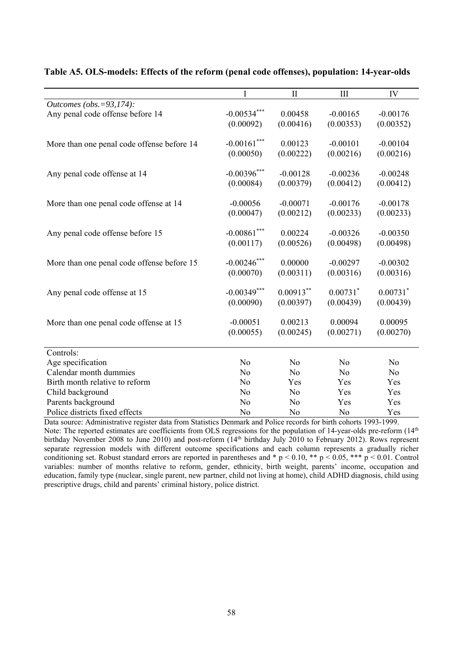|                                            | I              | $\mathbf{I}$   | III                    | IV                     |
|--------------------------------------------|----------------|----------------|------------------------|------------------------|
| Outcomes (obs. = 93,174):                  |                |                |                        |                        |
| Any penal code offense before 14           | $-0.00534***$  | 0.00458        | $-0.00165$             | $-0.00176$             |
|                                            | (0.00092)      | (0.00416)      | (0.00353)              | (0.00352)              |
|                                            |                |                |                        |                        |
| More than one penal code offense before 14 | $-0.00161$ *** | 0.00123        | $-0.00101$             | $-0.00104$             |
|                                            | (0.00050)      | (0.00222)      | (0.00216)              | (0.00216)              |
|                                            |                |                |                        |                        |
| Any penal code offense at 14               | $-0.00396***$  | $-0.00128$     | $-0.00236$             | $-0.00248$             |
|                                            | (0.00084)      | (0.00379)      | (0.00412)              | (0.00412)              |
|                                            |                |                |                        |                        |
| More than one penal code offense at 14     | $-0.00056$     | $-0.00071$     | $-0.00176$             | $-0.00178$             |
|                                            | (0.00047)      | (0.00212)      | (0.00233)              | (0.00233)              |
|                                            |                |                |                        |                        |
| Any penal code offense before 15           | $-0.00861***$  | 0.00224        | $-0.00326$             | $-0.00350$             |
|                                            | (0.00117)      | (0.00526)      | (0.00498)              | (0.00498)              |
|                                            |                |                |                        |                        |
| More than one penal code offense before 15 | $-0.00246$ *** | 0.00000        | $-0.00297$             | $-0.00302$             |
|                                            | (0.00070)      | (0.00311)      | (0.00316)              | (0.00316)              |
|                                            |                |                |                        |                        |
| Any penal code offense at 15               | $-0.00349***$  | $0.00913***$   | $0.00731$ <sup>*</sup> | $0.00731$ <sup>*</sup> |
|                                            | (0.00090)      | (0.00397)      | (0.00439)              | (0.00439)              |
|                                            |                |                |                        |                        |
| More than one penal code offense at 15     | $-0.00051$     | 0.00213        | 0.00094                | 0.00095                |
|                                            | (0.00055)      | (0.00245)      | (0.00271)              | (0.00270)              |
|                                            |                |                |                        |                        |
| Controls:                                  |                |                |                        |                        |
| Age specification                          | N <sub>o</sub> | N <sub>o</sub> | No                     | No                     |
| Calendar month dummies                     | N <sub>o</sub> | N <sub>o</sub> | No                     | N <sub>o</sub>         |
| Birth month relative to reform             | No             | Yes            | Yes                    | Yes                    |
| Child background                           | No             | N <sub>o</sub> | Yes                    | Yes                    |
| Parents background                         | No             | No             | Yes                    | Yes                    |
| Police districts fixed effects             | No             | No             | No                     | Yes                    |

#### **Table A5. OLS-models: Effects of the reform (penal code offenses), population: 14-year-olds**

Data source: Administrative register data from Statistics Denmark and Police records for birth cohorts 1993-1999. Note: The reported estimates are coefficients from OLS regressions for the population of 14-year-olds pre-reform (14<sup>th</sup>) birthday November 2008 to June 2010) and post-reform (14<sup>th</sup> birthday July 2010 to February 2012). Rows represent separate regression models with different outcome specifications and each column represents a gradually richer conditioning set. Robust standard errors are reported in parentheses and  $* p < 0.10$ ,  $** p < 0.05$ ,  $*** p < 0.01$ . Control variables: number of months relative to reform, gender, ethnicity, birth weight, parents' income, occupation and education, family type (nuclear, single parent, new partner, child not living at home), child ADHD diagnosis, child using prescriptive drugs, child and parents' criminal history, police district.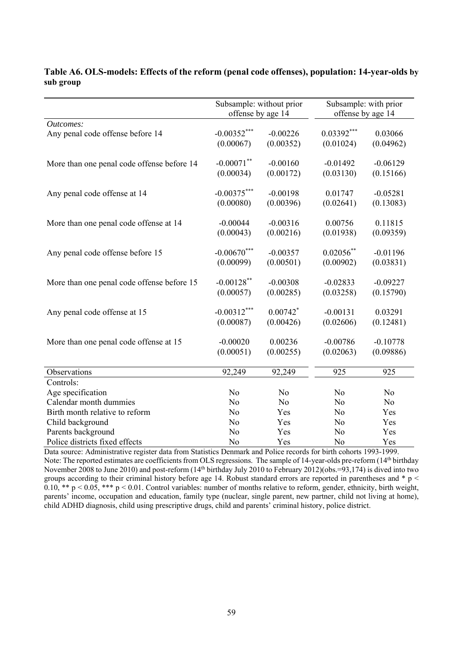|                                            | Subsample: without prior<br>offense by age 14 |                        | Subsample: with prior<br>offense by age 14 |                |
|--------------------------------------------|-----------------------------------------------|------------------------|--------------------------------------------|----------------|
| Outcomes:                                  |                                               |                        |                                            |                |
| Any penal code offense before 14           | $-0.00352***$                                 | $-0.00226$             | $0.03392***$                               | 0.03066        |
|                                            | (0.00067)                                     | (0.00352)              | (0.01024)                                  | (0.04962)      |
| More than one penal code offense before 14 | $-0.00071$ **                                 | $-0.00160$             | $-0.01492$                                 | $-0.06129$     |
|                                            | (0.00034)                                     | (0.00172)              | (0.03130)                                  | (0.15166)      |
| Any penal code offense at 14               | $-0.00375***$                                 | $-0.00198$             | 0.01747                                    | $-0.05281$     |
|                                            | (0.00080)                                     | (0.00396)              | (0.02641)                                  | (0.13083)      |
| More than one penal code offense at 14     | $-0.00044$                                    | $-0.00316$             | 0.00756                                    | 0.11815        |
|                                            | (0.00043)                                     | (0.00216)              | (0.01938)                                  | (0.09359)      |
| Any penal code offense before 15           | $-0.00670$ ***                                | $-0.00357$             | $0.02056$ **                               | $-0.01196$     |
|                                            | (0.00099)                                     | (0.00501)              | (0.00902)                                  | (0.03831)      |
| More than one penal code offense before 15 | $-0.00128$ **                                 | $-0.00308$             | $-0.02833$                                 | $-0.09227$     |
|                                            | (0.00057)                                     | (0.00285)              | (0.03258)                                  | (0.15790)      |
| Any penal code offense at 15               | $-0.00312***$                                 | $0.00742$ <sup>*</sup> | $-0.00131$                                 | 0.03291        |
|                                            | (0.00087)                                     | (0.00426)              | (0.02606)                                  | (0.12481)      |
| More than one penal code offense at 15     | $-0.00020$                                    | 0.00236                | $-0.00786$                                 | $-0.10778$     |
|                                            | (0.00051)                                     | (0.00255)              | (0.02063)                                  | (0.09886)      |
| Observations                               | 92,249                                        | 92,249                 | 925                                        | 925            |
| Controls:                                  |                                               |                        |                                            |                |
| Age specification                          | N <sub>o</sub>                                | No                     | No                                         | N <sub>o</sub> |
| Calendar month dummies                     | N <sub>o</sub>                                | N <sub>o</sub>         | N <sub>o</sub>                             | No             |
| Birth month relative to reform             | N <sub>o</sub>                                | Yes                    | N <sub>o</sub>                             | Yes            |
| Child background                           | N <sub>o</sub>                                | Yes                    | N <sub>o</sub>                             | Yes            |
| Parents background                         | N <sub>o</sub>                                | Yes                    | No                                         | Yes            |
| Police districts fixed effects             | No                                            | Yes                    | No                                         | Yes            |

#### **Table A6. OLS-models: Effects of the reform (penal code offenses), population: 14-year-olds by sub group**

Data source: Administrative register data from Statistics Denmark and Police records for birth cohorts 1993-1999. Note: The reported estimates are coefficients from OLS regressions. The sample of 14-year-olds pre-reform (14th birthday November 2008 to June 2010) and post-reform (14<sup>th</sup> birthday July 2010 to February 2012)(obs.=93,174) is dived into two groups according to their criminal history before age 14. Robust standard errors are reported in parentheses and \* p <  $0.10, ** p < 0.05, *** p < 0.01$ . Control variables: number of months relative to reform, gender, ethnicity, birth weight, parents' income, occupation and education, family type (nuclear, single parent, new partner, child not living at home), child ADHD diagnosis, child using prescriptive drugs, child and parents' criminal history, police district.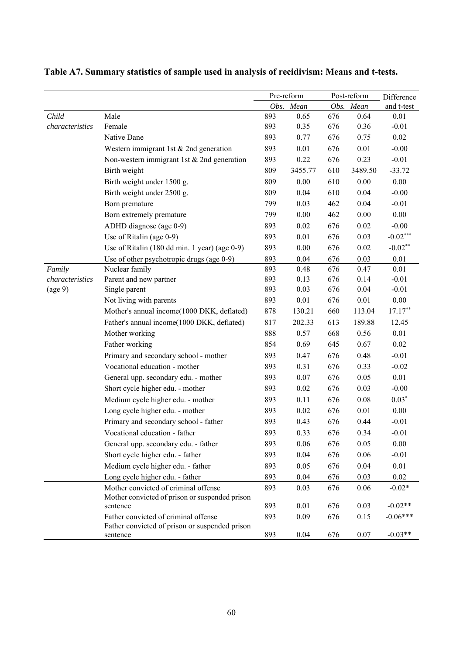|                 |                                                                                        | Pre-reform |           | Post-reform |           | Difference |
|-----------------|----------------------------------------------------------------------------------------|------------|-----------|-------------|-----------|------------|
|                 |                                                                                        |            | Obs. Mean |             | Obs. Mean | and t-test |
| Child           | Male                                                                                   | 893        | 0.65      | 676         | 0.64      | 0.01       |
| characteristics | Female                                                                                 | 893        | 0.35      | 676         | 0.36      | $-0.01$    |
|                 | Native Dane                                                                            | 893        | 0.77      | 676         | 0.75      | 0.02       |
|                 | Western immigrant 1st & 2nd generation                                                 | 893        | 0.01      | 676         | 0.01      | $-0.00$    |
|                 | Non-western immigrant 1st $& 2nd$ generation                                           | 893        | 0.22      | 676         | 0.23      | $-0.01$    |
|                 | Birth weight                                                                           | 809        | 3455.77   | 610         | 3489.50   | $-33.72$   |
|                 | Birth weight under 1500 g.                                                             | 809        | 0.00      | 610         | $0.00\,$  | 0.00       |
|                 | Birth weight under 2500 g.                                                             | 809        | 0.04      | 610         | 0.04      | $-0.00$    |
|                 | Born premature                                                                         | 799        | 0.03      | 462         | 0.04      | $-0.01$    |
|                 | Born extremely premature                                                               | 799        | 0.00      | 462         | 0.00      | 0.00       |
|                 | ADHD diagnose (age 0-9)                                                                | 893        | 0.02      | 676         | 0.02      | $-0.00$    |
|                 | Use of Ritalin (age 0-9)                                                               | 893        | 0.01      | 676         | 0.03      | $-0.02***$ |
|                 | Use of Ritalin (180 dd min. 1 year) (age 0-9)                                          | 893        | 0.00      | 676         | 0.02      | $-0.02**$  |
|                 | Use of other psychotropic drugs (age 0-9)                                              | 893        | 0.04      | 676         | 0.03      | 0.01       |
| Family          | Nuclear family                                                                         | 893        | 0.48      | 676         | 0.47      | 0.01       |
| characteristics | Parent and new partner                                                                 | 893        | 0.13      | 676         | 0.14      | $-0.01$    |
| (age 9)         | Single parent                                                                          | 893        | 0.03      | 676         | 0.04      | $-0.01$    |
|                 | Not living with parents                                                                | 893        | 0.01      | 676         | $0.01\,$  | 0.00       |
|                 | Mother's annual income(1000 DKK, deflated)                                             | 878        | 130.21    | 660         | 113.04    | $17.17**$  |
|                 | Father's annual income(1000 DKK, deflated)                                             | 817        | 202.33    | 613         | 189.88    | 12.45      |
|                 | Mother working                                                                         | 888        | 0.57      | 668         | 0.56      | 0.01       |
|                 | Father working                                                                         | 854        | 0.69      | 645         | 0.67      | 0.02       |
|                 | Primary and secondary school - mother                                                  | 893        | 0.47      | 676         | 0.48      | $-0.01$    |
|                 | Vocational education - mother                                                          | 893        | 0.31      | 676         | 0.33      | $-0.02$    |
|                 | General upp. secondary edu. - mother                                                   | 893        | 0.07      | 676         | 0.05      | 0.01       |
|                 | Short cycle higher edu. - mother                                                       | 893        | 0.02      | 676         | 0.03      | $-0.00$    |
|                 | Medium cycle higher edu. - mother                                                      | 893        | 0.11      | 676         | 0.08      | $0.03*$    |
|                 | Long cycle higher edu. - mother                                                        | 893        | 0.02      | 676         | 0.01      | 0.00       |
|                 | Primary and secondary school - father                                                  | 893        | 0.43      | 676         | 0.44      | $-0.01$    |
|                 | Vocational education - father                                                          | 893        | 0.33      | 676         | 0.34      | $-0.01$    |
|                 | General upp. secondary edu. - father                                                   | 893        | 0.06      | 676         | 0.05      | 0.00       |
|                 | Short cycle higher edu. - father                                                       | 893        | 0.04      | 676         | 0.06      | $-0.01$    |
|                 | Medium cycle higher edu. - father                                                      | 893        | 0.05      | 676         | 0.04      | 0.01       |
|                 | Long cycle higher edu. - father                                                        | 893        | 0.04      | 676         | 0.03      | 0.02       |
|                 | Mother convicted of criminal offense                                                   | 893        | 0.03      | 676         | 0.06      | $-0.02*$   |
|                 | Mother convicted of prison or suspended prison                                         |            |           |             |           |            |
|                 | sentence                                                                               | 893        | 0.01      | 676         | 0.03      | $-0.02**$  |
|                 | Father convicted of criminal offense<br>Father convicted of prison or suspended prison | 893        | 0.09      | 676         | 0.15      | $-0.06***$ |
|                 | sentence                                                                               | 893        | 0.04      | 676         | $0.07\,$  | $-0.03**$  |

## **Table A7. Summary statistics of sample used in analysis of recidivism: Means and t-tests.**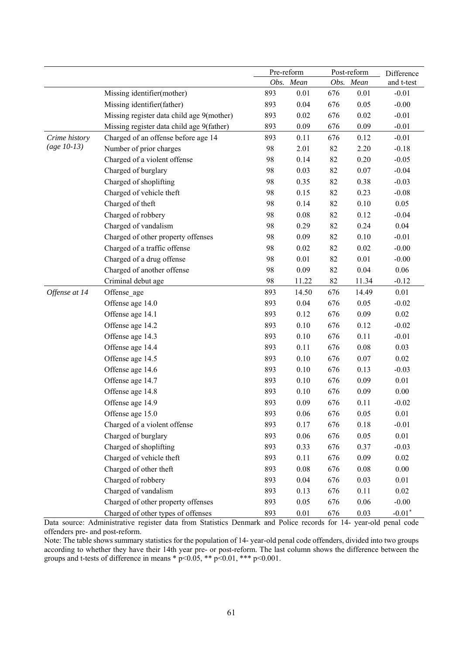|               |                                           | Pre-reform |           | Post-reform |           | Difference |
|---------------|-------------------------------------------|------------|-----------|-------------|-----------|------------|
|               |                                           |            | Obs. Mean |             | Obs. Mean | and t-test |
|               | Missing identifier(mother)                | 893        | $0.01\,$  | 676         | 0.01      | $-0.01$    |
|               | Missing identifier(father)                | 893        | 0.04      | 676         | 0.05      | $-0.00$    |
|               | Missing register data child age 9(mother) | 893        | 0.02      | 676         | 0.02      | $-0.01$    |
|               | Missing register data child age 9(father) | 893        | 0.09      | 676         | 0.09      | $-0.01$    |
| Crime history | Charged of an offense before age 14       | 893        | 0.11      | 676         | 0.12      | $-0.01$    |
| $(age 10-13)$ | Number of prior charges                   | 98         | 2.01      | 82          | 2.20      | $-0.18$    |
|               | Charged of a violent offense              | 98         | 0.14      | 82          | 0.20      | $-0.05$    |
|               | Charged of burglary                       | 98         | 0.03      | 82          | 0.07      | $-0.04$    |
|               | Charged of shoplifting                    | 98         | 0.35      | 82          | 0.38      | $-0.03$    |
|               | Charged of vehicle theft                  | 98         | 0.15      | 82          | 0.23      | $-0.08$    |
|               | Charged of theft                          | 98         | 0.14      | 82          | 0.10      | 0.05       |
|               | Charged of robbery                        | 98         | $0.08\,$  | 82          | 0.12      | $-0.04$    |
|               | Charged of vandalism                      | 98         | 0.29      | 82          | 0.24      | 0.04       |
|               | Charged of other property offenses        | 98         | 0.09      | 82          | 0.10      | $-0.01$    |
|               | Charged of a traffic offense              | 98         | $0.02\,$  | 82          | 0.02      | $-0.00$    |
|               | Charged of a drug offense                 | 98         | 0.01      | 82          | 0.01      | $-0.00$    |
|               | Charged of another offense                | 98         | 0.09      | 82          | 0.04      | 0.06       |
|               | Criminal debut age                        | 98         | 11.22     | 82          | 11.34     | $-0.12$    |
| Offense at 14 | Offense age                               | 893        | 14.50     | 676         | 14.49     | 0.01       |
|               | Offense age 14.0                          | 893        | 0.04      | 676         | 0.05      | $-0.02$    |
|               | Offense age 14.1                          | 893        | 0.12      | 676         | 0.09      | 0.02       |
|               | Offense age 14.2                          | 893        | 0.10      | 676         | 0.12      | $-0.02$    |
|               | Offense age 14.3                          | 893        | 0.10      | 676         | 0.11      | $-0.01$    |
|               | Offense age 14.4                          | 893        | 0.11      | 676         | 0.08      | 0.03       |
|               | Offense age 14.5                          | 893        | 0.10      | 676         | 0.07      | $0.02\,$   |
|               | Offense age 14.6                          | 893        | 0.10      | 676         | 0.13      | $-0.03$    |
|               | Offense age 14.7                          | 893        | 0.10      | 676         | 0.09      | 0.01       |
|               | Offense age 14.8                          | 893        | 0.10      | 676         | 0.09      | $0.00\,$   |
|               | Offense age 14.9                          | 893        | 0.09      | 676         | 0.11      | $-0.02$    |
|               | Offense age 15.0                          | 893        | $0.06\,$  | 676         | 0.05      | 0.01       |
|               | Charged of a violent offense              | 893        | 0.17      | 676         | 0.18      | $-0.01$    |
|               | Charged of burglary                       | 893        | 0.06      | 676         | 0.05      | 0.01       |
|               | Charged of shoplifting                    | 893        | 0.33      | 676         | 0.37      | $-0.03$    |
|               | Charged of vehicle theft                  | 893        | 0.11      | 676         | 0.09      | $0.02\,$   |
|               | Charged of other theft                    | 893        | 0.08      | 676         | 0.08      | $0.00\,$   |
|               | Charged of robbery                        | 893        | 0.04      | 676         | 0.03      | 0.01       |
|               | Charged of vandalism                      | 893        | 0.13      | 676         | 0.11      | 0.02       |
|               | Charged of other property offenses        | 893        | 0.05      | 676         | 0.06      | $-0.00$    |
|               | Charged of other types of offenses        | 893        | 0.01      | 676         | 0.03      | $-0.01*$   |

Data source: Administrative register data from Statistics Denmark and Police records for 14- year-old penal code offenders pre- and post-reform.

Note: The table shows summary statistics for the population of 14- year-old penal code offenders, divided into two groups according to whether they have their 14th year pre- or post-reform. The last column shows the difference between the groups and t-tests of difference in means \*  $p<0.05$ , \*\*  $p<0.01$ , \*\*\*  $p<0.001$ .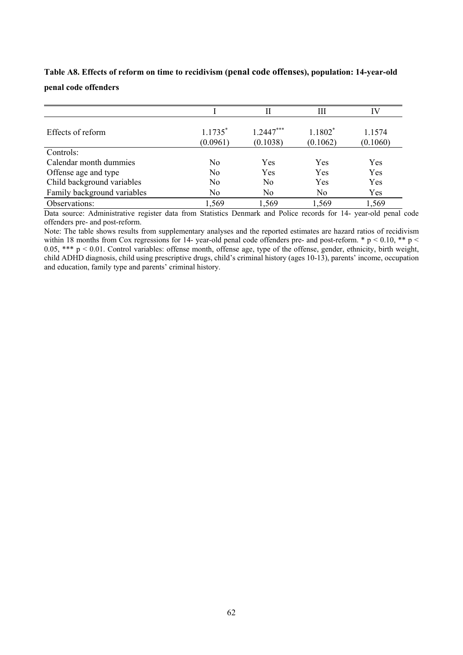|                             |           | П           | Ш         | IV       |
|-----------------------------|-----------|-------------|-----------|----------|
|                             |           |             |           |          |
| Effects of reform           | $1.1735*$ | $1.2447***$ | $1.1802*$ | 1.1574   |
|                             | (0.0961)  | (0.1038)    | (0.1062)  | (0.1060) |
| Controls:                   |           |             |           |          |
| Calendar month dummies      | No        | Yes         | Yes       | Yes      |
| Offense age and type        | No        | Yes         | Yes       | Yes      |
| Child background variables  | No        | No          | Yes       | Yes      |
| Family background variables | No        | No          | No        | Yes      |
| Observations:               | 1,569     | 1,569       | 1,569     | 1,569    |

## **Table A8. Effects of reform on time to recidivism (penal code offenses), population: 14-year-old penal code offenders**

Data source: Administrative register data from Statistics Denmark and Police records for 14- year-old penal code offenders pre- and post-reform.

Note: The table shows results from supplementary analyses and the reported estimates are hazard ratios of recidivism within 18 months from Cox regressions for 14- year-old penal code offenders pre- and post-reform.  $* p < 0.10, ** p <$ 0.05, \*\*\*  $p \le 0.01$ . Control variables: offense month, offense age, type of the offense, gender, ethnicity, birth weight, child ADHD diagnosis, child using prescriptive drugs, child's criminal history (ages 10-13), parents' income, occupation and education, family type and parents' criminal history.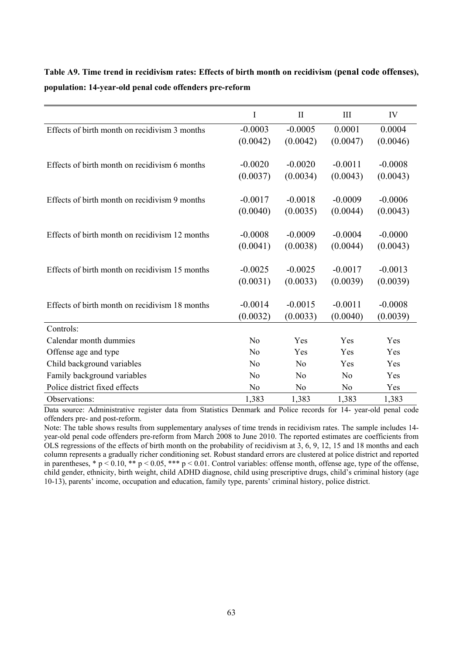|                                                | I         | $\mathbf{I}$   | III       | IV        |
|------------------------------------------------|-----------|----------------|-----------|-----------|
| Effects of birth month on recidivism 3 months  | $-0.0003$ | $-0.0005$      | 0.0001    | 0.0004    |
|                                                | (0.0042)  | (0.0042)       | (0.0047)  | (0.0046)  |
|                                                |           |                |           |           |
| Effects of birth month on recidivism 6 months  | $-0.0020$ | $-0.0020$      | $-0.0011$ | $-0.0008$ |
|                                                | (0.0037)  | (0.0034)       | (0.0043)  | (0.0043)  |
| Effects of birth month on recidivism 9 months  | $-0.0017$ | $-0.0018$      | $-0.0009$ | $-0.0006$ |
|                                                | (0.0040)  | (0.0035)       | (0.0044)  | (0.0043)  |
| Effects of birth month on recidivism 12 months | $-0.0008$ | $-0.0009$      | $-0.0004$ | $-0.0000$ |
|                                                |           |                |           |           |
|                                                | (0.0041)  | (0.0038)       | (0.0044)  | (0.0043)  |
| Effects of birth month on recidivism 15 months | $-0.0025$ | $-0.0025$      | $-0.0017$ | $-0.0013$ |
|                                                | (0.0031)  | (0.0033)       | (0.0039)  | (0.0039)  |
| Effects of birth month on recidivism 18 months | $-0.0014$ | $-0.0015$      | $-0.0011$ | $-0.0008$ |
|                                                | (0.0032)  | (0.0033)       | (0.0040)  | (0.0039)  |
| Controls:                                      |           |                |           |           |
| Calendar month dummies                         | No        | Yes            | Yes       | Yes       |
| Offense age and type                           | No        | Yes            | Yes       | Yes       |
| Child background variables                     | No        | No             | Yes       | Yes       |
| Family background variables                    | No        | N <sub>o</sub> | No        | Yes       |
| Police district fixed effects                  | No        | No             | No        | Yes       |
| Observations:                                  | 1,383     | 1,383          | 1,383     | 1,383     |

**Table A9. Time trend in recidivism rates: Effects of birth month on recidivism (penal code offenses), population: 14-year-old penal code offenders pre-reform** 

Data source: Administrative register data from Statistics Denmark and Police records for 14- year-old penal code offenders pre- and post-reform.

Note: The table shows results from supplementary analyses of time trends in recidivism rates. The sample includes 14 year-old penal code offenders pre-reform from March 2008 to June 2010. The reported estimates are coefficients from OLS regressions of the effects of birth month on the probability of recidivism at 3, 6, 9, 12, 15 and 18 months and each column represents a gradually richer conditioning set. Robust standard errors are clustered at police district and reported in parentheses, \* p < 0.10, \*\* p < 0.05, \*\*\* p < 0.01. Control variables: offense month, offense age, type of the offense, child gender, ethnicity, birth weight, child ADHD diagnose, child using prescriptive drugs, child's criminal history (age 10-13), parents' income, occupation and education, family type, parents' criminal history, police district.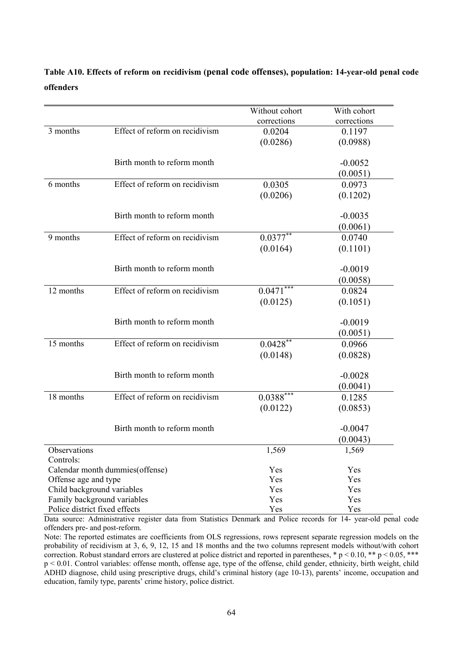## **Table A10. Effects of reform on recidivism (penal code offenses), population: 14-year-old penal code offenders**

|                                 |                                | Without cohort          | With cohort |
|---------------------------------|--------------------------------|-------------------------|-------------|
|                                 |                                | corrections             | corrections |
| 3 months                        | Effect of reform on recidivism | 0.0204                  | 0.1197      |
|                                 |                                | (0.0286)                | (0.0988)    |
|                                 |                                |                         |             |
|                                 | Birth month to reform month    |                         | $-0.0052$   |
|                                 |                                |                         | (0.0051)    |
| 6 months                        | Effect of reform on recidivism | 0.0305                  | 0.0973      |
|                                 |                                | (0.0206)                | (0.1202)    |
|                                 | Birth month to reform month    |                         | $-0.0035$   |
|                                 |                                |                         | (0.0061)    |
| 9 months                        | Effect of reform on recidivism | $0.0377^{**}$           | 0.0740      |
|                                 |                                | (0.0164)                | (0.1101)    |
|                                 |                                |                         |             |
|                                 | Birth month to reform month    |                         | $-0.0019$   |
|                                 |                                |                         | (0.0058)    |
| 12 months                       | Effect of reform on recidivism | $0.0471***$             | 0.0824      |
|                                 |                                |                         | (0.1051)    |
|                                 |                                | (0.0125)                |             |
|                                 | Birth month to reform month    |                         | $-0.0019$   |
|                                 |                                |                         | (0.0051)    |
| 15 months                       | Effect of reform on recidivism | $0.0428***$             | 0.0966      |
|                                 |                                | (0.0148)                | (0.0828)    |
|                                 |                                |                         |             |
|                                 | Birth month to reform month    |                         | $-0.0028$   |
|                                 |                                |                         | (0.0041)    |
| 18 months                       | Effect of reform on recidivism | $0.0388$ <sup>***</sup> | 0.1285      |
|                                 |                                | (0.0122)                | (0.0853)    |
|                                 | Birth month to reform month    |                         | $-0.0047$   |
|                                 |                                |                         | (0.0043)    |
| Observations                    |                                | 1,569                   | 1,569       |
| Controls:                       |                                |                         |             |
| Calendar month dummies(offense) |                                | Yes                     | Yes         |
| Offense age and type            |                                | Yes                     | Yes         |
| Child background variables      |                                | Yes                     | Yes         |
| Family background variables     |                                | Yes                     | Yes         |
| Police district fixed effects   |                                | Yes                     | Yes         |

Data source: Administrative register data from Statistics Denmark and Police records for 14- year-old penal code offenders pre- and post-reform.

Note: The reported estimates are coefficients from OLS regressions, rows represent separate regression models on the probability of recidivism at 3, 6, 9, 12, 15 and 18 months and the two columns represent models without/with cohort correction. Robust standard errors are clustered at police district and reported in parentheses, \* p < 0.10, \*\* p < 0.05, \*\*\* p < 0.01. Control variables: offense month, offense age, type of the offense, child gender, ethnicity, birth weight, child ADHD diagnose, child using prescriptive drugs, child's criminal history (age 10-13), parents' income, occupation and education, family type, parents' crime history, police district.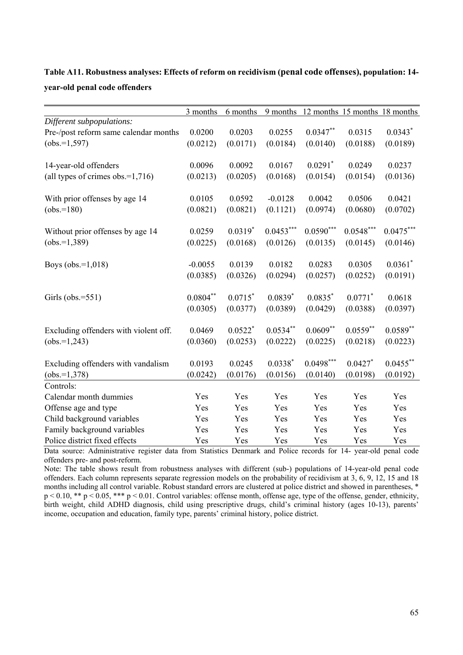|                                       | 3 months      | 6 months  |                       | 9 months 12 months 15 months 18 months |             |             |
|---------------------------------------|---------------|-----------|-----------------------|----------------------------------------|-------------|-------------|
| Different subpopulations:             |               |           |                       |                                        |             |             |
| Pre-/post reform same calendar months | 0.0200        | 0.0203    | 0.0255                | $0.0347**$                             | 0.0315      | $0.0343*$   |
| $(obs.=1,597)$                        | (0.0212)      | (0.0171)  | (0.0184)              | (0.0140)                               | (0.0188)    | (0.0189)    |
|                                       |               |           |                       |                                        |             |             |
| 14-year-old offenders                 | 0.0096        | 0.0092    | 0.0167                | $0.0291$ *                             | 0.0249      | 0.0237      |
| (all types of crimes obs.= $1,716$ )  | (0.0213)      | (0.0205)  | (0.0168)              | (0.0154)                               | (0.0154)    | (0.0136)    |
|                                       |               |           |                       |                                        |             |             |
| With prior offenses by age 14         | 0.0105        | 0.0592    | $-0.0128$             | 0.0042                                 | 0.0506      | 0.0421      |
| $(obs.=180)$                          | (0.0821)      | (0.0821)  | (0.1121)              | (0.0974)                               | (0.0680)    | (0.0702)    |
|                                       |               |           |                       |                                        |             |             |
| Without prior offenses by age 14      | 0.0259        | $0.0319*$ | $0.0453***$           | $0.0590***$                            | $0.0548***$ | $0.0475***$ |
| $(obs.=1,389)$                        | (0.0225)      | (0.0168)  | (0.0126)              | (0.0135)                               | (0.0145)    | (0.0146)    |
|                                       |               |           |                       |                                        |             |             |
| Boys ( $obs.=1,018$ )                 | $-0.0055$     | 0.0139    | 0.0182                | 0.0283                                 | 0.0305      | $0.0361$ *  |
|                                       | (0.0385)      | (0.0326)  | (0.0294)              | (0.0257)                               | (0.0252)    | (0.0191)    |
|                                       |               |           |                       |                                        |             |             |
| Girls ( $obs.=551$ )                  | $0.0804^{**}$ | $0.0715*$ | $0.0839*$             | $0.0835*$                              | $0.0771$ *  | 0.0618      |
|                                       | (0.0305)      | (0.0377)  | (0.0389)              | (0.0429)                               | (0.0388)    | (0.0397)    |
|                                       |               |           |                       |                                        |             |             |
| Excluding offenders with violent off. | 0.0469        | $0.0522*$ | $0.0534**$            | $0.0609**$                             | $0.0559**$  | $0.0589**$  |
| $(obs.=1,243)$                        | (0.0360)      | (0.0253)  | (0.0222)              | (0.0225)                               | (0.0218)    | (0.0223)    |
|                                       |               |           |                       |                                        |             |             |
| Excluding offenders with vandalism    | 0.0193        | 0.0245    | $0.0338*$             | $0.0498***$                            | $0.0427$ *  | $0.0455$ ** |
| $(obs.=1,378)$                        | (0.0242)      | (0.0176)  | (0.0156)              | (0.0140)                               | (0.0198)    | (0.0192)    |
| Controls:                             |               |           |                       |                                        |             |             |
| Calendar month dummies                | Yes           | Yes       | Yes                   | Yes                                    | Yes         | Yes         |
| Offense age and type                  | Yes           | Yes       | Yes                   | Yes                                    | Yes         | Yes         |
| Child background variables            | Yes           | Yes       | Yes                   | Yes                                    | Yes         | Yes         |
| Family background variables           | Yes           | Yes       | Yes                   | Yes                                    | Yes         | Yes         |
| Police district fixed effects         | Yes           | Yes<br>D  | Yes<br>1 <sub>n</sub> | Yes                                    | Yes         | Yes         |

**Table A11. Robustness analyses: Effects of reform on recidivism (penal code offenses), population: 14 year-old penal code offenders** 

Data source: Administrative register data from Statistics Denmark and Police records for 14- year-old penal code offenders pre- and post-reform.

Note: The table shows result from robustness analyses with different (sub-) populations of 14-year-old penal code offenders. Each column represents separate regression models on the probability of recidivism at 3, 6, 9, 12, 15 and 18 months including all control variable. Robust standard errors are clustered at police district and showed in parentheses, \*  $p < 0.10$ , \*\*  $p < 0.05$ , \*\*\*  $p < 0.01$ . Control variables: offense month, offense age, type of the offense, gender, ethnicity, birth weight, child ADHD diagnosis, child using prescriptive drugs, child's criminal history (ages 10-13), parents' income, occupation and education, family type, parents' criminal history, police district.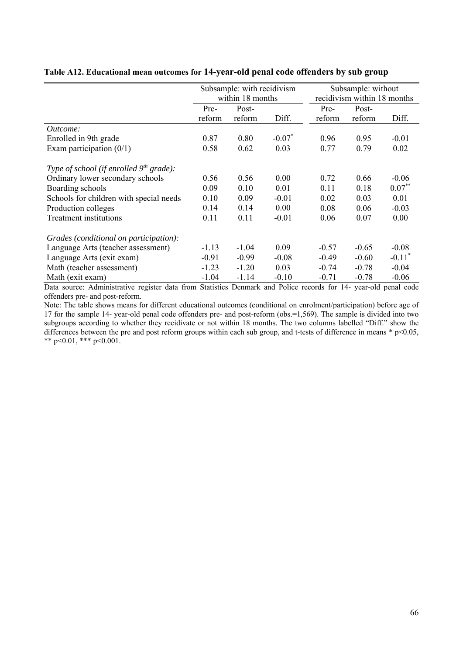|                                           | Subsample: with recidivism<br>within 18 months |         |           | Subsample: without<br>recidivism within 18 months |         |                      |
|-------------------------------------------|------------------------------------------------|---------|-----------|---------------------------------------------------|---------|----------------------|
|                                           | Post-<br>Pre-                                  |         | Pre-      | Post-                                             |         |                      |
|                                           | reform                                         | reform  | Diff.     | reform                                            | reform  | Diff.                |
| <i>Outcome:</i>                           |                                                |         |           |                                                   |         |                      |
| Enrolled in 9th grade                     | 0.87                                           | 0.80    | $-0.07$ * | 0.96                                              | 0.95    | $-0.01$              |
| Exam participation $(0/1)$                | 0.58                                           | 0.62    | 0.03      | 0.77                                              | 0.79    | 0.02                 |
| Type of school (if enrolled $9th$ grade): |                                                |         |           |                                                   |         |                      |
| Ordinary lower secondary schools          | 0.56                                           | 0.56    | 0.00      | 0.72                                              | 0.66    | $-0.06$              |
| Boarding schools                          | 0.09                                           | 0.10    | 0.01      | 0.11                                              | 0.18    | $0.07***$            |
| Schools for children with special needs   | 0.10                                           | 0.09    | $-0.01$   | 0.02                                              | 0.03    | 0.01                 |
| Production colleges                       | 0.14                                           | 0.14    | 0.00      | 0.08                                              | 0.06    | $-0.03$              |
| <b>Treatment</b> institutions             | 0.11                                           | 0.11    | $-0.01$   | 0.06                                              | 0.07    | 0.00                 |
| Grades (conditional on participation):    |                                                |         |           |                                                   |         |                      |
| Language Arts (teacher assessment)        | $-1.13$                                        | $-1.04$ | 0.09      | $-0.57$                                           | $-0.65$ | $-0.08$              |
| Language Arts (exit exam)                 | $-0.91$                                        | $-0.99$ | $-0.08$   | $-0.49$                                           | $-0.60$ | $-0.11$ <sup>*</sup> |
| Math (teacher assessment)                 | $-1.23$                                        | $-1.20$ | 0.03      | $-0.74$                                           | $-0.78$ | $-0.04$              |
| Math (exit exam)                          | $-1.04$                                        | $-1.14$ | $-0.10$   | $-0.71$                                           | $-0.78$ | $-0.06$              |

#### **Table A12. Educational mean outcomes for 14-year-old penal code offenders by sub group**

Data source: Administrative register data from Statistics Denmark and Police records for 14- year-old penal code offenders pre- and post-reform.

Note: The table shows means for different educational outcomes (conditional on enrolment/participation) before age of 17 for the sample 14- year-old penal code offenders pre- and post-reform (obs.=1,569). The sample is divided into two subgroups according to whether they recidivate or not within 18 months. The two columns labelled "Diff." show the differences between the pre and post reform groups within each sub group, and t-tests of difference in means \* p<0.05, \*\* p<0.01, \*\*\* p<0.001.